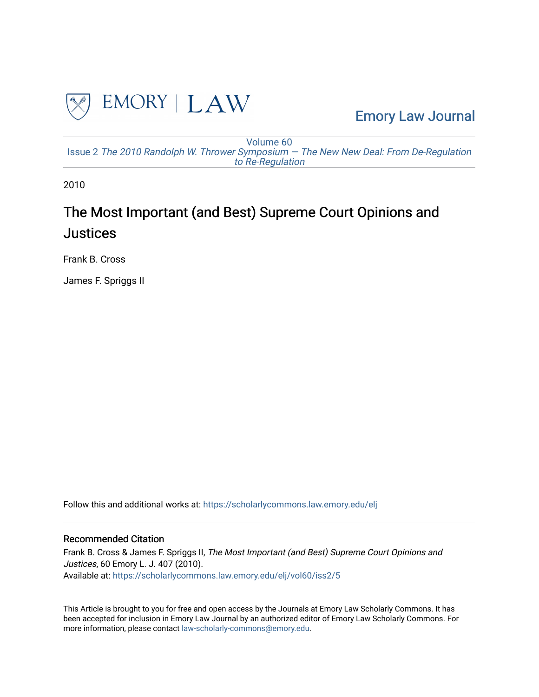

[Emory Law Journal](https://scholarlycommons.law.emory.edu/elj) 

[Volume 60](https://scholarlycommons.law.emory.edu/elj/vol60) Issue 2 [The 2010 Randolph W. Thrower Symposium — The New New Deal: From De-Regulation](https://scholarlycommons.law.emory.edu/elj/vol60/iss2) [to Re-Regulation](https://scholarlycommons.law.emory.edu/elj/vol60/iss2)

2010

# The Most Important (and Best) Supreme Court Opinions and **Justices**

Frank B. Cross

James F. Spriggs II

Follow this and additional works at: [https://scholarlycommons.law.emory.edu/elj](https://scholarlycommons.law.emory.edu/elj?utm_source=scholarlycommons.law.emory.edu%2Felj%2Fvol60%2Fiss2%2F5&utm_medium=PDF&utm_campaign=PDFCoverPages) 

# Recommended Citation

Frank B. Cross & James F. Spriggs II, The Most Important (and Best) Supreme Court Opinions and Justices, 60 Emory L. J. 407 (2010). Available at: [https://scholarlycommons.law.emory.edu/elj/vol60/iss2/5](https://scholarlycommons.law.emory.edu/elj/vol60/iss2/5?utm_source=scholarlycommons.law.emory.edu%2Felj%2Fvol60%2Fiss2%2F5&utm_medium=PDF&utm_campaign=PDFCoverPages) 

This Article is brought to you for free and open access by the Journals at Emory Law Scholarly Commons. It has been accepted for inclusion in Emory Law Journal by an authorized editor of Emory Law Scholarly Commons. For more information, please contact [law-scholarly-commons@emory.edu.](mailto:law-scholarly-commons@emory.edu)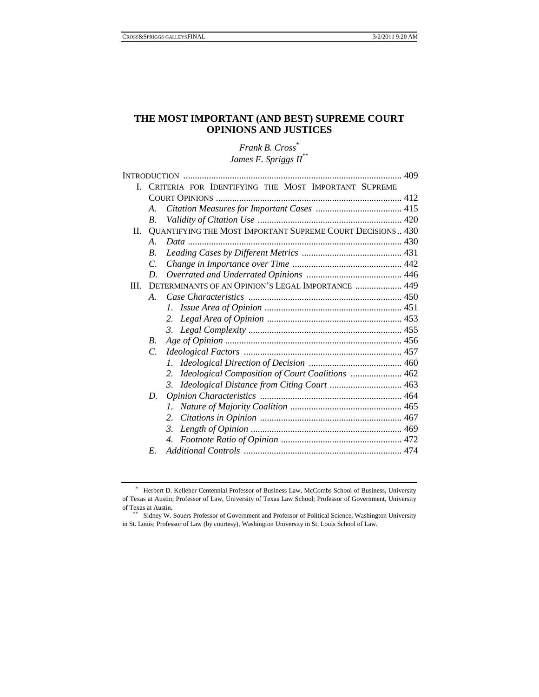# **THE MOST IMPORTANT (AND BEST) SUPREME COURT OPINIONS AND JUSTICES**

*Frank B. Cross*\* *James F. Spriggs II*\*\*

| L    |                       | CRITERIA FOR IDENTIFYING THE MOST IMPORTANT SUPREME        |  |
|------|-----------------------|------------------------------------------------------------|--|
|      |                       |                                                            |  |
|      | A.                    |                                                            |  |
|      | B.                    |                                                            |  |
| II.  |                       | QUANTIFYING THE MOST IMPORTANT SUPREME COURT DECISIONS 430 |  |
|      | $\mathcal{A}_{\cdot}$ |                                                            |  |
|      | $\boldsymbol{B}$ .    |                                                            |  |
|      | $\mathcal{C}$         |                                                            |  |
|      | D.                    |                                                            |  |
| III. |                       | DETERMINANTS OF AN OPINION'S LEGAL IMPORTANCE  449         |  |
|      | А.                    |                                                            |  |
|      |                       | I.                                                         |  |
|      |                       | 2.                                                         |  |
|      |                       |                                                            |  |
|      | $B_{\cdot}$           |                                                            |  |
|      | $\mathcal{C}$         |                                                            |  |
|      |                       |                                                            |  |
|      |                       | Ideological Composition of Court Coalitions  462<br>2.     |  |
|      |                       | Ideological Distance from Citing Court  463<br>3.          |  |
|      | D.                    |                                                            |  |
|      |                       | $\mathcal{I}$ .                                            |  |
|      |                       | 2.                                                         |  |
|      |                       | 3.                                                         |  |
|      |                       |                                                            |  |
|      | E.                    |                                                            |  |
|      |                       |                                                            |  |

<sup>\*</sup> Herbert D. Kelleher Centennial Professor of Business Law, McCombs School of Business, University of Texas at Austin; Professor of Law, University of Texas Law School; Professor of Government, University of Texas at Austin.<br>\*\* Sidney W. Souers Professor of Government and Professor of Political Science, Washington University

in St. Louis; Professor of Law (by courtesy), Washington University in St. Louis School of Law.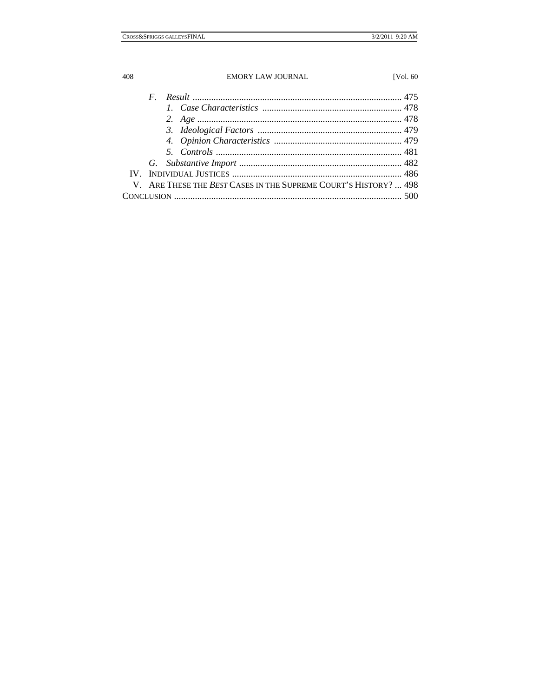| V. ARE THESE THE BEST CASES IN THE SUPREME COURT'S HISTORY?  498 |  |
|------------------------------------------------------------------|--|
|                                                                  |  |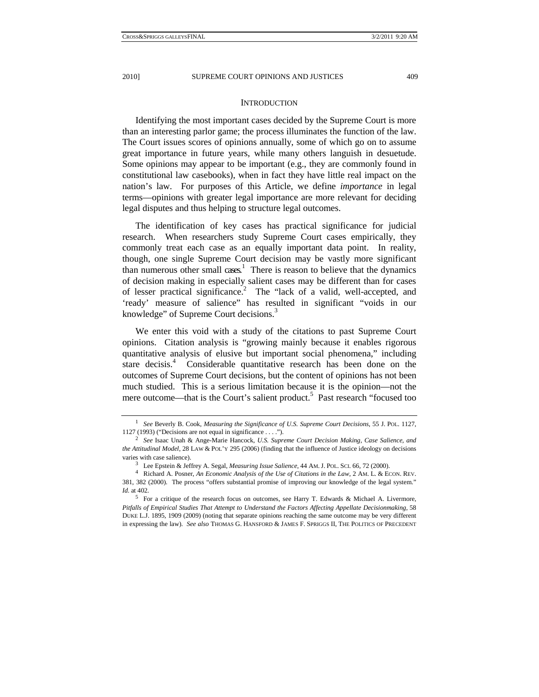#### **INTRODUCTION**

Identifying the most important cases decided by the Supreme Court is more than an interesting parlor game; the process illuminates the function of the law. The Court issues scores of opinions annually, some of which go on to assume great importance in future years, while many others languish in desuetude. Some opinions may appear to be important (e.g., they are commonly found in constitutional law casebooks), when in fact they have little real impact on the nation's law. For purposes of this Article, we define *importance* in legal terms—opinions with greater legal importance are more relevant for deciding legal disputes and thus helping to structure legal outcomes.

The identification of key cases has practical significance for judicial research. When researchers study Supreme Court cases empirically, they commonly treat each case as an equally important data point. In reality, though, one single Supreme Court decision may be vastly more significant than numerous other small cases.<sup>1</sup> There is reason to believe that the dynamics of decision making in especially salient cases may be different than for cases of lesser practical significance.<sup>2</sup> The "lack of a valid, well-accepted, and 'ready' measure of salience" has resulted in significant "voids in our knowledge" of Supreme Court decisions.<sup>3</sup>

We enter this void with a study of the citations to past Supreme Court opinions. Citation analysis is "growing mainly because it enables rigorous quantitative analysis of elusive but important social phenomena," including stare decisis.<sup>4</sup> Considerable quantitative research has been done on the outcomes of Supreme Court decisions, but the content of opinions has not been much studied. This is a serious limitation because it is the opinion—not the mere outcome—that is the Court's salient product.<sup>5</sup> Past research "focused too

<sup>1</sup> *See* Beverly B. Cook, *Measuring the Significance of U.S. Supreme Court Decisions*, 55 J. POL. 1127, 1127 (1993) ("Decisions are not equal in significance . . . ."). 2 *See* Isaac Unah & Ange-Marie Hancock, *U.S. Supreme Court Decision Making, Case Salience, and* 

*the Attitudinal Model*, 28 LAW & POL'Y 295 (2006) (finding that the influence of Justice ideology on decisions varies with case salience).<br><sup>3</sup> Lee Epstein & Jeffrey A. Segal, *Measuring Issue Salience*, 44 AM. J. POL. SCI. 66, 72 (2000).<br><sup>4</sup> Richard A. Posner, *An Economic Analysis of the Use of Citations in the Law*, 2 AM. L. & EC

<sup>381, 382 (2000).</sup> The process "offers substantial promise of improving our knowledge of the legal system." *Id.* at 402. <sup>5</sup> For a critique of the research focus on outcomes, see Harry T. Edwards & Michael A. Livermore,

*Pitfalls of Empirical Studies That Attempt to Understand the Factors Affecting Appellate Decisionmaking*, 58 DUKE L.J. 1895, 1909 (2009) (noting that separate opinions reaching the same outcome may be very different in expressing the law). *See also* THOMAS G. HANSFORD & JAMES F. SPRIGGS II, THE POLITICS OF PRECEDENT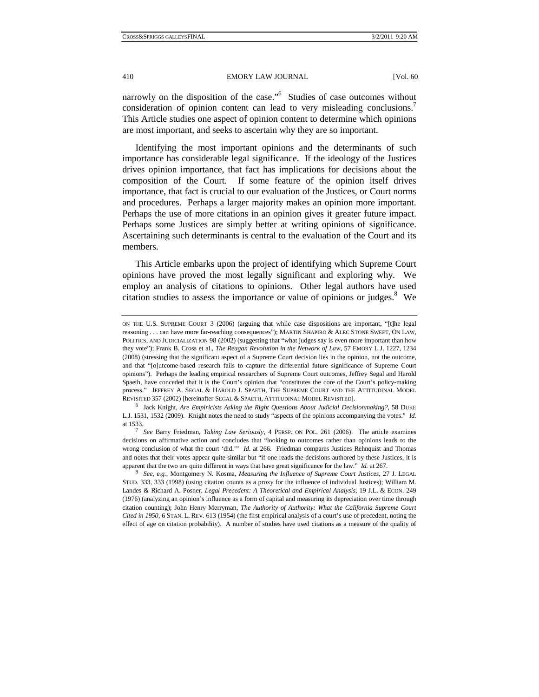narrowly on the disposition of the case."<sup>6</sup> Studies of case outcomes without consideration of opinion content can lead to very misleading conclusions.<sup>7</sup> This Article studies one aspect of opinion content to determine which opinions are most important, and seeks to ascertain why they are so important.

Identifying the most important opinions and the determinants of such importance has considerable legal significance. If the ideology of the Justices drives opinion importance, that fact has implications for decisions about the composition of the Court. If some feature of the opinion itself drives importance, that fact is crucial to our evaluation of the Justices, or Court norms and procedures. Perhaps a larger majority makes an opinion more important. Perhaps the use of more citations in an opinion gives it greater future impact. Perhaps some Justices are simply better at writing opinions of significance. Ascertaining such determinants is central to the evaluation of the Court and its members.

This Article embarks upon the project of identifying which Supreme Court opinions have proved the most legally significant and exploring why. We employ an analysis of citations to opinions. Other legal authors have used citation studies to assess the importance or value of opinions or judges. $8$  We

ON THE U.S. SUPREME COURT 3 (2006) (arguing that while case dispositions are important, "[t]he legal reasoning . . . can have more far-reaching consequences"); MARTIN SHAPIRO & ALEC STONE SWEET, ON LAW, POLITICS, AND JUDICIALIZATION 98 (2002) (suggesting that "what judges say is even more important than how they vote"); Frank B. Cross et al., *The Reagan Revolution in the Network of Law*, 57 EMORY L.J. 1227, 1234 (2008) (stressing that the significant aspect of a Supreme Court decision lies in the opinion, not the outcome, and that "[o]utcome-based research fails to capture the differential future significance of Supreme Court opinions"). Perhaps the leading empirical researchers of Supreme Court outcomes, Jeffrey Segal and Harold Spaeth, have conceded that it is the Court's opinion that "constitutes the core of the Court's policy-making process." JEFFREY A. SEGAL & HAROLD J. SPAETH, THE SUPREME COURT AND THE ATTITUDINAL MODEL REVISITED 357 (2002) [hereinafter SEGAL & SPAETH, ATTITUDINAL MODEL REVISITED]. 6 Jack Knight, *Are Empiricists Asking the Right Questions About Judicial Decisionmaking?*, 58 DUKE

L.J. 1531, 1532 (2009). Knight notes the need to study "aspects of the opinions accompanying the votes." *Id.* at 1533. 7 *See* Barry Friedman, *Taking Law Seriously*, 4 PERSP. ON POL. 261 (2006). The article examines

decisions on affirmative action and concludes that "looking to outcomes rather than opinions leads to the wrong conclusion of what the court 'did.'" *Id.* at 266. Friedman compares Justices Rehnquist and Thomas and notes that their votes appear quite similar but "if one reads the decisions authored by these Justices, it is apparent that the two are quite different in ways that have great significance for the law." *Id.* at 267. 8 *See, e.g.*, Montgomery N. Kosma, *Measuring the Influence of Supreme Court Justices*, 27 J. LEGAL

STUD. 333, 333 (1998) (using citation counts as a proxy for the influence of individual Justices); William M. Landes & Richard A. Posner, *Legal Precedent: A Theoretical and Empirical Analysis*, 19 J.L. & ECON. 249 (1976) (analyzing an opinion's influence as a form of capital and measuring its depreciation over time through citation counting); John Henry Merryman, *The Authority of Authority: What the California Supreme Court Cited in 1950*, 6 STAN. L. REV. 613 (1954) (the first empirical analysis of a court's use of precedent, noting the effect of age on citation probability). A number of studies have used citations as a measure of the quality of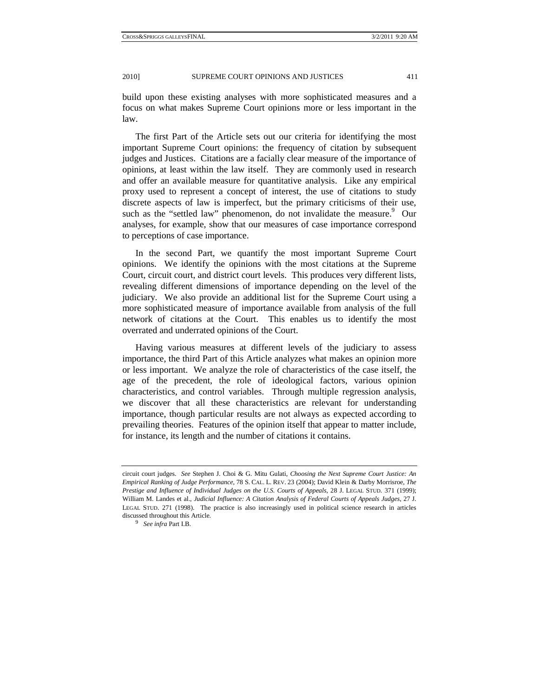build upon these existing analyses with more sophisticated measures and a focus on what makes Supreme Court opinions more or less important in the law.

The first Part of the Article sets out our criteria for identifying the most important Supreme Court opinions: the frequency of citation by subsequent judges and Justices. Citations are a facially clear measure of the importance of opinions, at least within the law itself. They are commonly used in research and offer an available measure for quantitative analysis. Like any empirical proxy used to represent a concept of interest, the use of citations to study discrete aspects of law is imperfect, but the primary criticisms of their use, such as the "settled law" phenomenon, do not invalidate the measure.<sup>9</sup> Our analyses, for example, show that our measures of case importance correspond to perceptions of case importance.

In the second Part, we quantify the most important Supreme Court opinions. We identify the opinions with the most citations at the Supreme Court, circuit court, and district court levels. This produces very different lists, revealing different dimensions of importance depending on the level of the judiciary. We also provide an additional list for the Supreme Court using a more sophisticated measure of importance available from analysis of the full network of citations at the Court. This enables us to identify the most overrated and underrated opinions of the Court.

Having various measures at different levels of the judiciary to assess importance, the third Part of this Article analyzes what makes an opinion more or less important. We analyze the role of characteristics of the case itself, the age of the precedent, the role of ideological factors, various opinion characteristics, and control variables. Through multiple regression analysis, we discover that all these characteristics are relevant for understanding importance, though particular results are not always as expected according to prevailing theories. Features of the opinion itself that appear to matter include, for instance, its length and the number of citations it contains.

circuit court judges. *See* Stephen J. Choi & G. Mitu Gulati, *Choosing the Next Supreme Court Justice: An Empirical Ranking of Judge Performance*, 78 S. CAL. L. REV. 23 (2004); David Klein & Darby Morrisroe, *The Prestige and Influence of Individual Judges on the U.S. Courts of Appeals*, 28 J. LEGAL STUD. 371 (1999); William M. Landes et al., *Judicial Influence: A Citation Analysis of Federal Courts of Appeals Judges*, 27 J. LEGAL STUD. 271 (1998). The practice is also increasingly used in political science research in articles discussed throughout this Article. 9 *See infra* Part I.B.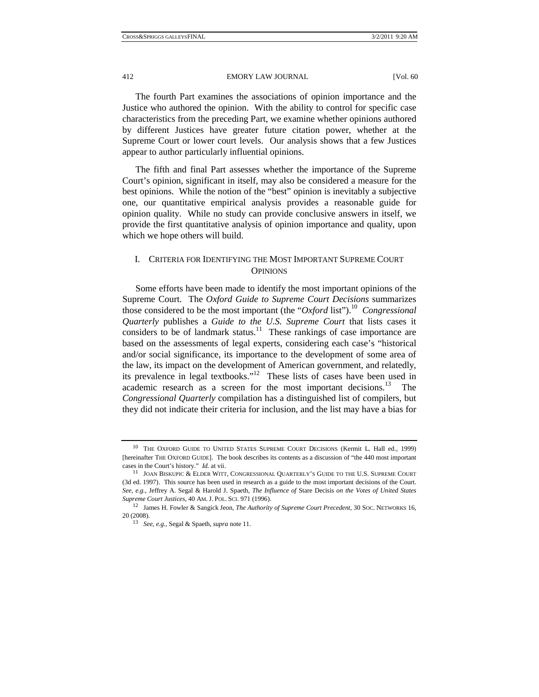The fourth Part examines the associations of opinion importance and the Justice who authored the opinion. With the ability to control for specific case characteristics from the preceding Part, we examine whether opinions authored by different Justices have greater future citation power, whether at the Supreme Court or lower court levels. Our analysis shows that a few Justices appear to author particularly influential opinions.

The fifth and final Part assesses whether the importance of the Supreme Court's opinion, significant in itself, may also be considered a measure for the best opinions. While the notion of the "best" opinion is inevitably a subjective one, our quantitative empirical analysis provides a reasonable guide for opinion quality. While no study can provide conclusive answers in itself, we provide the first quantitative analysis of opinion importance and quality, upon which we hope others will build.

## I. CRITERIA FOR IDENTIFYING THE MOST IMPORTANT SUPREME COURT **OPINIONS**

Some efforts have been made to identify the most important opinions of the Supreme Court. The *Oxford Guide to Supreme Court Decisions* summarizes those considered to be the most important (the "Oxford list").<sup>10</sup> Congressional *Quarterly* publishes a *Guide to the U.S. Supreme Court* that lists cases it considers to be of landmark status.<sup>11</sup> These rankings of case importance are based on the assessments of legal experts, considering each case's "historical and/or social significance, its importance to the development of some area of the law, its impact on the development of American government, and relatedly, its prevalence in legal textbooks."12 These lists of cases have been used in academic research as a screen for the most important decisions.<sup>13</sup> The *Congressional Quarterly* compilation has a distinguished list of compilers, but they did not indicate their criteria for inclusion, and the list may have a bias for

<sup>&</sup>lt;sup>10</sup> THE OXFORD GUIDE TO UNITED STATES SUPREME COURT DECISIONS (Kermit L. Hall ed., 1999) [hereinafter THE OXFORD GUIDE]. The book describes its contents as a discussion of "the 440 most important cases in the Court's history." *Id.* at vii.<br><sup>11</sup> JOAN BISKUPIC & ELDER WITT, CONGRESSIONAL QUARTERLY'S GUIDE TO THE U.S. SUPREME COURT

<sup>(3</sup>d ed. 1997). This source has been used in research as a guide to the most important decisions of the Court. *See, e.g.*, Jeffrey A. Segal & Harold J. Spaeth, *The Influence of* Stare Decisis *on the Votes of United States Supreme Court Justices*, 40 AM.J. POL. SCI. 971 (1996). 12 James H. Fowler & Sangick Jeon, *The Authority of Supreme Court Precedent*, 30 SOC. NETWORKS 16,

<sup>20 (2008). 13</sup> *See, e.g.*, Segal & Spaeth, *supra* note 11.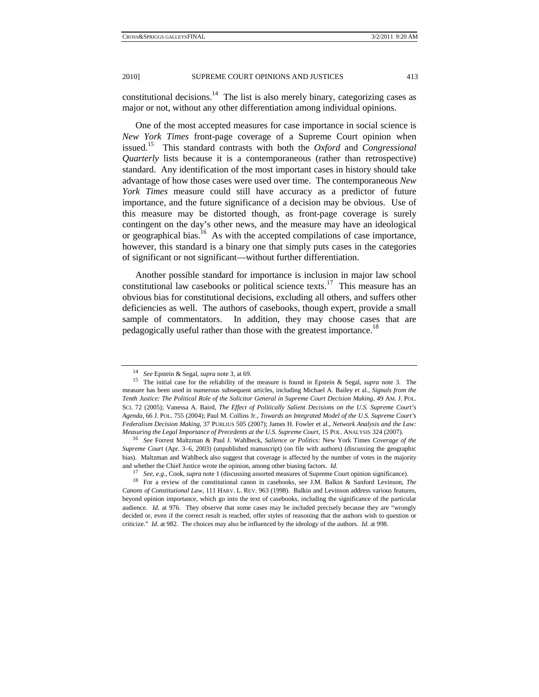constitutional decisions. $14$  The list is also merely binary, categorizing cases as major or not, without any other differentiation among individual opinions.

One of the most accepted measures for case importance in social science is *New York Times* front-page coverage of a Supreme Court opinion when issued.15 This standard contrasts with both the *Oxford* and *Congressional Quarterly* lists because it is a contemporaneous (rather than retrospective) standard. Any identification of the most important cases in history should take advantage of how those cases were used over time. The contemporaneous *New York Times* measure could still have accuracy as a predictor of future importance, and the future significance of a decision may be obvious. Use of this measure may be distorted though, as front-page coverage is surely contingent on the day's other news, and the measure may have an ideological or geographical bias.<sup>16</sup> As with the accepted compilations of case importance, however, this standard is a binary one that simply puts cases in the categories of significant or not significant—without further differentiation.

Another possible standard for importance is inclusion in major law school constitutional law casebooks or political science texts.17 This measure has an obvious bias for constitutional decisions, excluding all others, and suffers other deficiencies as well. The authors of casebooks, though expert, provide a small sample of commentators. In addition, they may choose cases that are pedagogically useful rather than those with the greatest importance.<sup>18</sup>

<sup>14</sup> *See* Epstein & Segal, *supra* note 3, at 69. 15 The initial case for the reliability of the measure is found in Epstein & Segal, *supra* note 3. The measure has been used in numerous subsequent articles, including Michael A. Bailey et al., *Signals from the Tenth Justice: The Political Role of the Solicitor General in Supreme Court Decision Making*, 49 AM. J. POL. SCI. 72 (2005); Vanessa A. Baird, *The Effect of Politically Salient Decisions on the U.S. Supreme Court's Agenda*, 66 J. POL. 755 (2004); Paul M. Collins Jr., *Towards an Integrated Model of the U.S. Supreme Court's Federalism Decision Making*, 37 PUBLIUS 505 (2007); James H. Fowler et al., *Network Analysis and the Law:*  Measuring the Legal Importance of Precedents at the U.S. Supreme Court, 15 POL. ANALYSIS 324 (2007).<br><sup>16</sup> See Forrest Maltzman & Paul J. Wahlbeck, Salience or Politics: New York Times Coverage of the

*Supreme Court* (Apr. 3–6, 2003) (unpublished manuscript) (on file with authors) (discussing the geographic bias). Maltzman and Wahlbeck also suggest that coverage is affected by the number of votes in the majority and whether the Chief Justice wrote the opinion, among other biasing factors. *Id.*

<sup>17</sup> *See, e.g.*, Cook, *supra* note 1 (discussing assorted measures of Supreme Court opinion significance). 18 For a review of the constitutional canon in casebooks, see J.M. Balkin & Sanford Levinson, *The* 

*Canons of Constitutional Law*, 111 HARV. L. REV. 963 (1998). Balkin and Levinson address various features, beyond opinion importance, which go into the text of casebooks, including the significance of the particular audience. *Id.* at 976. They observe that some cases may be included precisely because they are "wrongly decided or, even if the correct result is reached, offer styles of reasoning that the authors wish to question or criticize." *Id.* at 982. The choices may also be influenced by the ideology of the authors. *Id.* at 998.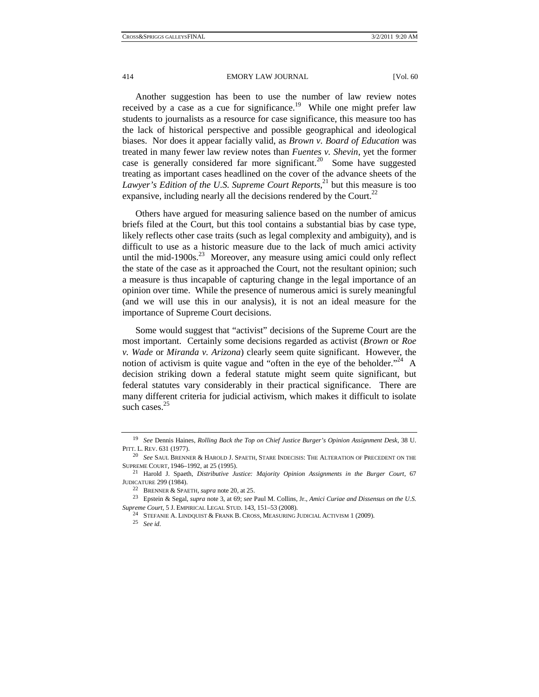414 **EMORY LAW JOURNAL** [Vol. 60]

Another suggestion has been to use the number of law review notes received by a case as a cue for significance.<sup>19</sup> While one might prefer law students to journalists as a resource for case significance, this measure too has the lack of historical perspective and possible geographical and ideological biases. Nor does it appear facially valid, as *Brown v. Board of Education* was treated in many fewer law review notes than *Fuentes v. Shevin*, yet the former case is generally considered far more significant.<sup>20</sup> Some have suggested treating as important cases headlined on the cover of the advance sheets of the Lawyer's Edition of the U.S. Supreme Court Reports,<sup>21</sup> but this measure is too expansive, including nearly all the decisions rendered by the Court.<sup>22</sup>

Others have argued for measuring salience based on the number of amicus briefs filed at the Court, but this tool contains a substantial bias by case type, likely reflects other case traits (such as legal complexity and ambiguity), and is difficult to use as a historic measure due to the lack of much amici activity until the mid-1900s. $^{23}$  Moreover, any measure using amici could only reflect the state of the case as it approached the Court, not the resultant opinion; such a measure is thus incapable of capturing change in the legal importance of an opinion over time. While the presence of numerous amici is surely meaningful (and we will use this in our analysis), it is not an ideal measure for the importance of Supreme Court decisions.

Some would suggest that "activist" decisions of the Supreme Court are the most important. Certainly some decisions regarded as activist (*Brown* or *Roe v. Wade* or *Miranda v. Arizona*) clearly seem quite significant. However, the notion of activism is quite vague and "often in the eye of the beholder."<sup>24</sup> A decision striking down a federal statute might seem quite significant, but federal statutes vary considerably in their practical significance. There are many different criteria for judicial activism, which makes it difficult to isolate such cases. $25$ 

<sup>19</sup> *See* Dennis Haines, *Rolling Back the Top on Chief Justice Burger's Opinion Assignment Desk*, 38 U.

PITT. L. REV. 631 (1977). 20 *See* SAUL BRENNER & HAROLD J. SPAETH, STARE INDECISIS: THE ALTERATION OF PRECEDENT ON THE

SUPREME COURT, 1946–1992, at 25 (1995). 21 Harold J. Spaeth, *Distributive Justice: Majority Opinion Assignments in the Burger Court*, 67 JUDICATURE 299 (1984). 22 BRENNER & SPAETH, *supra* note 20, at 25. 23 Epstein & Segal, *supra* note 3, at 69; *see* Paul M. Collins, Jr., *Amici Curiae and Dissensus on the U.S.* 

*Supreme Court*, 5 J. EMPIRICAL LEGAL STUD. 143, 151–53 (2008). 24 STEFANIE A. LINDQUIST & FRANK B. CROSS, MEASURING JUDICIAL ACTIVISM 1 (2009). 25 *See id.*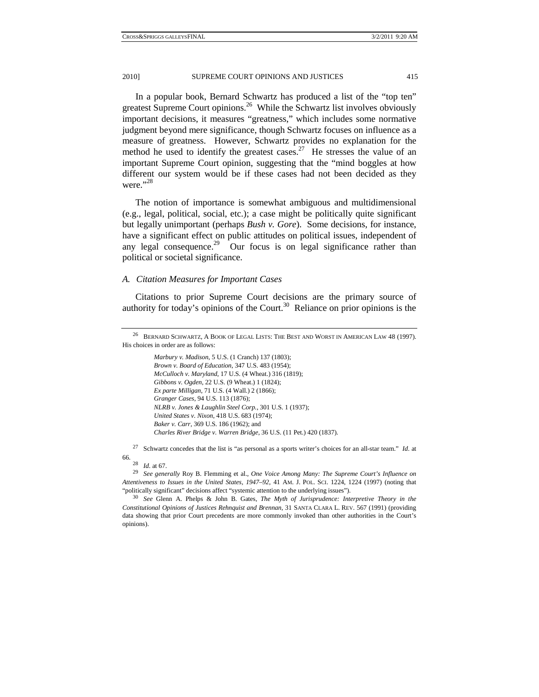In a popular book, Bernard Schwartz has produced a list of the "top ten" greatest Supreme Court opinions.26 While the Schwartz list involves obviously important decisions, it measures "greatness," which includes some normative judgment beyond mere significance, though Schwartz focuses on influence as a measure of greatness. However, Schwartz provides no explanation for the method he used to identify the greatest cases.<sup>27</sup> He stresses the value of an important Supreme Court opinion, suggesting that the "mind boggles at how different our system would be if these cases had not been decided as they were."<sup>28</sup>

The notion of importance is somewhat ambiguous and multidimensional (e.g., legal, political, social, etc.); a case might be politically quite significant but legally unimportant (perhaps *Bush v. Gore*). Some decisions, for instance, have a significant effect on public attitudes on political issues, independent of any legal consequence.<sup>29</sup> Our focus is on legal significance rather than political or societal significance.

#### *A. Citation Measures for Important Cases*

Citations to prior Supreme Court decisions are the primary source of authority for today's opinions of the Court.<sup>30</sup> Reliance on prior opinions is the

*Marbury v. Madison*, 5 U.S. (1 Cranch) 137 (1803); *Brown v. Board of Education*, 347 U.S. 483 (1954); *McCulloch v. Maryland*, 17 U.S. (4 Wheat.) 316 (1819); *Gibbons v. Ogden*, 22 U.S. (9 Wheat.) 1 (1824); *Ex parte Milligan*, 71 U.S. (4 Wall.) 2 (1866); *Granger Cases*, 94 U.S. 113 (1876); *NLRB v. Jones & Laughlin Steel Corp.*, 301 U.S. 1 (1937); *United States v. Nixon*, 418 U.S. 683 (1974); *Baker v. Carr*, 369 U.S. 186 (1962); and *Charles River Bridge v. Warren Bridge*, 36 U.S. (11 Pet.) 420 (1837).

27 Schwartz concedes that the list is "as personal as a sports writer's choices for an all-star team." *Id.* at 66. 28 *Id.* at 67. 29 *See generally* Roy B. Flemming et al., *One Voice Among Many: The Supreme Court's Influence on* 

*Attentiveness to Issues in the United States, 1947–92*, 41 AM. J. POL. SCI. 1224, 1224 (1997) (noting that "politically significant" decisions affect "systemic attention to the underlying issues"). 30 *See* Glenn A. Phelps & John B. Gates, *The Myth of Jurisprudence: Interpretive Theory in the* 

*Constitutional Opinions of Justices Rehnquist and Brennan*, 31 SANTA CLARA L. REV. 567 (1991) (providing data showing that prior Court precedents are more commonly invoked than other authorities in the Court's opinions).

<sup>26</sup> BERNARD SCHWARTZ, A BOOK OF LEGAL LISTS: THE BEST AND WORST IN AMERICAN LAW 48 (1997). His choices in order are as follows: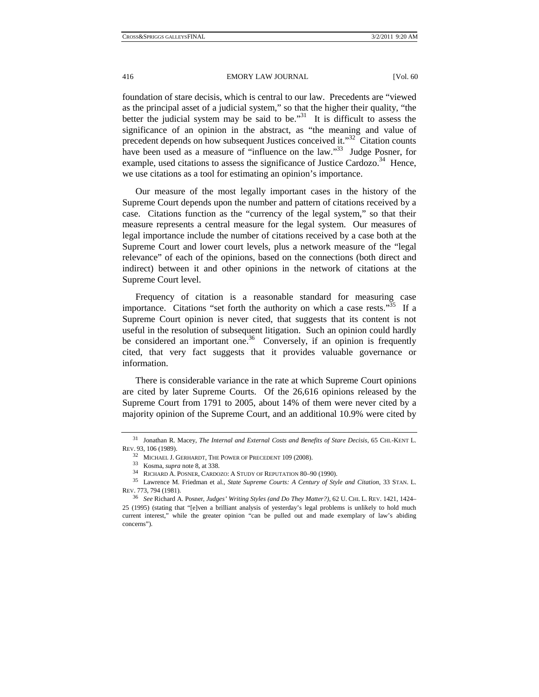foundation of stare decisis, which is central to our law. Precedents are "viewed as the principal asset of a judicial system," so that the higher their quality, "the better the judicial system may be said to be.<sup>31</sup> It is difficult to assess the significance of an opinion in the abstract, as "the meaning and value of precedent depends on how subsequent Justices conceived it."<sup>32</sup> Citation counts have been used as a measure of "influence on the law."<sup>33</sup> Judge Posner, for example, used citations to assess the significance of Justice Cardozo.<sup>34</sup> Hence, we use citations as a tool for estimating an opinion's importance.

Our measure of the most legally important cases in the history of the Supreme Court depends upon the number and pattern of citations received by a case. Citations function as the "currency of the legal system," so that their measure represents a central measure for the legal system. Our measures of legal importance include the number of citations received by a case both at the Supreme Court and lower court levels, plus a network measure of the "legal relevance" of each of the opinions, based on the connections (both direct and indirect) between it and other opinions in the network of citations at the Supreme Court level.

Frequency of citation is a reasonable standard for measuring case importance. Citations "set forth the authority on which a case rests."<sup>35</sup> If a Supreme Court opinion is never cited, that suggests that its content is not useful in the resolution of subsequent litigation. Such an opinion could hardly be considered an important one.<sup>36</sup> Conversely, if an opinion is frequently cited, that very fact suggests that it provides valuable governance or information.

There is considerable variance in the rate at which Supreme Court opinions are cited by later Supreme Courts. Of the 26,616 opinions released by the Supreme Court from 1791 to 2005, about 14% of them were never cited by a majority opinion of the Supreme Court, and an additional 10.9% were cited by

<sup>31</sup> Jonathan R. Macey, *The Internal and External Costs and Benefits of Stare Decisis*, 65 CHI.-KENT L. REV. 93, 106 (1989).  $$^{32}\,$  MICHAEL J. GERHARDT, THE POWER OF PRECEDENT 109 (2008).

<sup>&</sup>lt;sup>33</sup> Kosma, *supra* note 8, at 338.<br><sup>34</sup> RICHARD A. POSNER, CARDOZO: A STUDY OF REPUTATION 80–90 (1990).<br><sup>35</sup> Lawrence M. Friedman et al., *State Supreme Courts: A Century of Style and Citation*, 33 STAN. L. REV. 773, 794 (1981).

<sup>36</sup> *See* Richard A. Posner, *Judges' Writing Styles (and Do They Matter?)*, 62 U. CHI. L. REV. 1421, 1424– 25 (1995) (stating that "[e]ven a brilliant analysis of yesterday's legal problems is unlikely to hold much current interest," while the greater opinion "can be pulled out and made exemplary of law's abiding concerns").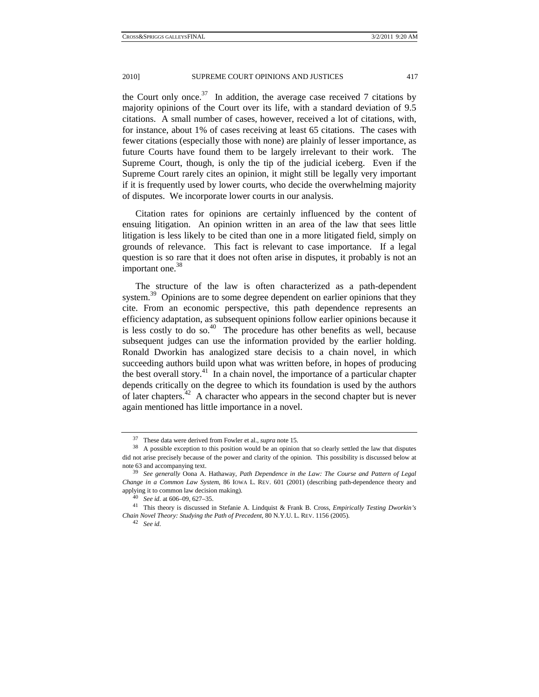the Court only once.<sup>37</sup> In addition, the average case received 7 citations by majority opinions of the Court over its life, with a standard deviation of 9.5 citations. A small number of cases, however, received a lot of citations, with, for instance, about 1% of cases receiving at least 65 citations. The cases with fewer citations (especially those with none) are plainly of lesser importance, as future Courts have found them to be largely irrelevant to their work. The Supreme Court, though, is only the tip of the judicial iceberg. Even if the Supreme Court rarely cites an opinion, it might still be legally very important if it is frequently used by lower courts, who decide the overwhelming majority of disputes. We incorporate lower courts in our analysis.

Citation rates for opinions are certainly influenced by the content of ensuing litigation. An opinion written in an area of the law that sees little litigation is less likely to be cited than one in a more litigated field, simply on grounds of relevance. This fact is relevant to case importance. If a legal question is so rare that it does not often arise in disputes, it probably is not an important one.<sup>38</sup>

The structure of the law is often characterized as a path-dependent system.<sup>39</sup> Opinions are to some degree dependent on earlier opinions that they cite. From an economic perspective, this path dependence represents an efficiency adaptation, as subsequent opinions follow earlier opinions because it is less costly to do so. $40$  The procedure has other benefits as well, because subsequent judges can use the information provided by the earlier holding. Ronald Dworkin has analogized stare decisis to a chain novel, in which succeeding authors build upon what was written before, in hopes of producing the best overall story.<sup>41</sup> In a chain novel, the importance of a particular chapter depends critically on the degree to which its foundation is used by the authors of later chapters.<sup>42</sup> A character who appears in the second chapter but is never again mentioned has little importance in a novel.

<sup>&</sup>lt;sup>37</sup> These data were derived from Fowler et al., *supra* note 15.<br><sup>38</sup> A possible exception to this position would be an opinion that so clearly settled the law that disputes did not arise precisely because of the power and clarity of the opinion. This possibility is discussed below at note 63 and accompanying text. 39 *See generally* Oona A. Hathaway, *Path Dependence in the Law: The Course and Pattern of Legal* 

*Change in a Common Law System*, 86 IOWA L. REV. 601 (2001) (describing path-dependence theory and applying it to common law decision making). <sup>40</sup> See id. at 606–09, 627–35.<br><sup>41</sup> This theory is discussed in Stefanie A. Lindquist & Frank B. Cross, *Empirically Testing Dworkin's* 

*Chain Novel Theory: Studying the Path of Precedent*, 80 N.Y.U. L. REV. 1156 (2005). 42 *See id.*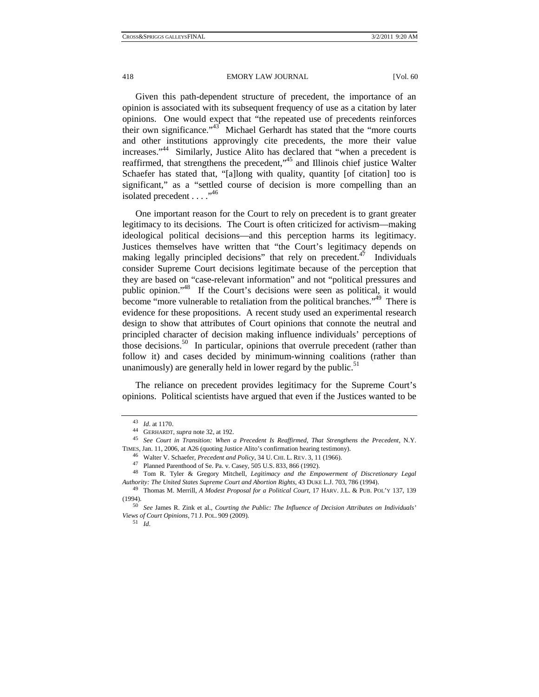Given this path-dependent structure of precedent, the importance of an opinion is associated with its subsequent frequency of use as a citation by later opinions. One would expect that "the repeated use of precedents reinforces their own significance."<sup>43</sup> Michael Gerhardt has stated that the "more courts" and other institutions approvingly cite precedents, the more their value increases."<sup>44</sup> Similarly, Justice Alito has declared that "when a precedent is reaffirmed, that strengthens the precedent,"45 and Illinois chief justice Walter Schaefer has stated that, "[a]long with quality, quantity [of citation] too is significant," as a "settled course of decision is more compelling than an isolated precedent  $\dots$ ."<sup>46</sup>

One important reason for the Court to rely on precedent is to grant greater legitimacy to its decisions. The Court is often criticized for activism—making ideological political decisions—and this perception harms its legitimacy. Justices themselves have written that "the Court's legitimacy depends on making legally principled decisions" that rely on precedent. $47$  Individuals consider Supreme Court decisions legitimate because of the perception that they are based on "case-relevant information" and not "political pressures and public opinion."48 If the Court's decisions were seen as political, it would become "more vulnerable to retaliation from the political branches."<sup>49</sup> There is evidence for these propositions. A recent study used an experimental research design to show that attributes of Court opinions that connote the neutral and principled character of decision making influence individuals' perceptions of those decisions.<sup>50</sup> In particular, opinions that overrule precedent (rather than follow it) and cases decided by minimum-winning coalitions (rather than unanimously) are generally held in lower regard by the public.<sup>51</sup>

The reliance on precedent provides legitimacy for the Supreme Court's opinions. Political scientists have argued that even if the Justices wanted to be

<sup>43</sup> *Id.* at 1170. 44 GERHARDT, *supra* note 32, at 192. 45 *See Court in Transition: When a Precedent Is Reaffirmed, That Strengthens the Precedent*, N.Y. TIMES, Jan. 11, 2006, at A26 (quoting Justice Alito's confirmation hearing testimony).<br>  $^{46}$  Walter V. Schaefer, *Precedent and Policy*, 34 U. CHI. L. REV. 3, 11 (1966).<br>  $^{47}$  Planned Parenthood of Se. Pa. v. Casey, 5

<sup>48</sup> Tom R. Tyler & Gregory Mitchell, *Legitimacy and the Empowerment of Discretionary Legal Authority: The United States Supreme Court and Abortion Rights*, 43 DUKE L.J. 703, 786 (1994). 49 Thomas M. Merrill, *A Modest Proposal for a Political Court*, 17 HARV. J.L. & PUB. POL'Y 137, 139

<sup>(1994). 50</sup> *See* James R. Zink et al., *Courting the Public: The Influence of Decision Attributes on Individuals' Views of Court Opinions*, 71 J. POL. 909 (2009). 51 *Id.*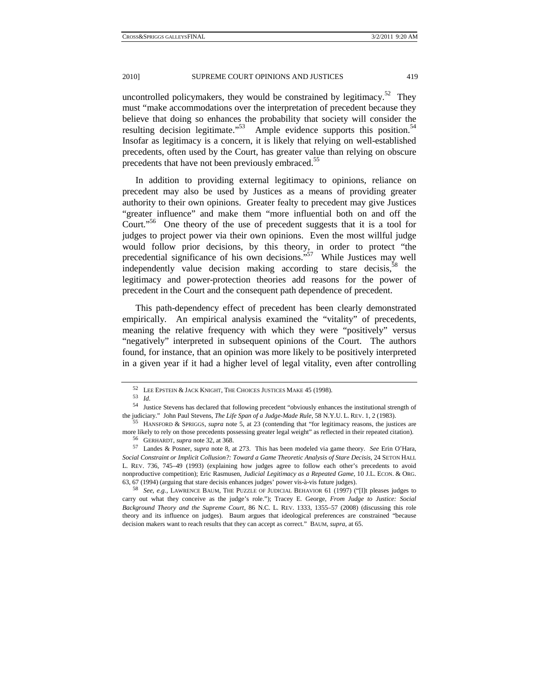uncontrolled policymakers, they would be constrained by legitimacy.<sup>52</sup> They must "make accommodations over the interpretation of precedent because they believe that doing so enhances the probability that society will consider the resulting decision legitimate."<sup>53</sup> Ample evidence supports this position.<sup>54</sup> Insofar as legitimacy is a concern, it is likely that relying on well-established precedents, often used by the Court, has greater value than relying on obscure precedents that have not been previously embraced.<sup>55</sup>

In addition to providing external legitimacy to opinions, reliance on precedent may also be used by Justices as a means of providing greater authority to their own opinions. Greater fealty to precedent may give Justices "greater influence" and make them "more influential both on and off the Court."<sup>56</sup> One theory of the use of precedent suggests that it is a tool for judges to project power via their own opinions. Even the most willful judge would follow prior decisions, by this theory, in order to protect "the precedential significance of his own decisions."57 While Justices may well independently value decision making according to stare decisis,  $58$  the legitimacy and power-protection theories add reasons for the power of precedent in the Court and the consequent path dependence of precedent.

This path-dependency effect of precedent has been clearly demonstrated empirically. An empirical analysis examined the "vitality" of precedents, meaning the relative frequency with which they were "positively" versus "negatively" interpreted in subsequent opinions of the Court. The authors found, for instance, that an opinion was more likely to be positively interpreted in a given year if it had a higher level of legal vitality, even after controlling

 $^{52}$  LEE EPSTEIN & JACK KNIGHT, THE CHOICES JUSTICES MAKE  $45$  (1998).  $_{\mathit{Id}}$ 

<sup>54</sup> Justice Stevens has declared that following precedent "obviously enhances the institutional strength of the judiciary." John Paul Stevens, *The Life Span of a Judge-Made Rule*, 58 N.Y.U. L. REV. 1, 2 (1983). 55 HANSFORD & SPRIGGS, *supra* note 5, at 23 (contending that "for legitimacy reasons, the justices are

more likely to rely on those precedents possessing greater legal weight" as reflected in their repeated citation).<br><sup>56</sup> GERHARDT, *supra* note 32, at 368.<br><sup>57</sup> Landes & Posner, *supra* note 8, at 273. This has been modeled

*Social Constraint or Implicit Collusion?: Toward a Game Theoretic Analysis of Stare Decisis*, 24 SETON HALL L. REV. 736, 745–49 (1993) (explaining how judges agree to follow each other's precedents to avoid nonproductive competition); Eric Rasmusen, *Judicial Legitimacy as a Repeated Game*, 10 J.L. ECON. & ORG. 63, 67 (1994) (arguing that stare decisis enhances judges' power vis-à-vis future judges). 58 *See, e.g.*, LAWRENCE BAUM, THE PUZZLE OF JUDICIAL BEHAVIOR 61 (1997) ("[I]t pleases judges to

carry out what they conceive as the judge's role."); Tracey E. George, *From Judge to Justice: Social Background Theory and the Supreme Court*, 86 N.C. L. REV. 1333, 1355–57 (2008) (discussing this role theory and its influence on judges). Baum argues that ideological preferences are constrained "because decision makers want to reach results that they can accept as correct." BAUM, *supra*, at 65.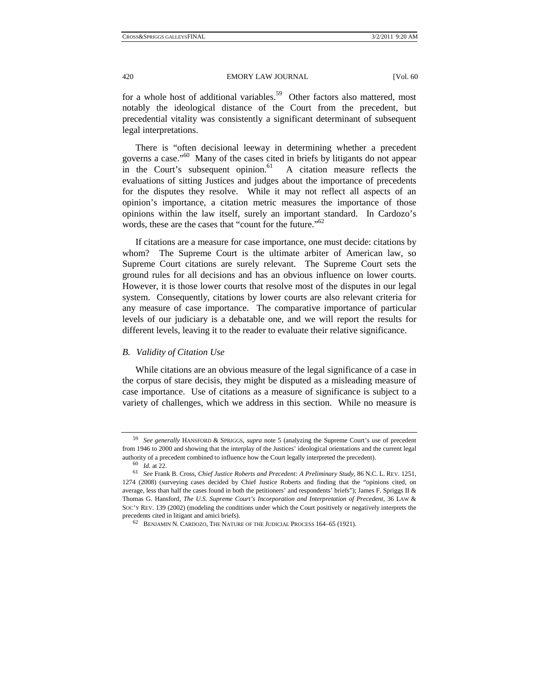for a whole host of additional variables.<sup>59</sup> Other factors also mattered, most notably the ideological distance of the Court from the precedent, but precedential vitality was consistently a significant determinant of subsequent legal interpretations.

There is "often decisional leeway in determining whether a precedent governs a case."<sup>60</sup> Many of the cases cited in briefs by litigants do not appear in the Court's subsequent opinion.<sup>61</sup> A citation measure reflects the in the Court's subsequent opinion. $61$ evaluations of sitting Justices and judges about the importance of precedents for the disputes they resolve. While it may not reflect all aspects of an opinion's importance, a citation metric measures the importance of those opinions within the law itself, surely an important standard. In Cardozo's words, these are the cases that "count for the future."<sup>62</sup>

If citations are a measure for case importance, one must decide: citations by whom? The Supreme Court is the ultimate arbiter of American law, so Supreme Court citations are surely relevant. The Supreme Court sets the ground rules for all decisions and has an obvious influence on lower courts. However, it is those lower courts that resolve most of the disputes in our legal system. Consequently, citations by lower courts are also relevant criteria for any measure of case importance. The comparative importance of particular levels of our judiciary is a debatable one, and we will report the results for different levels, leaving it to the reader to evaluate their relative significance.

## *B. Validity of Citation Use*

While citations are an obvious measure of the legal significance of a case in the corpus of stare decisis, they might be disputed as a misleading measure of case importance. Use of citations as a measure of significance is subject to a variety of challenges, which we address in this section. While no measure is

<sup>59</sup> *See generally* HANSFORD & SPRIGGS, *supra* note 5 (analyzing the Supreme Court's use of precedent from 1946 to 2000 and showing that the interplay of the Justices' ideological orientations and the current legal authority of a precedent combined to influence how the Court legally interpreted the precedent).<br>  $\frac{60}{61}$  *Id.* at 22.<br>  $\frac{61}{3}$  *See* Frank B. Cross, *Chief Justice Roberts and Precedent: A Preliminary Study*, 86 N

<sup>1274 (2008) (</sup>surveying cases decided by Chief Justice Roberts and finding that the "opinions cited, on average, less than half the cases found in both the petitioners' and respondents' briefs"); James F. Spriggs II  $\&$ Thomas G. Hansford, *The U.S. Supreme Court's Incorporation and Interpretation of Precedent*, 36 LAW & SOC'Y REV. 139 (2002) (modeling the conditions under which the Court positively or negatively interprets the precedents cited in litigant and amici briefs). 62 BENJAMIN N. CARDOZO, THE NATURE OF THE JUDICIAL PROCESS 164–65 (1921).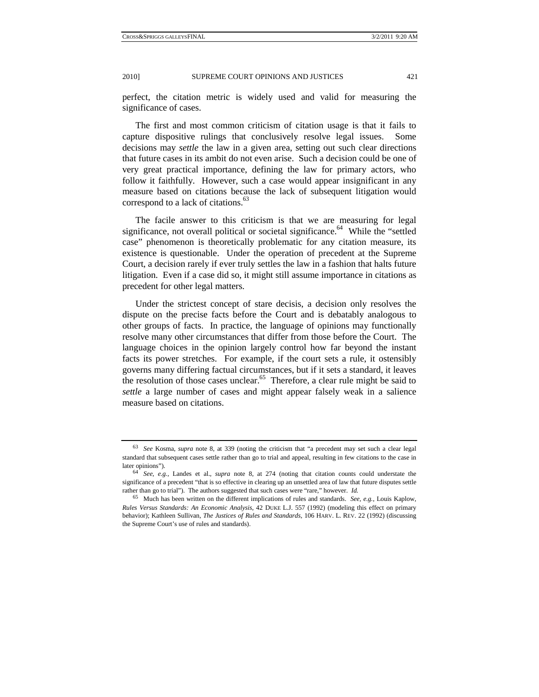perfect, the citation metric is widely used and valid for measuring the significance of cases.

The first and most common criticism of citation usage is that it fails to capture dispositive rulings that conclusively resolve legal issues. Some decisions may *settle* the law in a given area, setting out such clear directions that future cases in its ambit do not even arise. Such a decision could be one of very great practical importance, defining the law for primary actors, who follow it faithfully. However, such a case would appear insignificant in any measure based on citations because the lack of subsequent litigation would correspond to a lack of citations.<sup>63</sup>

The facile answer to this criticism is that we are measuring for legal significance, not overall political or societal significance.<sup>64</sup> While the "settled case" phenomenon is theoretically problematic for any citation measure, its existence is questionable. Under the operation of precedent at the Supreme Court, a decision rarely if ever truly settles the law in a fashion that halts future litigation. Even if a case did so, it might still assume importance in citations as precedent for other legal matters.

Under the strictest concept of stare decisis, a decision only resolves the dispute on the precise facts before the Court and is debatably analogous to other groups of facts. In practice, the language of opinions may functionally resolve many other circumstances that differ from those before the Court. The language choices in the opinion largely control how far beyond the instant facts its power stretches. For example, if the court sets a rule, it ostensibly governs many differing factual circumstances, but if it sets a standard, it leaves the resolution of those cases unclear.<sup>65</sup> Therefore, a clear rule might be said to *settle* a large number of cases and might appear falsely weak in a salience measure based on citations.

<sup>63</sup> *See* Kosma, *supra* note 8, at 339 (noting the criticism that "a precedent may set such a clear legal standard that subsequent cases settle rather than go to trial and appeal, resulting in few citations to the case in

later opinions"). 64 *See, e.g.*, Landes et al., *supra* note 8, at 274 (noting that citation counts could understate the significance of a precedent "that is so effective in clearing up an unsettled area of law that future disputes settle rather than go to trial"). The authors suggested that such cases were "rare," however. *Id.*

<sup>65</sup> Much has been written on the different implications of rules and standards. *See, e.g.*, Louis Kaplow, *Rules Versus Standards: An Economic Analysis*, 42 DUKE L.J. 557 (1992) (modeling this effect on primary behavior); Kathleen Sullivan, *The Justices of Rules and Standards*, 106 HARV. L. REV. 22 (1992) (discussing the Supreme Court's use of rules and standards).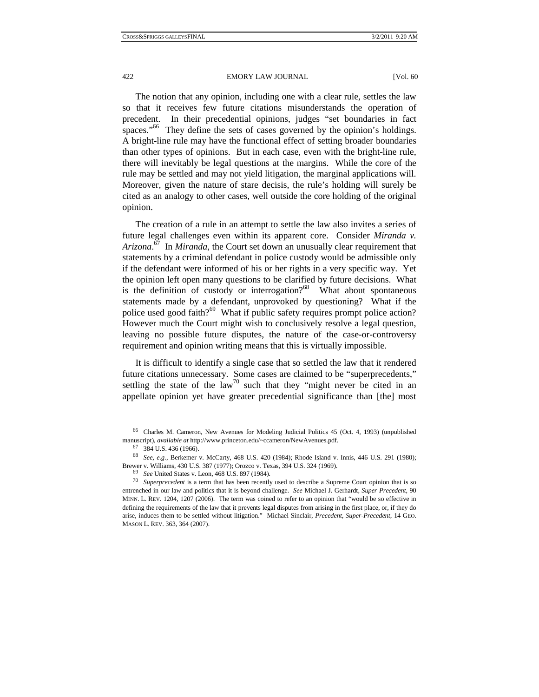The notion that any opinion, including one with a clear rule, settles the law so that it receives few future citations misunderstands the operation of precedent. In their precedential opinions, judges "set boundaries in fact spaces."<sup>66</sup> They define the sets of cases governed by the opinion's holdings. A bright-line rule may have the functional effect of setting broader boundaries than other types of opinions. But in each case, even with the bright-line rule, there will inevitably be legal questions at the margins. While the core of the rule may be settled and may not yield litigation, the marginal applications will. Moreover, given the nature of stare decisis, the rule's holding will surely be cited as an analogy to other cases, well outside the core holding of the original opinion.

The creation of a rule in an attempt to settle the law also invites a series of future legal challenges even within its apparent core. Consider *Miranda v. Arizona*. 67 In *Miranda*, the Court set down an unusually clear requirement that statements by a criminal defendant in police custody would be admissible only if the defendant were informed of his or her rights in a very specific way. Yet the opinion left open many questions to be clarified by future decisions. What is the definition of custody or interrogation? $68$  What about spontaneous statements made by a defendant, unprovoked by questioning? What if the police used good faith?<sup>69</sup> What if public safety requires prompt police action? However much the Court might wish to conclusively resolve a legal question, leaving no possible future disputes, the nature of the case-or-controversy requirement and opinion writing means that this is virtually impossible.

It is difficult to identify a single case that so settled the law that it rendered future citations unnecessary. Some cases are claimed to be "superprecedents," settling the state of the law<sup>70</sup> such that they "might never be cited in an appellate opinion yet have greater precedential significance than [the] most

<sup>66</sup> Charles M. Cameron, New Avenues for Modeling Judicial Politics 45 (Oct. 4, 1993) (unpublished manuscript), *available at* http://www.princeton.edu/~ccameron/NewAvenues.pdf. 67 384 U.S. 436 (1966).

<sup>68</sup> *See, e.g.*, Berkemer v. McCarty, 468 U.S. 420 (1984); Rhode Island v. Innis, 446 U.S. 291 (1980); Brewer v. Williams, 430 U.S. 387 (1977); Orozco v. Texas, 394 U.S. 324 (1969).<br><sup>69</sup> See United States v. Leon, 468 U.S. 897 (1984).<br><sup>70</sup> Superprecedent is a term that has been recently used to describe a Supreme Court opin

entrenched in our law and politics that it is beyond challenge. *See* Michael J. Gerhardt, *Super Precedent*, 90 MINN. L. REV. 1204, 1207 (2006). The term was coined to refer to an opinion that "would be so effective in defining the requirements of the law that it prevents legal disputes from arising in the first place, or, if they do arise, induces them to be settled without litigation." Michael Sinclair, *Precedent, Super-Precedent*, 14 GEO. MASON L. REV. 363, 364 (2007).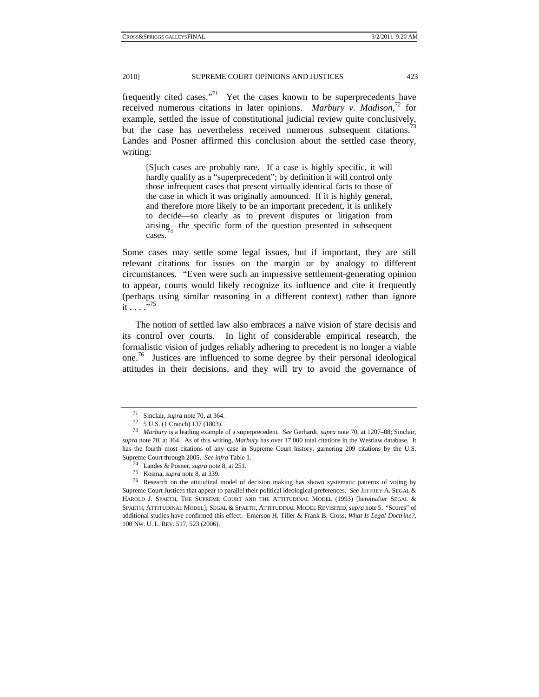frequently cited cases."<sup>71</sup> Yet the cases known to be superprecedents have received numerous citations in later opinions. *Marbury v. Madison*, 72 for example, settled the issue of constitutional judicial review quite conclusively, but the case has nevertheless received numerous subsequent citations.<sup>73</sup> Landes and Posner affirmed this conclusion about the settled case theory, writing:

[S]uch cases are probably rare. If a case is highly specific, it will hardly qualify as a "superprecedent"; by definition it will control only those infrequent cases that present virtually identical facts to those of the case in which it was originally announced. If it is highly general, and therefore more likely to be an important precedent, it is unlikely to decide—so clearly as to prevent disputes or litigation from  $\frac{\text{arising}}{4}$  the specific form of the question presented in subsequent cases.

Some cases may settle some legal issues, but if important, they are still relevant citations for issues on the margin or by analogy to different circumstances. "Even were such an impressive settlement-generating opinion to appear, courts would likely recognize its influence and cite it frequently (perhaps using similar reasoning in a different context) rather than ignore it . . . .  $\cdot$  . 75

The notion of settled law also embraces a naïve vision of stare decisis and its control over courts. In light of considerable empirical research, the formalistic vision of judges reliably adhering to precedent is no longer a viable one. 76 Justices are influenced to some degree by their personal ideological attitudes in their decisions, and they will try to avoid the governance of

<sup>71</sup> Sinclair, *supra* note 70, at 364. 72 5 U.S. (1 Cranch) 137 (1803).

<sup>73</sup> *Marbury* is a leading example of a superprecedent. *See* Gerhardt, *supra* note 70, at 1207–08; Sinclair, *supra* note 70, at 364. As of this writing, *Marbury* has over 17,000 total citations in the Westlaw database. It has the fourth most citations of any case in Supreme Court history, garnering 209 citations by the U.S.

Supreme Court through 2005. See infra Table 1.<br>
<sup>74</sup> Landes & Posner, *supra* note 8, at 251.<br>
<sup>75</sup> Kosma, *supra* note 8, at 339.<br>
<sup>75</sup> Research on the attitudinal model of decision making has shown systematic patterns of Supreme Court Justices that appear to parallel their political ideological preferences. *See* JEFFREY A. SEGAL & HAROLD J. SPAETH, THE SUPREME COURT AND THE ATTITUDINAL MODEL (1993) [hereinafter SEGAL & SPAETH, ATTITUDINAL MODEL]; SEGAL & SPAETH, ATTITUDINAL MODEL REVISITED,*supra* note 5. "Scores" of additional studies have confirmed this effect. Emerson H. Tiller & Frank B. Cross, *What Is Legal Doctrine?*, 100 NW. U. L. REV. 517, 523 (2006).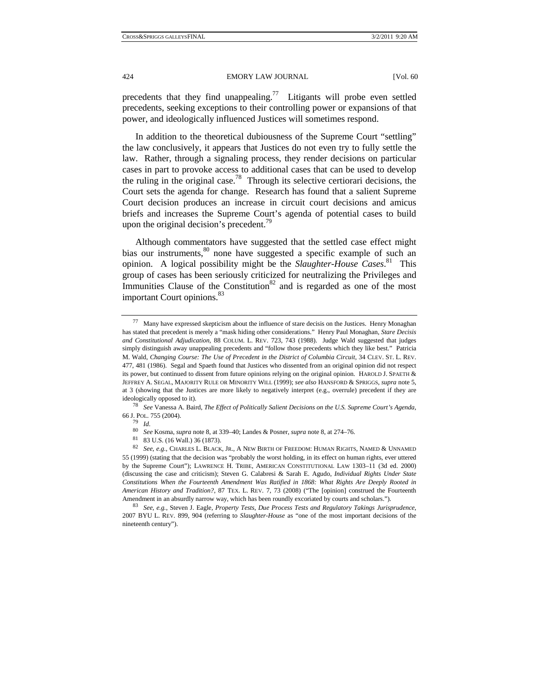precedents that they find unappealing.<sup>77</sup> Litigants will probe even settled precedents, seeking exceptions to their controlling power or expansions of that power, and ideologically influenced Justices will sometimes respond.

In addition to the theoretical dubiousness of the Supreme Court "settling" the law conclusively, it appears that Justices do not even try to fully settle the law. Rather, through a signaling process, they render decisions on particular cases in part to provoke access to additional cases that can be used to develop the ruling in the original case.<sup>78</sup> Through its selective certiorari decisions, the Court sets the agenda for change. Research has found that a salient Supreme Court decision produces an increase in circuit court decisions and amicus briefs and increases the Supreme Court's agenda of potential cases to build upon the original decision's precedent.<sup>79</sup>

Although commentators have suggested that the settled case effect might bias our instruments,<sup>80</sup> none have suggested a specific example of such an opinion. A logical possibility might be the *Slaughter-House Cases*. 81 This group of cases has been seriously criticized for neutralizing the Privileges and Immunities Clause of the Constitution<sup>82</sup> and is regarded as one of the most important Court opinions.<sup>83</sup>

<sup>77</sup> Many have expressed skepticism about the influence of stare decisis on the Justices. Henry Monaghan has stated that precedent is merely a "mask hiding other considerations." Henry Paul Monaghan, *Stare Decisis and Constitutional Adjudication*, 88 COLUM. L. REV. 723, 743 (1988). Judge Wald suggested that judges simply distinguish away unappealing precedents and "follow those precedents which they like best." Patricia M. Wald, *Changing Course: The Use of Precedent in the District of Columbia Circuit*, 34 CLEV. ST. L. REV. 477, 481 (1986). Segal and Spaeth found that Justices who dissented from an original opinion did not respect its power, but continued to dissent from future opinions relying on the original opinion. HAROLD J. SPAETH & JEFFREY A. SEGAL, MAJORITY RULE OR MINORITY WILL (1999); *see also* HANSFORD & SPRIGGS, *supra* note 5, at 3 (showing that the Justices are more likely to negatively interpret (e.g., overrule) precedent if they are ideologically opposed to it). 78 *See* Vanessa A. Baird, *The Effect of Politically Salient Decisions on the U.S. Supreme Court's Agenda*,

<sup>66</sup> J. POL. 755 (2004). 79 *Id.*

<sup>80</sup> *See* Kosma, *supra* note 8, at 339–40; Landes & Posner, *supra* note 8, at 274–76. 81 83 U.S. (16 Wall.) 36 (1873).

<sup>82</sup> *See, e.g.*, CHARLES L. BLACK, JR., A NEW BIRTH OF FREEDOM: HUMAN RIGHTS, NAMED & UNNAMED 55 (1999) (stating that the decision was "probably the worst holding, in its effect on human rights, ever uttered by the Supreme Court"); LAWRENCE H. TRIBE, AMERICAN CONSTITUTIONAL LAW 1303–11 (3d ed. 2000) (discussing the case and criticism); Steven G. Calabresi & Sarah E. Agudo, *Individual Rights Under State Constitutions When the Fourteenth Amendment Was Ratified in 1868: What Rights Are Deeply Rooted in American History and Tradition?*, 87 TEX. L. REV. 7, 73 (2008) ("The [opinion] construed the Fourteenth

Amendment in an absurdly narrow way, which has been roundly excoriated by courts and scholars."). 83 *See, e.g.*, Steven J. Eagle, *Property Tests, Due Process Tests and Regulatory Takings Jurisprudence*, 2007 BYU L. REV. 899, 904 (referring to *Slaughter-House* as "one of the most important decisions of the nineteenth century").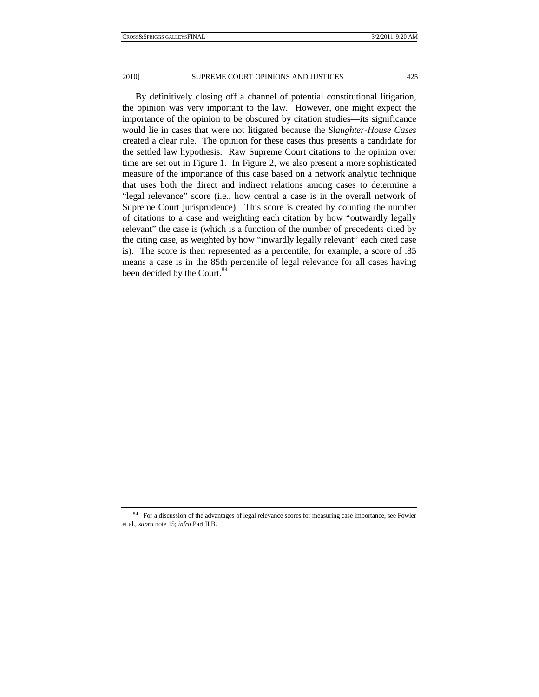By definitively closing off a channel of potential constitutional litigation, the opinion was very important to the law. However, one might expect the importance of the opinion to be obscured by citation studies—its significance would lie in cases that were not litigated because the *Slaughter-House Cases* created a clear rule. The opinion for these cases thus presents a candidate for the settled law hypothesis. Raw Supreme Court citations to the opinion over time are set out in Figure 1. In Figure 2, we also present a more sophisticated measure of the importance of this case based on a network analytic technique that uses both the direct and indirect relations among cases to determine a "legal relevance" score (i.e., how central a case is in the overall network of Supreme Court jurisprudence). This score is created by counting the number of citations to a case and weighting each citation by how "outwardly legally relevant" the case is (which is a function of the number of precedents cited by the citing case, as weighted by how "inwardly legally relevant" each cited case is). The score is then represented as a percentile; for example, a score of .85 means a case is in the 85th percentile of legal relevance for all cases having been decided by the Court.<sup>84</sup>

<sup>&</sup>lt;sup>84</sup> For a discussion of the advantages of legal relevance scores for measuring case importance, see Fowler et al., *supra* note 15; *infra* Part II.B.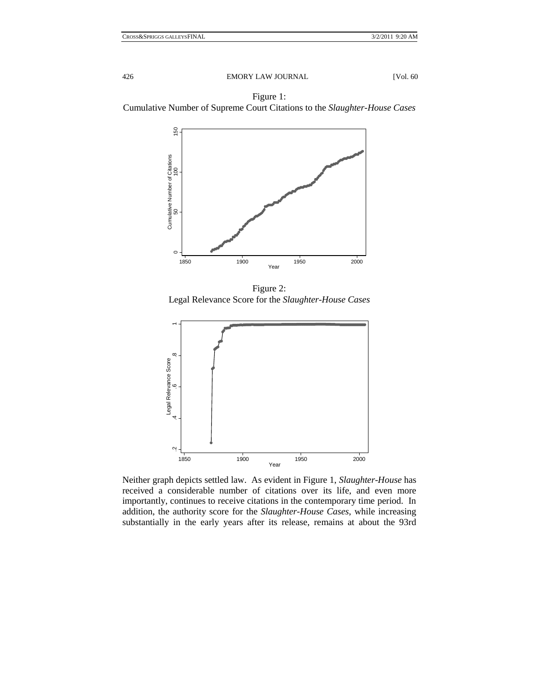

Figure 2: Legal Relevance Score for the *Slaughter-House Cases* 



Neither graph depicts settled law. As evident in Figure 1, *Slaughter-House* has received a considerable number of citations over its life, and even more importantly, continues to receive citations in the contemporary time period. In addition, the authority score for the *Slaughter-House Cases*, while increasing substantially in the early years after its release, remains at about the 93rd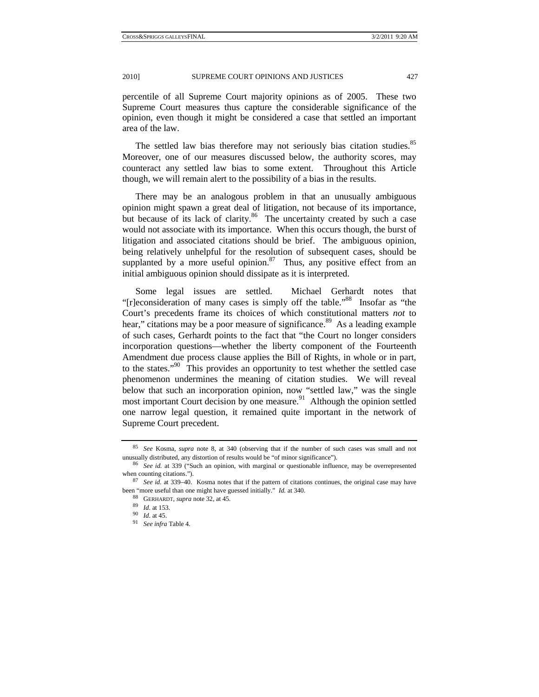percentile of all Supreme Court majority opinions as of 2005. These two Supreme Court measures thus capture the considerable significance of the opinion, even though it might be considered a case that settled an important area of the law.

The settled law bias therefore may not seriously bias citation studies.<sup>85</sup> Moreover, one of our measures discussed below, the authority scores, may counteract any settled law bias to some extent. Throughout this Article though, we will remain alert to the possibility of a bias in the results.

There may be an analogous problem in that an unusually ambiguous opinion might spawn a great deal of litigation, not because of its importance, but because of its lack of clarity.<sup>86</sup> The uncertainty created by such a case would not associate with its importance. When this occurs though, the burst of litigation and associated citations should be brief. The ambiguous opinion, being relatively unhelpful for the resolution of subsequent cases, should be supplanted by a more useful opinion.<sup>87</sup> Thus, any positive effect from an initial ambiguous opinion should dissipate as it is interpreted.

Some legal issues are settled. Michael Gerhardt notes that "[r]econsideration of many cases is simply off the table."88 Insofar as "the Court's precedents frame its choices of which constitutional matters *not* to hear," citations may be a poor measure of significance.<sup>89</sup> As a leading example of such cases, Gerhardt points to the fact that "the Court no longer considers incorporation questions—whether the liberty component of the Fourteenth Amendment due process clause applies the Bill of Rights, in whole or in part, to the states."90 This provides an opportunity to test whether the settled case phenomenon undermines the meaning of citation studies. We will reveal below that such an incorporation opinion, now "settled law," was the single most important Court decision by one measure.<sup>91</sup> Although the opinion settled one narrow legal question, it remained quite important in the network of Supreme Court precedent.

<sup>85</sup> *See* Kosma, *supra* note 8, at 340 (observing that if the number of such cases was small and not

unusually distributed, any distortion of results would be "of minor significance").<br><sup>86</sup> See id. at 339 ("Such an opinion, with marginal or questionable influence, may be overrepresented when counting citations.").

<sup>&</sup>lt;sup>87</sup> See id. at 339–40. Kosma notes that if the pattern of citations continues, the original case may have been "more useful than one might have guessed initially." *Id.* at 340. 88 GERHARDT, *supra* note 32, at 45. 9*9 Id.* at 45. 91 *See infra* Table 4.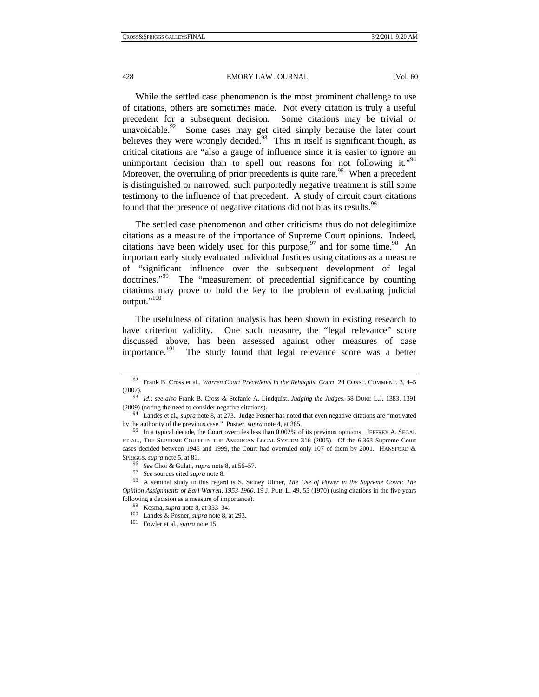While the settled case phenomenon is the most prominent challenge to use of citations, others are sometimes made. Not every citation is truly a useful precedent for a subsequent decision. Some citations may be trivial or unavoidable. $92$  Some cases may get cited simply because the later court believes they were wrongly decided.<sup>93</sup> This in itself is significant though, as critical citations are "also a gauge of influence since it is easier to ignore an unimportant decision than to spell out reasons for not following it."<sup>94</sup> Moreover, the overruling of prior precedents is quite rare.<sup>95</sup> When a precedent is distinguished or narrowed, such purportedly negative treatment is still some testimony to the influence of that precedent. A study of circuit court citations found that the presence of negative citations did not bias its results.<sup>96</sup>

The settled case phenomenon and other criticisms thus do not delegitimize citations as a measure of the importance of Supreme Court opinions. Indeed, citations have been widely used for this purpose,  $97$  and for some time.<sup>98</sup> An important early study evaluated individual Justices using citations as a measure of "significant influence over the subsequent development of legal doctrines."<sup>99</sup> The "measurement of precedential significance by counting The "measurement of precedential significance by counting citations may prove to hold the key to the problem of evaluating judicial output."<sup>100</sup>

The usefulness of citation analysis has been shown in existing research to have criterion validity. One such measure, the "legal relevance" score discussed above, has been assessed against other measures of case importance.<sup>101</sup> The study found that legal relevance score was a better

<sup>92</sup> Frank B. Cross et al., *Warren Court Precedents in the Rehnquist Court*, 24 CONST. COMMENT. 3, 4–5 (2007). 93 *Id.*; *see also* Frank B. Cross & Stefanie A. Lindquist, *Judging the Judges*, 58 DUKE L.J. 1383, 1391

<sup>(2009) (</sup>noting the need to consider negative citations). 94 Landes et al., *supra* note 8, at 273. Judge Posner has noted that even negative citations are "motivated

by the authority of the previous case." Posner, *supra* note 4, at 385.<br><sup>95</sup> In a typical decade, the Court overrules less than 0.002% of its previous opinions. JEFFREY A. SEGAL

ET AL., THE SUPREME COURT IN THE AMERICAN LEGAL SYSTEM 316 (2005). Of the 6,363 Supreme Court cases decided between 1946 and 1999, the Court had overruled only 107 of them by 2001. HANSFORD &

SPRIGGS, *supra* note 5, at 81.<br>
<sup>96</sup> See Choi & Gulati, *supra* note 8, at 56–57.<br>
<sup>97</sup> See sources cited *supra* note 8.<br>
<sup>98</sup> A seminal study in this regard is S. Sidney Ulmer, *The Use of Power in the Supreme Court: T Opinion Assignments of Earl Warren, 1953-1960*, 19 J. PUB. L. 49, 55 (1970) (using citations in the five years following a decision as a measure of importance). 99 Kosma, *supra* note 8, at 333–34. 100 Landes & Posner, *supra* note 8, at 293. 101 Fowler et al., *supra* note 15.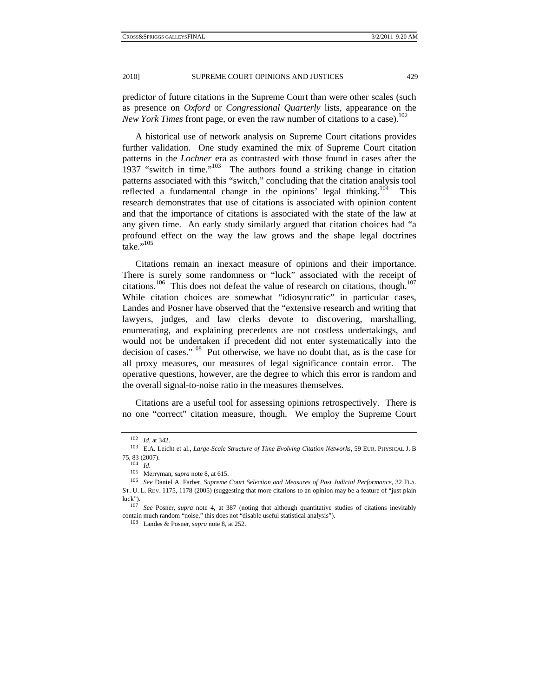predictor of future citations in the Supreme Court than were other scales (such as presence on *Oxford* or *Congressional Quarterly* lists, appearance on the *New York Times* front page, or even the raw number of citations to a case).<sup>102</sup>

A historical use of network analysis on Supreme Court citations provides further validation. One study examined the mix of Supreme Court citation patterns in the *Lochner* era as contrasted with those found in cases after the 1937 "switch in time."<sup>103</sup> The authors found a striking change in citation patterns associated with this "switch," concluding that the citation analysis tool reflected a fundamental change in the opinions' legal thinking.<sup>104</sup> This research demonstrates that use of citations is associated with opinion content and that the importance of citations is associated with the state of the law at any given time. An early study similarly argued that citation choices had "a profound effect on the way the law grows and the shape legal doctrines take." $^{105}$ 

Citations remain an inexact measure of opinions and their importance. There is surely some randomness or "luck" associated with the receipt of citations.<sup>106</sup> This does not defeat the value of research on citations, though.<sup>107</sup> While citation choices are somewhat "idiosyncratic" in particular cases, Landes and Posner have observed that the "extensive research and writing that lawyers, judges, and law clerks devote to discovering, marshalling, enumerating, and explaining precedents are not costless undertakings, and would not be undertaken if precedent did not enter systematically into the decision of cases."<sup>108</sup> Put otherwise, we have no doubt that, as is the case for all proxy measures, our measures of legal significance contain error. The operative questions, however, are the degree to which this error is random and the overall signal-to-noise ratio in the measures themselves.

Citations are a useful tool for assessing opinions retrospectively. There is no one "correct" citation measure, though. We employ the Supreme Court

<sup>102</sup> *Id.* at 342. 103 E.A. Leicht et al., *Large-Scale Structure of Time Evolving Citation Networks*, 59 EUR. PHYSICAL J. <sup>B</sup> 75, 83 (2007). 104 *Id.*

<sup>&</sup>lt;sup>106</sup> See Daniel A. Farber, Supreme Court Selection and Measures of Past Judicial Performance, 32 FLA. ST. U. L. REV. 1175, 1178 (2005) (suggesting that more citations to an opinion may be a feature of "just plain

luck"). 107 *See* Posner, *supra* note 4, at 387 (noting that although quantitative studies of citations inevitably

contain much random "noise," this does not "disable useful statistical analysis"). 108 Landes & Posner,*supra* note 8, at 252.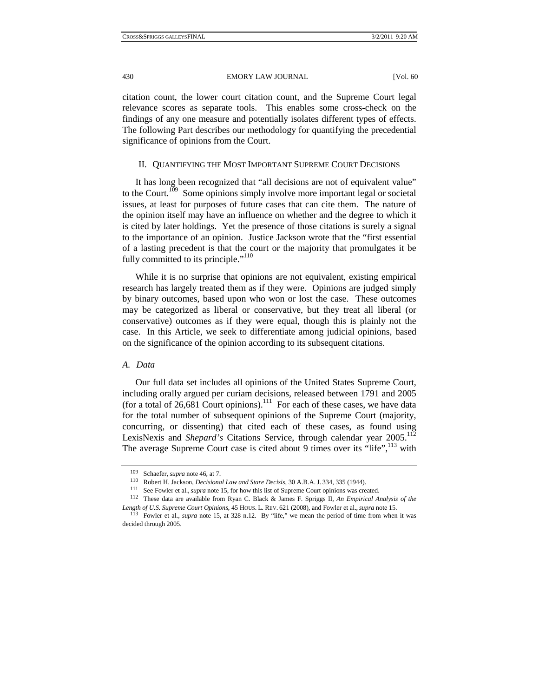citation count, the lower court citation count, and the Supreme Court legal relevance scores as separate tools. This enables some cross-check on the findings of any one measure and potentially isolates different types of effects. The following Part describes our methodology for quantifying the precedential significance of opinions from the Court.

#### II. QUANTIFYING THE MOST IMPORTANT SUPREME COURT DECISIONS

It has long been recognized that "all decisions are not of equivalent value" to the Court.<sup>109</sup> Some opinions simply involve more important legal or societal issues, at least for purposes of future cases that can cite them. The nature of the opinion itself may have an influence on whether and the degree to which it is cited by later holdings. Yet the presence of those citations is surely a signal to the importance of an opinion. Justice Jackson wrote that the "first essential of a lasting precedent is that the court or the majority that promulgates it be fully committed to its principle."<sup>110</sup>

While it is no surprise that opinions are not equivalent, existing empirical research has largely treated them as if they were. Opinions are judged simply by binary outcomes, based upon who won or lost the case. These outcomes may be categorized as liberal or conservative, but they treat all liberal (or conservative) outcomes as if they were equal, though this is plainly not the case. In this Article, we seek to differentiate among judicial opinions, based on the significance of the opinion according to its subsequent citations.

#### *A. Data*

Our full data set includes all opinions of the United States Supreme Court, including orally argued per curiam decisions, released between 1791 and 2005 (for a total of 26,681 Court opinions).<sup>111</sup> For each of these cases, we have data for the total number of subsequent opinions of the Supreme Court (majority, concurring, or dissenting) that cited each of these cases, as found using LexisNexis and *Shepard's* Citations Service, through calendar year 2005.<sup>112</sup> The average Supreme Court case is cited about 9 times over its "life",<sup>113</sup> with

<sup>&</sup>lt;sup>109</sup> Schaefer, *supra* note 46, at 7.<br><sup>110</sup> Robert H. Jackson, *Decisional Law and Stare Decisis*, 30 A.B.A. J. 334, 335 (1944).<br><sup>111</sup> See Fowler et al., *supra* note 15, for how this list of Supreme Court opinions was c *Length of U.S. Supreme Court Opinions*, 45 HOUS. L. REV. 621 (2008), and Fowler et al., *supra* note 15. <sup>113</sup> Fowler et al., *supra* note 15, at 328 n.12. By "life," we mean the period of time from when it was

decided through 2005.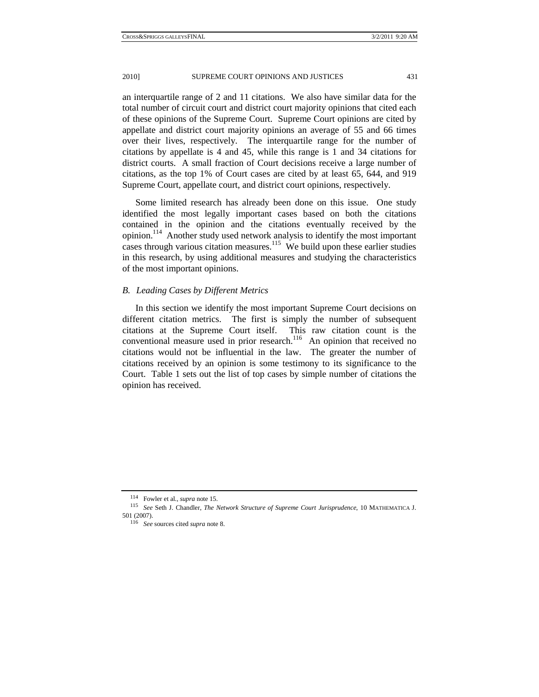an interquartile range of 2 and 11 citations. We also have similar data for the total number of circuit court and district court majority opinions that cited each of these opinions of the Supreme Court. Supreme Court opinions are cited by appellate and district court majority opinions an average of 55 and 66 times over their lives, respectively. The interquartile range for the number of citations by appellate is 4 and 45, while this range is 1 and 34 citations for district courts. A small fraction of Court decisions receive a large number of citations, as the top 1% of Court cases are cited by at least 65, 644, and 919 Supreme Court, appellate court, and district court opinions, respectively.

Some limited research has already been done on this issue. One study identified the most legally important cases based on both the citations contained in the opinion and the citations eventually received by the opinion.114 Another study used network analysis to identify the most important cases through various citation measures.<sup>115</sup> We build upon these earlier studies in this research, by using additional measures and studying the characteristics of the most important opinions.

### *B. Leading Cases by Different Metrics*

In this section we identify the most important Supreme Court decisions on different citation metrics. The first is simply the number of subsequent citations at the Supreme Court itself. This raw citation count is the conventional measure used in prior research.<sup>116</sup> An opinion that received no citations would not be influential in the law. The greater the number of citations received by an opinion is some testimony to its significance to the Court. Table 1 sets out the list of top cases by simple number of citations the opinion has received.

<sup>114</sup> Fowler et al., *supra* note 15. 115 *See* Seth J. Chandler, *The Network Structure of Supreme Court Jurisprudence*, 10 MATHEMATICA J. 501 (2007). 116 *See* sources cited *supra* note 8.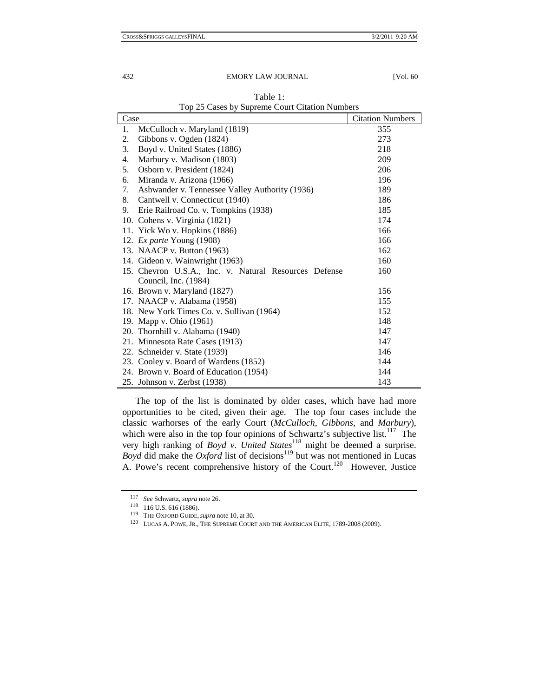#### 432 EMORY LAW JOURNAL [Vol. 60]

| Case                                                  | <b>Citation Numbers</b> |
|-------------------------------------------------------|-------------------------|
| McCulloch v. Maryland (1819)<br>1.                    | 355                     |
| Gibbons v. Ogden (1824)<br>2.                         | 273                     |
| 3.<br>Boyd v. United States (1886)                    | 218                     |
| Marbury v. Madison (1803)<br>4.                       | 209                     |
| Osborn v. President (1824)<br>5.                      | 206                     |
| Miranda v. Arizona (1966)<br>6.                       | 196                     |
| Ashwander v. Tennessee Valley Authority (1936)<br>7.  | 189                     |
| Cantwell v. Connecticut (1940)<br>8.                  | 186                     |
| Erie Railroad Co. v. Tompkins (1938)<br>9.            | 185                     |
| 10. Cohens v. Virginia (1821)                         | 174                     |
| 11. Yick Wo v. Hopkins (1886)                         | 166                     |
| 12. Ex parte Young (1908)                             | 166                     |
| 13. NAACP v. Button (1963)                            | 162                     |
| 14. Gideon v. Wainwright (1963)                       | 160                     |
| 15. Chevron U.S.A., Inc. v. Natural Resources Defense | 160                     |
| Council, Inc. (1984)                                  |                         |
| 16. Brown v. Maryland (1827)                          | 156                     |
| 17. NAACP v. Alabama (1958)                           | 155                     |
| 18. New York Times Co. v. Sullivan (1964)             | 152                     |
| 19. Mapp v. Ohio (1961)                               | 148                     |
| 20. Thornhill v. Alabama (1940)                       | 147                     |
| 21. Minnesota Rate Cases (1913)                       | 147                     |
| 22. Schneider v. State (1939)                         | 146                     |
| 23. Cooley v. Board of Wardens (1852)                 | 144                     |
| 24. Brown v. Board of Education (1954)                | 144                     |
| 25. Johnson v. Zerbst (1938)                          | 143                     |

Table 1: Top 25 Cases by Supreme Court Citation Numbers

The top of the list is dominated by older cases, which have had more opportunities to be cited, given their age. The top four cases include the classic warhorses of the early Court (*McCulloch*, *Gibbons*, and *Marbury*), which were also in the top four opinions of Schwartz's subjective list.<sup>117</sup> The very high ranking of *Boyd v. United States*<sup>118</sup> might be deemed a surprise. *Boyd* did make the *Oxford* list of decisions<sup>119</sup> but was not mentioned in Lucas A. Powe's recent comprehensive history of the Court.<sup>120</sup> However, Justice

<sup>&</sup>lt;sup>117</sup> See Schwartz, *supra* note 26.<br><sup>118</sup> 116 U.S. 616 (1886).<br><sup>119</sup> THE OXFORD GUIDE, *supra* note 10, at 30. 120 LUCAS A. POWE, JR., THE SUPREME COURT AND THE AMERICAN ELITE, 1789-2008 (2009).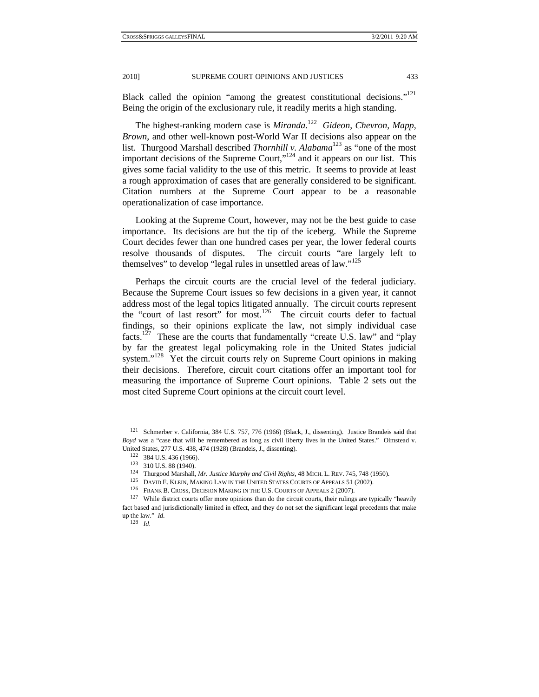Black called the opinion "among the greatest constitutional decisions."121 Being the origin of the exclusionary rule, it readily merits a high standing.

The highest-ranking modern case is *Miranda*. 122 *Gideon*, *Chevron*, *Mapp*, *Brown*, and other well-known post-World War II decisions also appear on the list. Thurgood Marshall described *Thornhill v. Alabama*123 as "one of the most important decisions of the Supreme Court, $n^{124}$  and it appears on our list. This gives some facial validity to the use of this metric. It seems to provide at least a rough approximation of cases that are generally considered to be significant. Citation numbers at the Supreme Court appear to be a reasonable operationalization of case importance.

Looking at the Supreme Court, however, may not be the best guide to case importance. Its decisions are but the tip of the iceberg. While the Supreme Court decides fewer than one hundred cases per year, the lower federal courts resolve thousands of disputes. The circuit courts "are largely left to themselves" to develop "legal rules in unsettled areas of law."<sup>125</sup>

Perhaps the circuit courts are the crucial level of the federal judiciary. Because the Supreme Court issues so few decisions in a given year, it cannot address most of the legal topics litigated annually. The circuit courts represent the "court of last resort" for most.<sup>126</sup> The circuit courts defer to factual findings, so their opinions explicate the law, not simply individual case facts.<sup>127</sup> These are the courts that fundamentally "create U.S. law" and "play by far the greatest legal policymaking role in the United States judicial system."<sup>128</sup> Yet the circuit courts rely on Supreme Court opinions in making their decisions. Therefore, circuit court citations offer an important tool for measuring the importance of Supreme Court opinions. Table 2 sets out the most cited Supreme Court opinions at the circuit court level.

<sup>128</sup> *Id.*

<sup>121</sup> Schmerber v. California, 384 U.S. 757, 776 (1966) (Black, J., dissenting). Justice Brandeis said that *Boyd* was a "case that will be remembered as long as civil liberty lives in the United States." Olmstead v.

United States, 277 U.S. 438, 474 (1928) (Brandeis, J., dissenting).<br>
<sup>122</sup> 384 U.S. 436 (1966).<br>
<sup>123</sup> 310 U.S. 88 (1940).<br>
<sup>123</sup> 110 U.S. 88 (1940).<br>
<sup>124</sup> Thurgood Marshall, *Mr. Justice Murphy and Civil Rights*, 48 MICH

fact based and jurisdictionally limited in effect, and they do not set the significant legal precedents that make up the law." *Id.*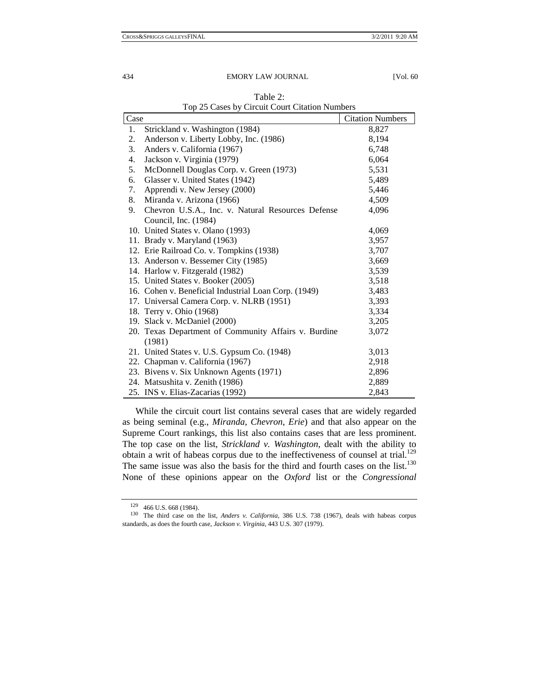| Case                                                    | <b>Citation Numbers</b> |
|---------------------------------------------------------|-------------------------|
| Strickland v. Washington (1984)<br>1.                   | 8,827                   |
| Anderson v. Liberty Lobby, Inc. (1986)<br>2.            | 8,194                   |
| Anders v. California (1967)<br>3.                       | 6,748                   |
| Jackson v. Virginia (1979)<br>4.                        | 6,064                   |
| McDonnell Douglas Corp. v. Green (1973)<br>5.           | 5,531                   |
| Glasser v. United States (1942)<br>6.                   | 5,489                   |
| Apprendi v. New Jersey (2000)<br>7.                     | 5,446                   |
| Miranda v. Arizona (1966)<br>8.                         | 4,509                   |
| Chevron U.S.A., Inc. v. Natural Resources Defense<br>9. | 4,096                   |
| Council, Inc. (1984)                                    |                         |
| 10. United States v. Olano (1993)                       | 4,069                   |
| 11. Brady v. Maryland (1963)                            | 3,957                   |
| 12. Erie Railroad Co. v. Tompkins (1938)                | 3,707                   |
| 13. Anderson v. Bessemer City (1985)                    | 3,669                   |
| 14. Harlow v. Fitzgerald (1982)                         | 3,539                   |
| 15. United States v. Booker (2005)                      | 3,518                   |
| 16. Cohen v. Beneficial Industrial Loan Corp. (1949)    | 3,483                   |
| 17. Universal Camera Corp. v. NLRB (1951)               | 3,393                   |
| 18. Terry v. Ohio (1968)                                | 3,334                   |
| 19. Slack v. McDaniel (2000)                            | 3,205                   |
| 20. Texas Department of Community Affairs v. Burdine    | 3,072                   |
| (1981)                                                  |                         |
| 21. United States v. U.S. Gypsum Co. (1948)             | 3,013                   |
| 22. Chapman v. California (1967)                        | 2,918                   |
| 23. Bivens v. Six Unknown Agents (1971)                 | 2,896                   |
| 24. Matsushita v. Zenith (1986)                         | 2,889                   |
| 25. INS v. Elias-Zacarias (1992)                        | 2,843                   |

Table 2: Top 25 Cases by Circuit Court Citation Numbers

While the circuit court list contains several cases that are widely regarded as being seminal (e.g., *Miranda*, *Chevron*, *Erie*) and that also appear on the Supreme Court rankings, this list also contains cases that are less prominent. The top case on the list, *Strickland v. Washington*, dealt with the ability to obtain a writ of habeas corpus due to the ineffectiveness of counsel at trial.<sup>129</sup> The same issue was also the basis for the third and fourth cases on the list. $130$ None of these opinions appear on the *Oxford* list or the *Congressional* 

<sup>129 466</sup> U.S. 668 (1984). 130 The third case on the list, *Anders v. California*, 386 U.S. 738 (1967), deals with habeas corpus standards, as does the fourth case, *Jackson v. Virginia*, 443 U.S. 307 (1979).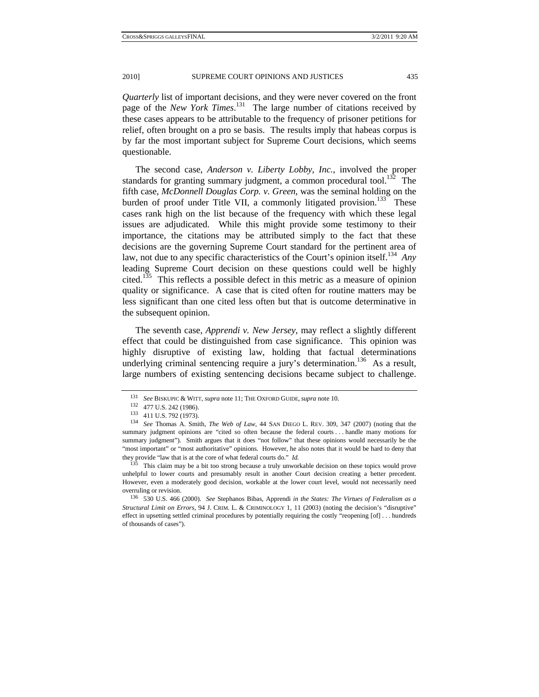*Quarterly* list of important decisions, and they were never covered on the front page of the *New York Times*. 131 The large number of citations received by these cases appears to be attributable to the frequency of prisoner petitions for relief, often brought on a pro se basis. The results imply that habeas corpus is by far the most important subject for Supreme Court decisions, which seems questionable.

The second case, *Anderson v. Liberty Lobby, Inc.*, involved the proper standards for granting summary judgment, a common procedural tool.<sup>132</sup> The fifth case, *McDonnell Douglas Corp. v. Green*, was the seminal holding on the burden of proof under Title VII, a commonly litigated provision. $133$ <sup>T</sup> These cases rank high on the list because of the frequency with which these legal issues are adjudicated. While this might provide some testimony to their importance, the citations may be attributed simply to the fact that these decisions are the governing Supreme Court standard for the pertinent area of law, not due to any specific characteristics of the Court's opinion itself.<sup>134</sup> *Any* leading Supreme Court decision on these questions could well be highly cited.<sup>135</sup> This reflects a possible defect in this metric as a measure of opinion quality or significance. A case that is cited often for routine matters may be less significant than one cited less often but that is outcome determinative in the subsequent opinion.

The seventh case, *Apprendi v. New Jersey*, may reflect a slightly different effect that could be distinguished from case significance. This opinion was highly disruptive of existing law, holding that factual determinations underlying criminal sentencing require a jury's determination.<sup>136</sup> As a result, large numbers of existing sentencing decisions became subject to challenge.

<sup>&</sup>lt;sup>131</sup> See BISKUPIC & WITT, *supra* note 11; THE OXFORD GUIDE, *supra* note 10.<br><sup>132</sup> 477 U.S. 242 (1986).<br><sup>133</sup> 411 U.S. 792 (1973).<br><sup>134</sup> See Thomas A. Smith, *The Web of Law*, 44 SAN DIEGO L. REV. 309, 347 (2007) (notin summary judgment opinions are "cited so often because the federal courts . . . handle many motions for summary judgment"). Smith argues that it does "not follow" that these opinions would necessarily be the "most important" or "most authoritative" opinions. However, he also notes that it would be hard to deny that they provide "law that is at the core of what federal courts do." *Id.*

<sup>&</sup>lt;sup>135</sup> This claim may be a bit too strong because a truly unworkable decision on these topics would prove unhelpful to lower courts and presumably result in another Court decision creating a better precedent. However, even a moderately good decision, workable at the lower court level, would not necessarily need overruling or revision. 136 530 U.S. 466 (2000). *See* Stephanos Bibas, Apprendi *in the States: The Virtues of Federalism as a* 

*Structural Limit on Errors*, 94 J. CRIM. L. & CRIMINOLOGY 1, 11 (2003) (noting the decision's "disruptive" effect in upsetting settled criminal procedures by potentially requiring the costly "reopening [of] . . . hundreds of thousands of cases").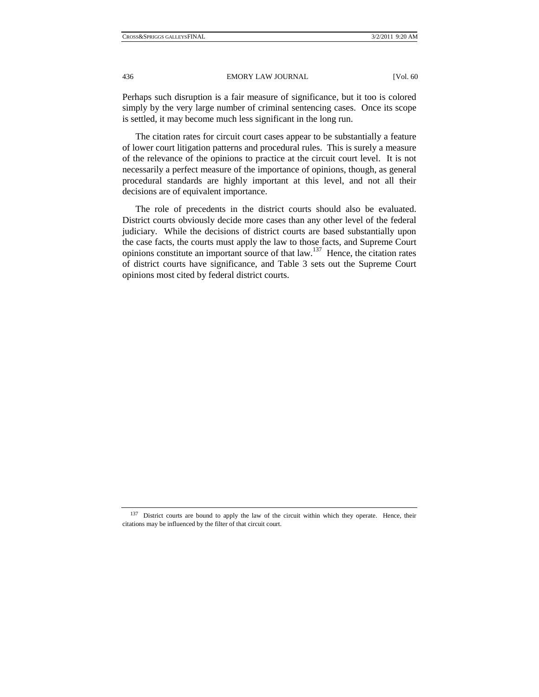Perhaps such disruption is a fair measure of significance, but it too is colored simply by the very large number of criminal sentencing cases. Once its scope is settled, it may become much less significant in the long run.

The citation rates for circuit court cases appear to be substantially a feature of lower court litigation patterns and procedural rules. This is surely a measure of the relevance of the opinions to practice at the circuit court level. It is not necessarily a perfect measure of the importance of opinions, though, as general procedural standards are highly important at this level, and not all their decisions are of equivalent importance.

The role of precedents in the district courts should also be evaluated. District courts obviously decide more cases than any other level of the federal judiciary. While the decisions of district courts are based substantially upon the case facts, the courts must apply the law to those facts, and Supreme Court opinions constitute an important source of that law.137 Hence, the citation rates of district courts have significance, and Table 3 sets out the Supreme Court opinions most cited by federal district courts.

<sup>&</sup>lt;sup>137</sup> District courts are bound to apply the law of the circuit within which they operate. Hence, their citations may be influenced by the filter of that circuit court.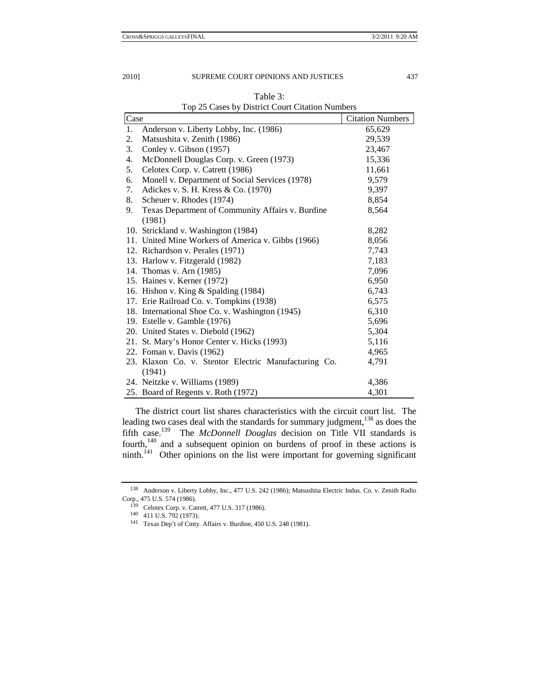| Case |                                                      | <b>Citation Numbers</b> |
|------|------------------------------------------------------|-------------------------|
| 1.   | Anderson v. Liberty Lobby, Inc. (1986)               | 65,629                  |
| 2.   | Matsushita v. Zenith (1986)                          | 29,539                  |
| 3.   | Conley v. Gibson (1957)                              | 23,467                  |
| 4.   | McDonnell Douglas Corp. v. Green (1973)              | 15,336                  |
| 5.   | Celotex Corp. v. Catrett (1986)                      | 11,661                  |
| 6.   | Monell v. Department of Social Services (1978)       | 9,579                   |
| 7.   | Adickes v. S. H. Kress & Co. (1970)                  | 9,397                   |
| 8.   | Scheuer v. Rhodes (1974)                             | 8,854                   |
| 9.   | Texas Department of Community Affairs v. Burdine     | 8,564                   |
|      | (1981)                                               |                         |
|      | 10. Strickland v. Washington (1984)                  | 8,282                   |
|      | 11. United Mine Workers of America v. Gibbs (1966)   | 8,056                   |
|      | 12. Richardson v. Perales (1971)                     | 7,743                   |
|      | 13. Harlow v. Fitzgerald (1982)                      | 7,183                   |
|      | 14. Thomas v. Arn (1985)                             | 7,096                   |
|      | 15. Haines v. Kerner (1972)                          | 6,950                   |
|      | 16. Hishon v. King & Spalding (1984)                 | 6,743                   |
|      | 17. Erie Railroad Co. v. Tompkins (1938)             | 6,575                   |
|      | 18. International Shoe Co. v. Washington (1945)      | 6,310                   |
|      | 19. Estelle v. Gamble (1976)                         | 5,696                   |
|      | 20. United States v. Diebold (1962)                  | 5,304                   |
|      | 21. St. Mary's Honor Center v. Hicks (1993)          | 5,116                   |
|      | 22. Foman v. Davis (1962)                            | 4,965                   |
|      | 23. Klaxon Co. v. Stentor Electric Manufacturing Co. | 4,791                   |
|      | (1941)                                               |                         |
|      | 24. Neitzke v. Williams (1989)                       | 4,386                   |
|      | 25. Board of Regents v. Roth (1972)                  | 4,301                   |

Table 3: Top 25 Cases by District Court Citation Numbers

The district court list shares characteristics with the circuit court list. The leading two cases deal with the standards for summary judgment,<sup>138</sup> as does the fifth case.139 The *McDonnell Douglas* decision on Title VII standards is fourth,<sup>140</sup> and a subsequent opinion on burdens of proof in these actions is ninth.<sup>141</sup> Other opinions on the list were important for governing significant

<sup>138</sup> Anderson v. Liberty Lobby, Inc., 477 U.S. 242 (1986); Matsushita Electric Indus. Co. v. Zenith Radio Corp., 475 U.S. 574 (1986).<br>
<sup>139</sup> Celotex Corp. v. Catrett, 477 U.S. 317 (1986).<br>
<sup>140</sup> 411 U.S. 792 (1973).<br>
<sup>141</sup> Texas Dep't of Cmty. Affairs v. Burdine, 450 U.S. 248 (1981).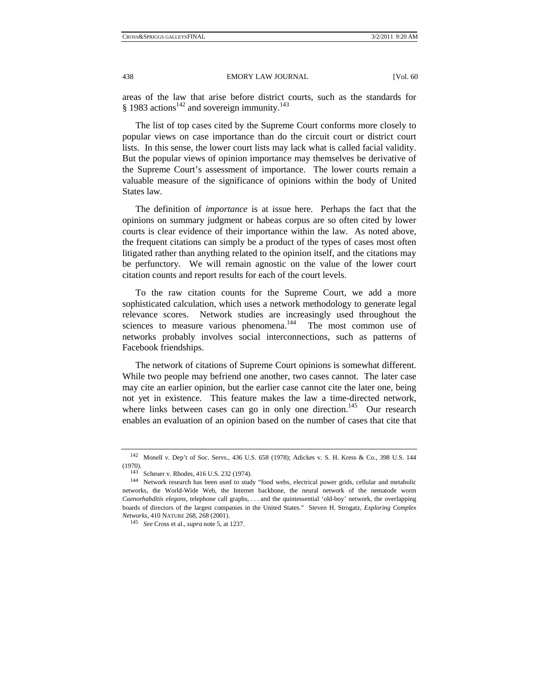areas of the law that arise before district courts, such as the standards for § 1983 actions<sup>142</sup> and sovereign immunity.<sup>143</sup>

The list of top cases cited by the Supreme Court conforms more closely to popular views on case importance than do the circuit court or district court lists. In this sense, the lower court lists may lack what is called facial validity. But the popular views of opinion importance may themselves be derivative of the Supreme Court's assessment of importance. The lower courts remain a valuable measure of the significance of opinions within the body of United States law.

The definition of *importance* is at issue here. Perhaps the fact that the opinions on summary judgment or habeas corpus are so often cited by lower courts is clear evidence of their importance within the law. As noted above, the frequent citations can simply be a product of the types of cases most often litigated rather than anything related to the opinion itself, and the citations may be perfunctory. We will remain agnostic on the value of the lower court citation counts and report results for each of the court levels.

To the raw citation counts for the Supreme Court, we add a more sophisticated calculation, which uses a network methodology to generate legal relevance scores. Network studies are increasingly used throughout the sciences to measure various phenomena.<sup>144</sup> The most common use of networks probably involves social interconnections, such as patterns of Facebook friendships.

The network of citations of Supreme Court opinions is somewhat different. While two people may befriend one another, two cases cannot. The later case may cite an earlier opinion, but the earlier case cannot cite the later one, being not yet in existence. This feature makes the law a time-directed network, where links between cases can go in only one direction.<sup>145</sup> Our research enables an evaluation of an opinion based on the number of cases that cite that

<sup>142</sup> Monell v. Dep't of Soc. Servs., 436 U.S. 658 (1978); Adickes v. S. H. Kress & Co., 398 U.S. 144 (1970).<br><sup>143</sup> Scheuer v. Rhodes, 416 U.S. 232 (1974).<br><sup>144</sup> Network research has been used to study "food webs, electrical power grids, cellular and metabolic

networks, the World-Wide Web, the Internet backbone, the neural network of the nematode worm *Caenorhabditis elegans*, telephone call graphs, . . . and the quintessential 'old-boy' network, the overlapping boards of directors of the largest companies in the United States." Steven H. Strogatz, *Exploring Complex Networks*, 410 NATURE 268, 268 (2001). 145 *See* Cross et al., *supra* note 5, at 1237.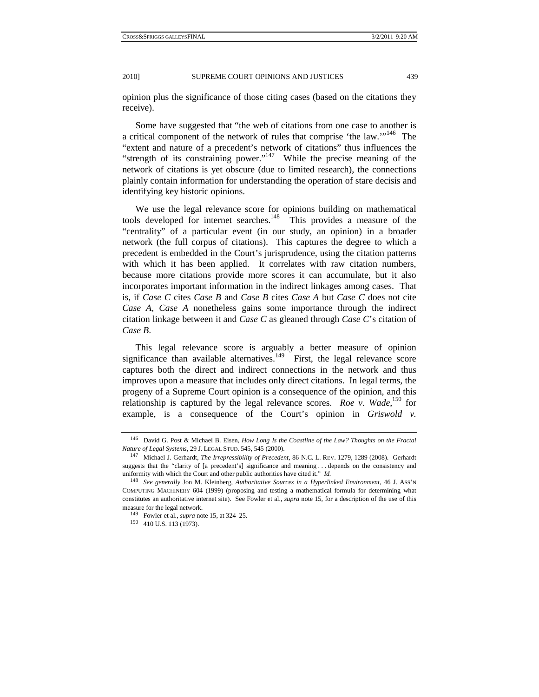opinion plus the significance of those citing cases (based on the citations they receive).

Some have suggested that "the web of citations from one case to another is a critical component of the network of rules that comprise 'the law.'"<sup>146</sup> The "extent and nature of a precedent's network of citations" thus influences the "strength of its constraining power."<sup>147</sup> While the precise meaning of the network of citations is yet obscure (due to limited research), the connections plainly contain information for understanding the operation of stare decisis and identifying key historic opinions.

We use the legal relevance score for opinions building on mathematical tools developed for internet searches.<sup>148</sup> This provides a measure of the "centrality" of a particular event (in our study, an opinion) in a broader network (the full corpus of citations). This captures the degree to which a precedent is embedded in the Court's jurisprudence, using the citation patterns with which it has been applied. It correlates with raw citation numbers, because more citations provide more scores it can accumulate, but it also incorporates important information in the indirect linkages among cases. That is, if *Case C* cites *Case B* and *Case B* cites *Case A* but *Case C* does not cite *Case A*, *Case A* nonetheless gains some importance through the indirect citation linkage between it and *Case C* as gleaned through *Case C*'s citation of *Case B*.

This legal relevance score is arguably a better measure of opinion significance than available alternatives.<sup>149</sup> First, the legal relevance score captures both the direct and indirect connections in the network and thus improves upon a measure that includes only direct citations. In legal terms, the progeny of a Supreme Court opinion is a consequence of the opinion, and this relationship is captured by the legal relevance scores. *Roe v. Wade*, <sup>150</sup> for example, is a consequence of the Court's opinion in *Griswold v.* 

<sup>146</sup> David G. Post & Michael B. Eisen, *How Long Is the Coastline of the Law? Thoughts on the Fractal Nature of Legal Systems*, 29 J. LEGAL STUD. 545, 545 (2000). 147 Michael J. Gerhardt, *The Irrepressibility of Precedent*, 86 N.C. L. REV. 1279, <sup>1289</sup> (2008). Gerhardt

suggests that the "clarity of [a precedent's] significance and meaning . . . depends on the consistency and uniformity with which the Court and other public authorities have cited it." *Id.*

<sup>148</sup> *See generally* Jon M. Kleinberg, *Authoritative Sources in a Hyperlinked Environment*, 46 J. ASS'N COMPUTING MACHINERY 604 (1999) (proposing and testing a mathematical formula for determining what constitutes an authoritative internet site). See Fowler et al., *supra* note 15, for a description of the use of this measure for the legal network.<br><sup>149</sup> Fowler et al., *supra* note 15, at 324–25.<br><sup>150</sup> 410 U.S. 113 (1973).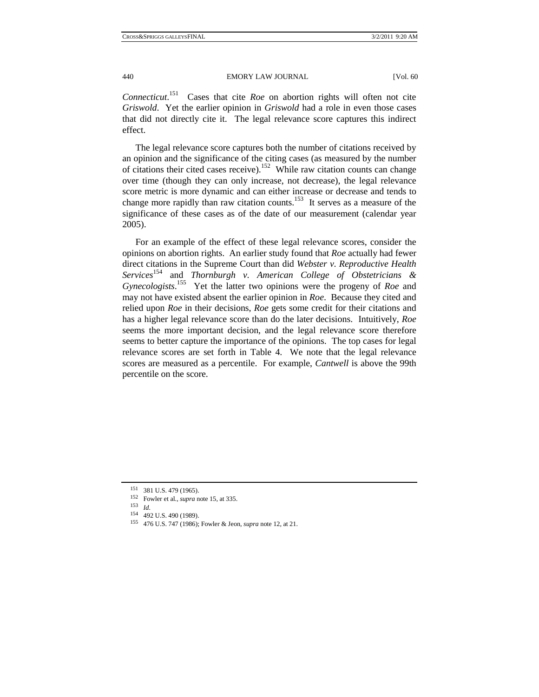*Connecticut*. 151 Cases that cite *Roe* on abortion rights will often not cite *Griswold*. Yet the earlier opinion in *Griswold* had a role in even those cases that did not directly cite it. The legal relevance score captures this indirect effect.

The legal relevance score captures both the number of citations received by an opinion and the significance of the citing cases (as measured by the number of citations their cited cases receive).<sup>152</sup> While raw citation counts can change over time (though they can only increase, not decrease), the legal relevance score metric is more dynamic and can either increase or decrease and tends to change more rapidly than raw citation counts.153 It serves as a measure of the significance of these cases as of the date of our measurement (calendar year 2005).

For an example of the effect of these legal relevance scores, consider the opinions on abortion rights. An earlier study found that *Roe* actually had fewer direct citations in the Supreme Court than did *Webster v. Reproductive Health Services*<sup>154</sup> and *Thornburgh v. American College of Obstetricians & Gynecologists*. 155 Yet the latter two opinions were the progeny of *Roe* and may not have existed absent the earlier opinion in *Roe*. Because they cited and relied upon *Roe* in their decisions, *Roe* gets some credit for their citations and has a higher legal relevance score than do the later decisions. Intuitively, *Roe* seems the more important decision, and the legal relevance score therefore seems to better capture the importance of the opinions. The top cases for legal relevance scores are set forth in Table 4. We note that the legal relevance scores are measured as a percentile. For example, *Cantwell* is above the 99th percentile on the score.

<sup>151 381</sup> U.S. 479 (1965). 152 Fowler et al., *supra* note 15, at 335. 153 *Id.*

<sup>&</sup>lt;sup>155</sup> 476 U.S. 747 (1986); Fowler & Jeon, *supra* note 12, at 21.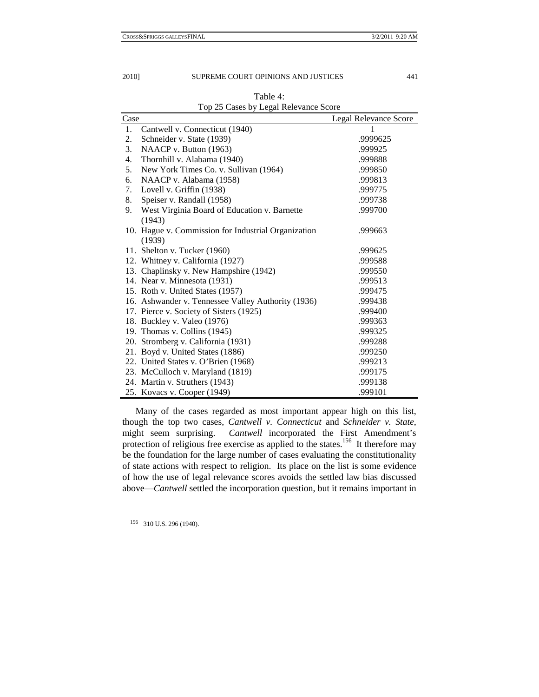| Case |                                                     | Legal Relevance Score |
|------|-----------------------------------------------------|-----------------------|
| 1.   | Cantwell v. Connecticut (1940)                      | 1                     |
| 2.   | Schneider v. State (1939)                           | .9999625              |
| 3.   | NAACP v. Button (1963)                              | .999925               |
| 4.   | Thornhill v. Alabama (1940)                         | .999888               |
| 5.   | New York Times Co. v. Sullivan (1964)               | .999850               |
| 6.   | NAACP v. Alabama (1958)                             | .999813               |
| 7.   | Lovell v. Griffin (1938)                            | .999775               |
| 8.   | Speiser v. Randall (1958)                           | .999738               |
| 9.   | West Virginia Board of Education v. Barnette        | .999700               |
|      | (1943)                                              |                       |
|      | 10. Hague v. Commission for Industrial Organization | .999663               |
|      | (1939)                                              |                       |
|      | 11. Shelton v. Tucker (1960)                        | .999625               |
|      | 12. Whitney v. California (1927)                    | .999588               |
|      | 13. Chaplinsky v. New Hampshire (1942)              | .999550               |
|      | 14. Near v. Minnesota (1931)                        | .999513               |
|      | 15. Roth v. United States (1957)                    | .999475               |
|      | 16. Ashwander v. Tennessee Valley Authority (1936)  | .999438               |
|      | 17. Pierce v. Society of Sisters (1925)             | .999400               |
|      | 18. Buckley v. Valeo (1976)                         | .999363               |
|      | 19. Thomas v. Collins (1945)                        | .999325               |
|      | 20. Stromberg v. California (1931)                  | .999288               |
|      | 21. Boyd v. United States (1886)                    | .999250               |
|      | 22. United States v. O'Brien (1968)                 | .999213               |
|      | 23. McCulloch v. Maryland (1819)                    | .999175               |
|      | 24. Martin v. Struthers (1943)                      | .999138               |
|      | 25. Kovacs v. Cooper (1949)                         | .999101               |

Table 4: Top 25 Cases by Legal Relevance Score

Many of the cases regarded as most important appear high on this list, though the top two cases, *Cantwell v. Connecticut* and *Schneider v. State*, might seem surprising. *Cantwell* incorporated the First Amendment's protection of religious free exercise as applied to the states.<sup>156</sup> It therefore may be the foundation for the large number of cases evaluating the constitutionality of state actions with respect to religion. Its place on the list is some evidence of how the use of legal relevance scores avoids the settled law bias discussed above—*Cantwell* settled the incorporation question, but it remains important in

156 310 U.S. 296 (1940).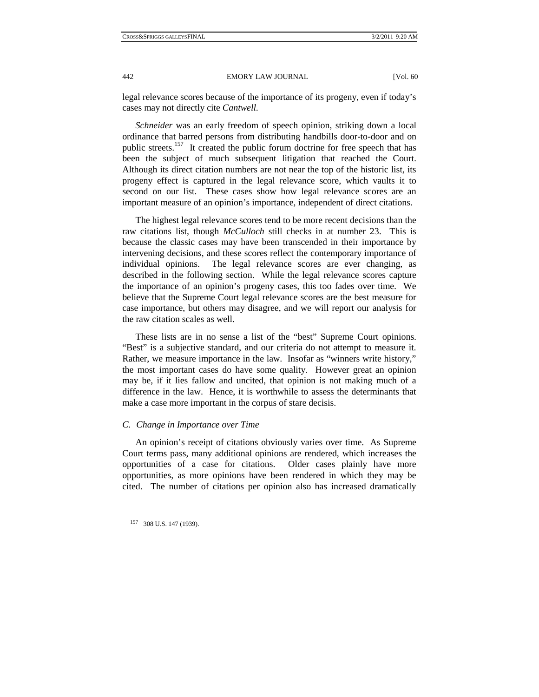legal relevance scores because of the importance of its progeny, even if today's cases may not directly cite *Cantwell*.

*Schneider* was an early freedom of speech opinion, striking down a local ordinance that barred persons from distributing handbills door-to-door and on public streets.<sup>157</sup> It created the public forum doctrine for free speech that has been the subject of much subsequent litigation that reached the Court. Although its direct citation numbers are not near the top of the historic list, its progeny effect is captured in the legal relevance score, which vaults it to second on our list. These cases show how legal relevance scores are an important measure of an opinion's importance, independent of direct citations.

The highest legal relevance scores tend to be more recent decisions than the raw citations list, though *McCulloch* still checks in at number 23. This is because the classic cases may have been transcended in their importance by intervening decisions, and these scores reflect the contemporary importance of individual opinions. The legal relevance scores are ever changing, as described in the following section. While the legal relevance scores capture the importance of an opinion's progeny cases, this too fades over time. We believe that the Supreme Court legal relevance scores are the best measure for case importance, but others may disagree, and we will report our analysis for the raw citation scales as well.

These lists are in no sense a list of the "best" Supreme Court opinions. "Best" is a subjective standard, and our criteria do not attempt to measure it. Rather, we measure importance in the law. Insofar as "winners write history," the most important cases do have some quality. However great an opinion may be, if it lies fallow and uncited, that opinion is not making much of a difference in the law. Hence, it is worthwhile to assess the determinants that make a case more important in the corpus of stare decisis.

## *C. Change in Importance over Time*

An opinion's receipt of citations obviously varies over time. As Supreme Court terms pass, many additional opinions are rendered, which increases the opportunities of a case for citations. Older cases plainly have more opportunities, as more opinions have been rendered in which they may be cited. The number of citations per opinion also has increased dramatically

<sup>157 308</sup> U.S. 147 (1939).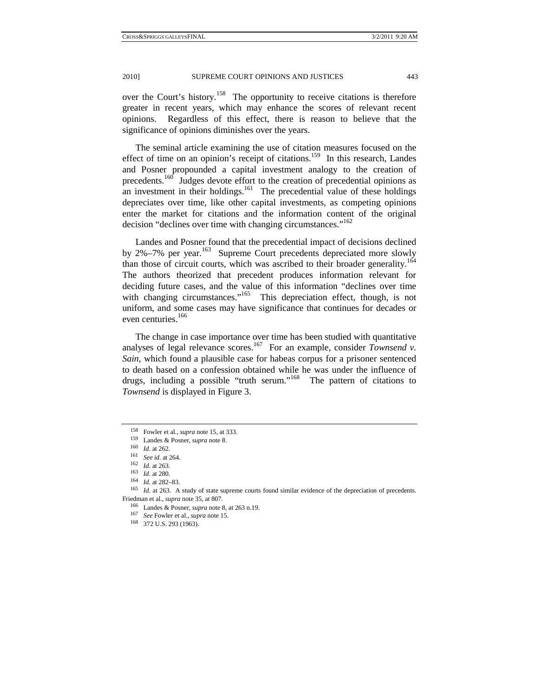over the Court's history.<sup>158</sup> The opportunity to receive citations is therefore greater in recent years, which may enhance the scores of relevant recent opinions. Regardless of this effect, there is reason to believe that the significance of opinions diminishes over the years.

The seminal article examining the use of citation measures focused on the effect of time on an opinion's receipt of citations.<sup>159</sup> In this research, Landes and Posner propounded a capital investment analogy to the creation of precedents.<sup>160</sup> Judges devote effort to the creation of precedential opinions as an investment in their holdings. $161$  The precedential value of these holdings depreciates over time, like other capital investments, as competing opinions enter the market for citations and the information content of the original decision "declines over time with changing circumstances."<sup>162</sup>

Landes and Posner found that the precedential impact of decisions declined by 2%–7% per year.<sup>163</sup> Supreme Court precedents depreciated more slowly than those of circuit courts, which was ascribed to their broader generality.<sup>164</sup> The authors theorized that precedent produces information relevant for deciding future cases, and the value of this information "declines over time with changing circumstances."<sup>165</sup> This depreciation effect, though, is not uniform, and some cases may have significance that continues for decades or even centuries.<sup>166</sup>

The change in case importance over time has been studied with quantitative analyses of legal relevance scores.<sup>167</sup> For an example, consider *Townsend v*. *Sain*, which found a plausible case for habeas corpus for a prisoner sentenced to death based on a confession obtained while he was under the influence of drugs, including a possible "truth serum."168 The pattern of citations to *Townsend* is displayed in Figure 3.

<sup>&</sup>lt;sup>158</sup> Fowler et al., *supra* note 15, at 333.<br>
<sup>159</sup> Landes & Posner, *supra* note 8.<br>
<sup>160</sup> *Id.* at 262.<br>
<sup>161</sup> *See id.* at 264.<br>
<sup>162</sup> *Id.* at 263.<br>
<sup>163</sup> *Id.* at 280.<br>
<sup>164</sup> *Id.* at 282–83.<br>
<sup>163</sup> *Id.* at 282–83. Friedman et al., *supra* note 35, at 807.<br><sup>166</sup> Landes & Posner, *supra* note 8, at 263 n.19.<br><sup>167</sup> *See* Fowler et al., *supra* note 15.<br><sup>168</sup> 372 U.S. 293 (1963).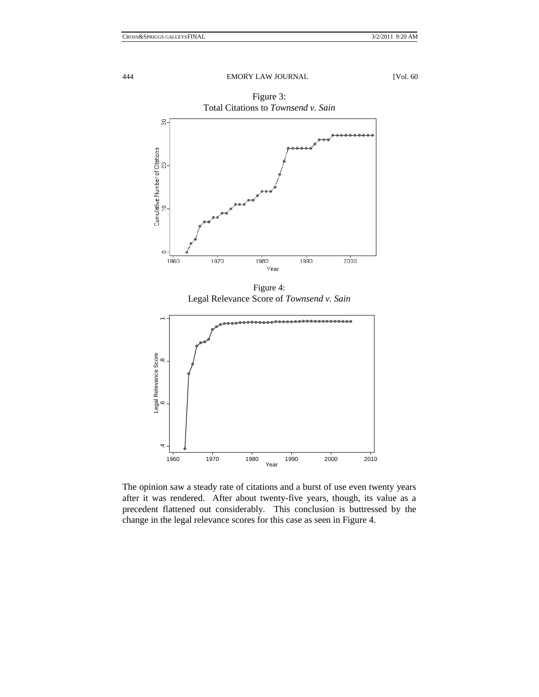

Figure 4: Legal Relevance Score of *Townsend v. Sain*



The opinion saw a steady rate of citations and a burst of use even twenty years after it was rendered. After about twenty-five years, though, its value as a precedent flattened out considerably. This conclusion is buttressed by the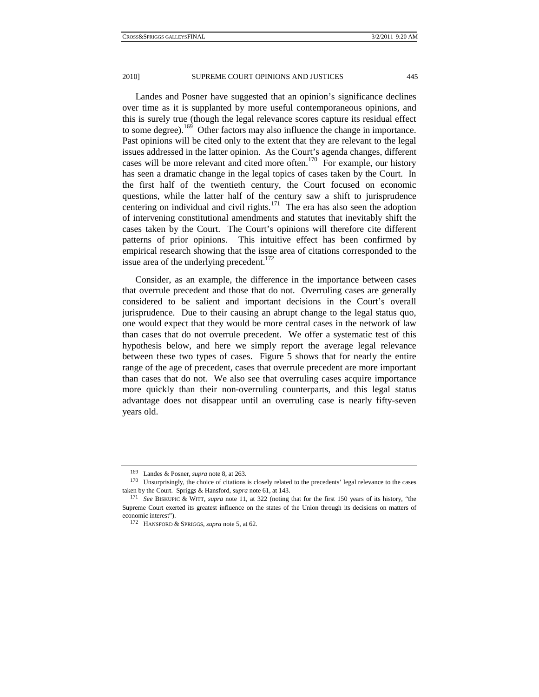Landes and Posner have suggested that an opinion's significance declines over time as it is supplanted by more useful contemporaneous opinions, and this is surely true (though the legal relevance scores capture its residual effect to some degree).169 Other factors may also influence the change in importance. Past opinions will be cited only to the extent that they are relevant to the legal issues addressed in the latter opinion. As the Court's agenda changes, different cases will be more relevant and cited more often.<sup>170</sup> For example, our history has seen a dramatic change in the legal topics of cases taken by the Court. In the first half of the twentieth century, the Court focused on economic questions, while the latter half of the century saw a shift to jurisprudence centering on individual and civil rights. $171$  The era has also seen the adoption of intervening constitutional amendments and statutes that inevitably shift the cases taken by the Court. The Court's opinions will therefore cite different patterns of prior opinions. This intuitive effect has been confirmed by empirical research showing that the issue area of citations corresponded to the issue area of the underlying precedent.<sup>172</sup>

Consider, as an example, the difference in the importance between cases that overrule precedent and those that do not. Overruling cases are generally considered to be salient and important decisions in the Court's overall jurisprudence. Due to their causing an abrupt change to the legal status quo, one would expect that they would be more central cases in the network of law than cases that do not overrule precedent. We offer a systematic test of this hypothesis below, and here we simply report the average legal relevance between these two types of cases. Figure 5 shows that for nearly the entire range of the age of precedent, cases that overrule precedent are more important than cases that do not. We also see that overruling cases acquire importance more quickly than their non-overruling counterparts, and this legal status advantage does not disappear until an overruling case is nearly fifty-seven years old.

<sup>&</sup>lt;sup>169</sup> Landes & Posner, *supra* note 8, at 263.<br><sup>170</sup> Unsurprisingly, the choice of citations is closely related to the precedents' legal relevance to the cases taken by the Court. Spriggs & Hansford, *supra* note 61, at 143.<br><sup>171</sup> See BISKUPIC & WITT, *supra* note 11, at 322 (noting that for the first 150 years of its history, "the

Supreme Court exerted its greatest influence on the states of the Union through its decisions on matters of economic interest"). 172 HANSFORD & SPRIGGS, *supra* note 5, at 62.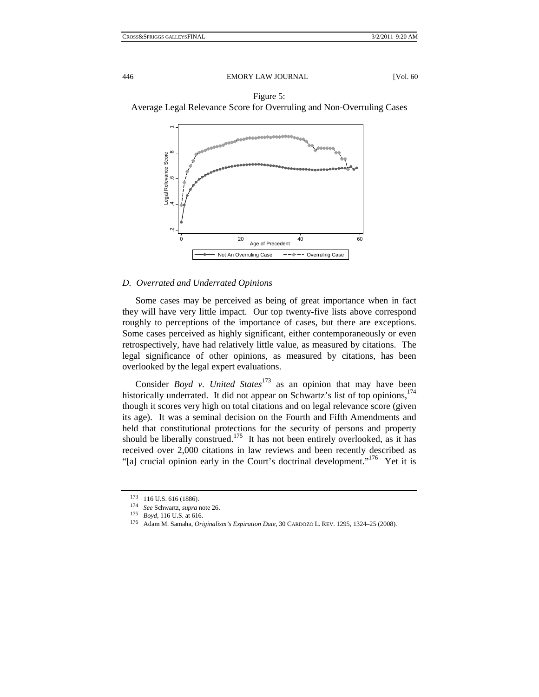

### *D. Overrated and Underrated Opinions*

Some cases may be perceived as being of great importance when in fact they will have very little impact. Our top twenty-five lists above correspond roughly to perceptions of the importance of cases, but there are exceptions. Some cases perceived as highly significant, either contemporaneously or even retrospectively, have had relatively little value, as measured by citations. The legal significance of other opinions, as measured by citations, has been overlooked by the legal expert evaluations.

Consider *Boyd v. United States*<sup>173</sup> as an opinion that may have been historically underrated. It did not appear on Schwartz's list of top opinions,<sup>174</sup> though it scores very high on total citations and on legal relevance score (given its age). It was a seminal decision on the Fourth and Fifth Amendments and held that constitutional protections for the security of persons and property should be liberally construed.<sup>175</sup> It has not been entirely overlooked, as it has received over 2,000 citations in law reviews and been recently described as "[a] crucial opinion early in the Court's doctrinal development."<sup>176</sup> Yet it is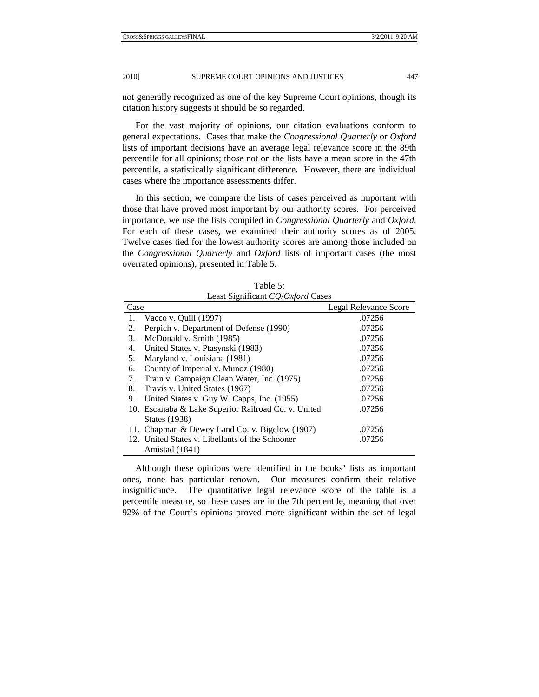not generally recognized as one of the key Supreme Court opinions, though its citation history suggests it should be so regarded.

For the vast majority of opinions, our citation evaluations conform to general expectations. Cases that make the *Congressional Quarterly* or *Oxford* lists of important decisions have an average legal relevance score in the 89th percentile for all opinions; those not on the lists have a mean score in the 47th percentile, a statistically significant difference. However, there are individual cases where the importance assessments differ.

In this section, we compare the lists of cases perceived as important with those that have proved most important by our authority scores. For perceived importance, we use the lists compiled in *Congressional Quarterly* and *Oxford*. For each of these cases, we examined their authority scores as of 2005. Twelve cases tied for the lowest authority scores are among those included on the *Congressional Quarterly* and *Oxford* lists of important cases (the most overrated opinions), presented in Table 5.

| Least Sigmileant CO/Oxford Cases |                                                     |                       |  |  |  |  |  |
|----------------------------------|-----------------------------------------------------|-----------------------|--|--|--|--|--|
| Case                             |                                                     | Legal Relevance Score |  |  |  |  |  |
| 1.                               | Vacco v. Quill $(1997)$                             | .07256                |  |  |  |  |  |
| 2.                               | Perpich v. Department of Defense (1990)             | .07256                |  |  |  |  |  |
| 3.                               | McDonald v. Smith (1985)                            | .07256                |  |  |  |  |  |
| 4.                               | United States v. Ptasynski (1983)                   | .07256                |  |  |  |  |  |
| 5.                               | Maryland v. Louisiana (1981)                        | .07256                |  |  |  |  |  |
| 6.                               | County of Imperial v. Munoz (1980)                  | .07256                |  |  |  |  |  |
| 7.                               | Train v. Campaign Clean Water, Inc. (1975)          | .07256                |  |  |  |  |  |
| 8.                               | Travis v. United States (1967)                      | .07256                |  |  |  |  |  |
| 9.                               | United States v. Guy W. Capps, Inc. (1955)          | .07256                |  |  |  |  |  |
|                                  | 10. Escanaba & Lake Superior Railroad Co. v. United | .07256                |  |  |  |  |  |
|                                  | <b>States</b> (1938)                                |                       |  |  |  |  |  |
|                                  | 11. Chapman & Dewey Land Co. v. Bigelow (1907)      | .07256                |  |  |  |  |  |
|                                  | 12. United States v. Libellants of the Schooner     | .07256                |  |  |  |  |  |
|                                  | Amistad (1841)                                      |                       |  |  |  |  |  |

Table 5: Least Significant *CQ*/*Oxford* Cases

Although these opinions were identified in the books' lists as important ones, none has particular renown. Our measures confirm their relative insignificance. The quantitative legal relevance score of the table is a percentile measure, so these cases are in the 7th percentile, meaning that over 92% of the Court's opinions proved more significant within the set of legal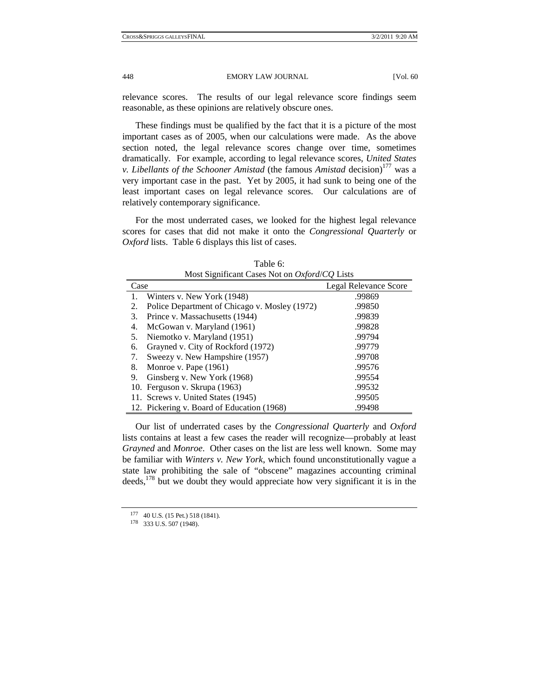relevance scores. The results of our legal relevance score findings seem reasonable, as these opinions are relatively obscure ones.

These findings must be qualified by the fact that it is a picture of the most important cases as of 2005, when our calculations were made. As the above section noted, the legal relevance scores change over time, sometimes dramatically. For example, according to legal relevance scores, *United States v. Libellants of the Schooner Amistad* (the famous *Amistad* decision)<sup>177</sup> was a very important case in the past. Yet by 2005, it had sunk to being one of the least important cases on legal relevance scores. Our calculations are of relatively contemporary significance.

For the most underrated cases, we looked for the highest legal relevance scores for cases that did not make it onto the *Congressional Quarterly* or *Oxford* lists. Table 6 displays this list of cases.

| Most Significant Cases Not on <i>Oxford/CQ</i> Lists |                                               |                       |  |  |  |  |
|------------------------------------------------------|-----------------------------------------------|-----------------------|--|--|--|--|
| Case                                                 |                                               | Legal Relevance Score |  |  |  |  |
|                                                      | Winters v. New York (1948)                    | .99869                |  |  |  |  |
| 2.                                                   | Police Department of Chicago v. Mosley (1972) | .99850                |  |  |  |  |
| 3.                                                   | Prince v. Massachusetts (1944)                | .99839                |  |  |  |  |
| 4.                                                   | McGowan v. Maryland (1961)                    | .99828                |  |  |  |  |
| 5.                                                   | Niemotko v. Maryland (1951)                   | .99794                |  |  |  |  |
| 6.                                                   | Grayned v. City of Rockford (1972)            | .99779                |  |  |  |  |
| 7.                                                   | Sweezy v. New Hampshire (1957)                | .99708                |  |  |  |  |
| 8.                                                   | Monroe v. Pape $(1961)$                       | .99576                |  |  |  |  |
| 9.                                                   | Ginsberg v. New York (1968)                   | .99554                |  |  |  |  |
|                                                      | 10. Ferguson v. Skrupa (1963)                 | .99532                |  |  |  |  |
|                                                      | 11. Screws v. United States (1945)            | .99505                |  |  |  |  |
|                                                      | 12. Pickering v. Board of Education (1968)    | .99498                |  |  |  |  |

Table 6: Most Significant Cases Not on *Oxford*/*CQ* Lists

Our list of underrated cases by the *Congressional Quarterly* and *Oxford* lists contains at least a few cases the reader will recognize—probably at least *Grayned* and *Monroe*. Other cases on the list are less well known. Some may be familiar with *Winters v. New York*, which found unconstitutionally vague a state law prohibiting the sale of "obscene" magazines accounting criminal deeds,178 but we doubt they would appreciate how very significant it is in the

<sup>177 40</sup> U.S. (15 Pet.) 518 (1841). 178 333 U.S. 507 (1948).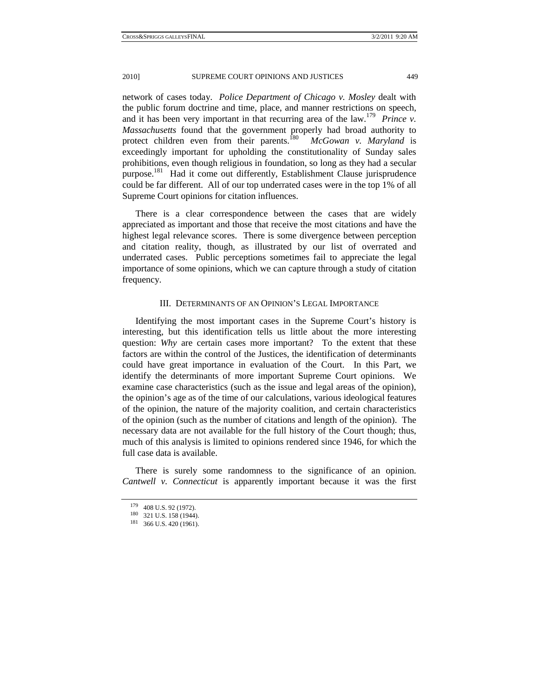network of cases today. *Police Department of Chicago v. Mosley* dealt with the public forum doctrine and time, place, and manner restrictions on speech, and it has been very important in that recurring area of the law.<sup>179</sup> *Prince v. Massachusetts* found that the government properly had broad authority to protect children even from their parents.<sup>180</sup> *McGowan v. Maryland* is exceedingly important for upholding the constitutionality of Sunday sales prohibitions, even though religious in foundation, so long as they had a secular purpose.<sup>181</sup> Had it come out differently, Establishment Clause jurisprudence could be far different. All of our top underrated cases were in the top 1% of all Supreme Court opinions for citation influences.

There is a clear correspondence between the cases that are widely appreciated as important and those that receive the most citations and have the highest legal relevance scores. There is some divergence between perception and citation reality, though, as illustrated by our list of overrated and underrated cases. Public perceptions sometimes fail to appreciate the legal importance of some opinions, which we can capture through a study of citation frequency.

# III. DETERMINANTS OF AN OPINION'S LEGAL IMPORTANCE

Identifying the most important cases in the Supreme Court's history is interesting, but this identification tells us little about the more interesting question: *Why* are certain cases more important? To the extent that these factors are within the control of the Justices, the identification of determinants could have great importance in evaluation of the Court. In this Part, we identify the determinants of more important Supreme Court opinions. We examine case characteristics (such as the issue and legal areas of the opinion), the opinion's age as of the time of our calculations, various ideological features of the opinion, the nature of the majority coalition, and certain characteristics of the opinion (such as the number of citations and length of the opinion). The necessary data are not available for the full history of the Court though; thus, much of this analysis is limited to opinions rendered since 1946, for which the full case data is available.

There is surely some randomness to the significance of an opinion. *Cantwell v. Connecticut* is apparently important because it was the first

<sup>179 408</sup> U.S. 92 (1972).<br>
180 321 U.S. 158 (1944).<br>
181 366 U.S. 420 (1961).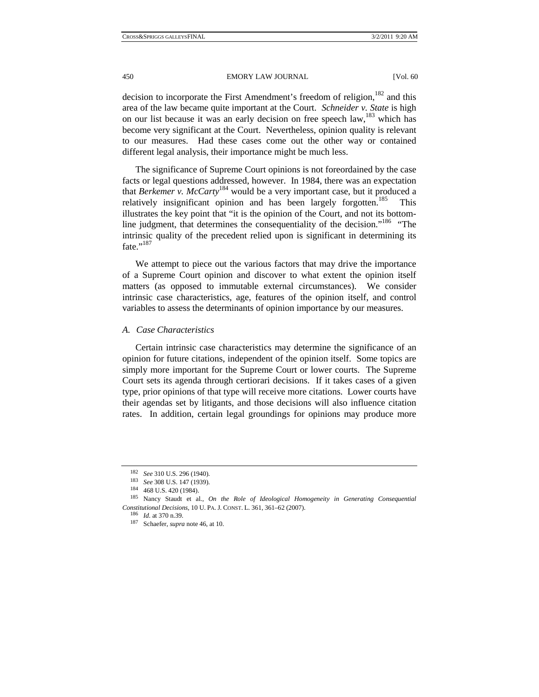decision to incorporate the First Amendment's freedom of religion,<sup>182</sup> and this area of the law became quite important at the Court. *Schneider v. State* is high on our list because it was an early decision on free speech  $law<sup>183</sup>$  which has become very significant at the Court. Nevertheless, opinion quality is relevant to our measures. Had these cases come out the other way or contained different legal analysis, their importance might be much less.

The significance of Supreme Court opinions is not foreordained by the case facts or legal questions addressed, however. In 1984, there was an expectation that *Berkemer v. McCarty*184 would be a very important case, but it produced a relatively insignificant opinion and has been largely forgotten.<sup>185</sup> This illustrates the key point that "it is the opinion of the Court, and not its bottomline judgment, that determines the consequentiality of the decision."<sup>186</sup> "The intrinsic quality of the precedent relied upon is significant in determining its fate." $^{187}$ 

We attempt to piece out the various factors that may drive the importance of a Supreme Court opinion and discover to what extent the opinion itself matters (as opposed to immutable external circumstances). We consider intrinsic case characteristics, age, features of the opinion itself, and control variables to assess the determinants of opinion importance by our measures.

#### *A. Case Characteristics*

Certain intrinsic case characteristics may determine the significance of an opinion for future citations, independent of the opinion itself. Some topics are simply more important for the Supreme Court or lower courts. The Supreme Court sets its agenda through certiorari decisions. If it takes cases of a given type, prior opinions of that type will receive more citations. Lower courts have their agendas set by litigants, and those decisions will also influence citation rates. In addition, certain legal groundings for opinions may produce more

<sup>182</sup> *See* 310 U.S. 296 (1940). 183 *See* 308 U.S. 147 (1939). 184 468 U.S. 420 (1984). 185 Nancy Staudt et al., *On the Role of Ideological Homogeneity in Generating Consequential Constitutional Decisions*, 10 U. PA. J. CONST. L. 361, 361–62 (2007). 186 *Id.* at 370 n.39. 187 Schaefer, *supra* note 46, at 10.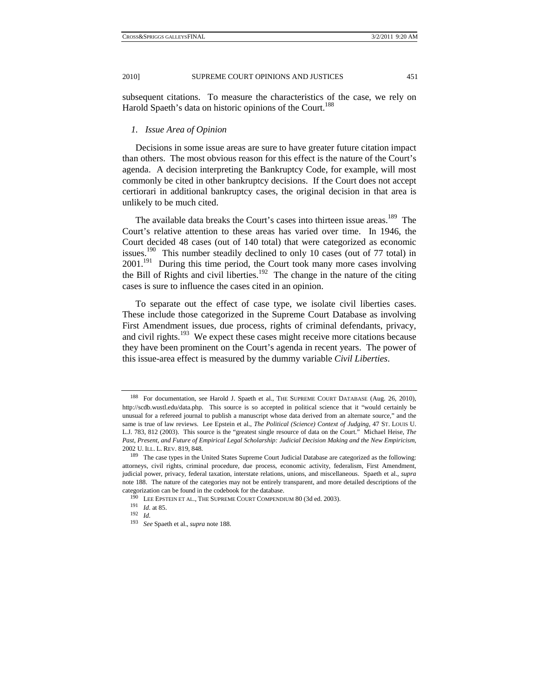subsequent citations. To measure the characteristics of the case, we rely on Harold Spaeth's data on historic opinions of the Court.<sup>188</sup>

## *1. Issue Area of Opinion*

Decisions in some issue areas are sure to have greater future citation impact than others. The most obvious reason for this effect is the nature of the Court's agenda. A decision interpreting the Bankruptcy Code, for example, will most commonly be cited in other bankruptcy decisions. If the Court does not accept certiorari in additional bankruptcy cases, the original decision in that area is unlikely to be much cited.

The available data breaks the Court's cases into thirteen issue areas.<sup>189</sup> The Court's relative attention to these areas has varied over time. In 1946, the Court decided 48 cases (out of 140 total) that were categorized as economic issues.190 This number steadily declined to only 10 cases (out of 77 total) in  $2001$ <sup>191</sup> During this time period, the Court took many more cases involving the Bill of Rights and civil liberties.<sup>192</sup> The change in the nature of the citing cases is sure to influence the cases cited in an opinion.

To separate out the effect of case type, we isolate civil liberties cases. These include those categorized in the Supreme Court Database as involving First Amendment issues, due process, rights of criminal defendants, privacy, and civil rights.<sup>193</sup> We expect these cases might receive more citations because they have been prominent on the Court's agenda in recent years. The power of this issue-area effect is measured by the dummy variable *Civil Liberties*.

<sup>188</sup> For documentation, see Harold J. Spaeth et al., THE SUPREME COURT DATABASE (Aug. 26, 2010), http://scdb.wustl.edu/data.php. This source is so accepted in political science that it "would certainly be unusual for a refereed journal to publish a manuscript whose data derived from an alternate source," and the same is true of law reviews. Lee Epstein et al., *The Political (Science) Context of Judging*, 47 ST. LOUIS U. L.J. 783, 812 (2003). This source is the "greatest single resource of data on the Court." Michael Heise, *The Past, Present, and Future of Empirical Legal Scholarship: Judicial Decision Making and the New Empiricism*, 2002 U. ILL. L. REV. 819, 848. 189 The case types in the United States Supreme Court Judicial Database are categorized as the following:

attorneys, civil rights, criminal procedure, due process, economic activity, federalism, First Amendment, judicial power, privacy, federal taxation, interstate relations, unions, and miscellaneous. Spaeth et al., *supra*  note 188. The nature of the categories may not be entirely transparent, and more detailed descriptions of the categorization can be found in the codebook for the database.<br><sup>190</sup> LEE EPSTEIN ET AL., THE SUPREME COURT COMPENDIUM 80 (3d ed. 2003).<br><sup>191</sup> *Id.* at 85.

<sup>193</sup> *See* Spaeth et al., *supra* note 188.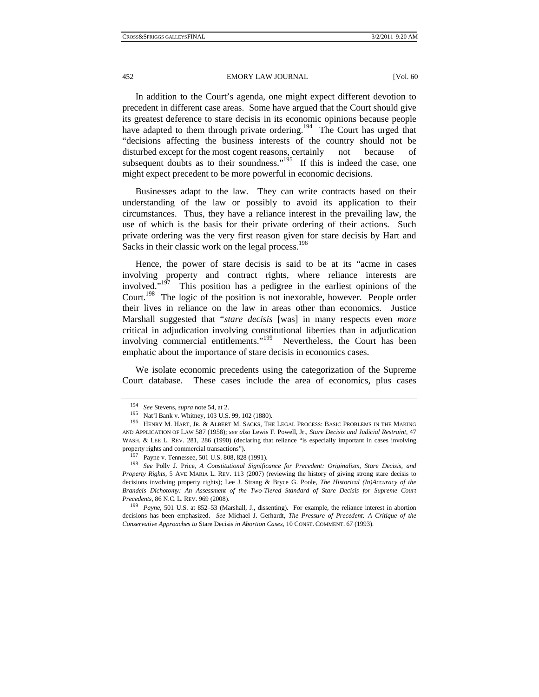In addition to the Court's agenda, one might expect different devotion to precedent in different case areas. Some have argued that the Court should give its greatest deference to stare decisis in its economic opinions because people have adapted to them through private ordering.<sup>194</sup> The Court has urged that "decisions affecting the business interests of the country should not be disturbed except for the most cogent reasons, certainly not because of subsequent doubts as to their soundness." $195$  If this is indeed the case, one might expect precedent to be more powerful in economic decisions.

Businesses adapt to the law. They can write contracts based on their understanding of the law or possibly to avoid its application to their circumstances. Thus, they have a reliance interest in the prevailing law, the use of which is the basis for their private ordering of their actions. Such private ordering was the very first reason given for stare decisis by Hart and Sacks in their classic work on the legal process.<sup>196</sup>

Hence, the power of stare decisis is said to be at its "acme in cases involving property and contract rights, where reliance interests are involved."197 This position has a pedigree in the earliest opinions of the Court.<sup>198</sup> The logic of the position is not inexorable, however. People order their lives in reliance on the law in areas other than economics. Justice Marshall suggested that "*stare decisis* [was] in many respects even *more*  critical in adjudication involving constitutional liberties than in adjudication involving commercial entitlements."199 Nevertheless, the Court has been emphatic about the importance of stare decisis in economics cases.

We isolate economic precedents using the categorization of the Supreme Court database. These cases include the area of economics, plus cases

<sup>&</sup>lt;sup>194</sup> See Stevens, *supra* note 54, at 2.<br><sup>195</sup> Nat'l Bank v. Whitney, 103 U.S. 99, 102 (1880). 196 Henry M. Sacks, The Legal Process: Basic Problems in the Making AND APPLICATION OF LAW 587 (1958); *see also* Lewis F. Powell, Jr., *Stare Decisis and Judicial Restraint*, 47 WASH. & LEE L. REV. 281, 286 (1990) (declaring that reliance "is especially important in cases involving

property rights and commercial transactions"). 197 Payne v. Tennessee, 501 U.S. 808, 828 (1991). 198 *See* Polly J. Price, *A Constitutional Significance for Precedent: Originalism, Stare Decisis, and Property Rights*, 5 AVE MARIA L. REV. 113 (2007) (reviewing the history of giving strong stare decisis to decisions involving property rights); Lee J. Strang & Bryce G. Poole, *The Historical (In)Accuracy of the Brandeis Dichotomy: An Assessment of the Two-Tiered Standard of Stare Decisis for Supreme Court* 

*Precedents*, 86 N.C. L. REV. 969 (2008).<br><sup>199</sup> *Payne*, 501 U.S. at 852–53 (Marshall, J., dissenting). For example, the reliance interest in abortion decisions has been emphasized. *See* Michael J. Gerhardt, *The Pressure of Precedent: A Critique of the Conservative Approaches to* Stare Decisis *in Abortion Cases*, 10 CONST. COMMENT. 67 (1993).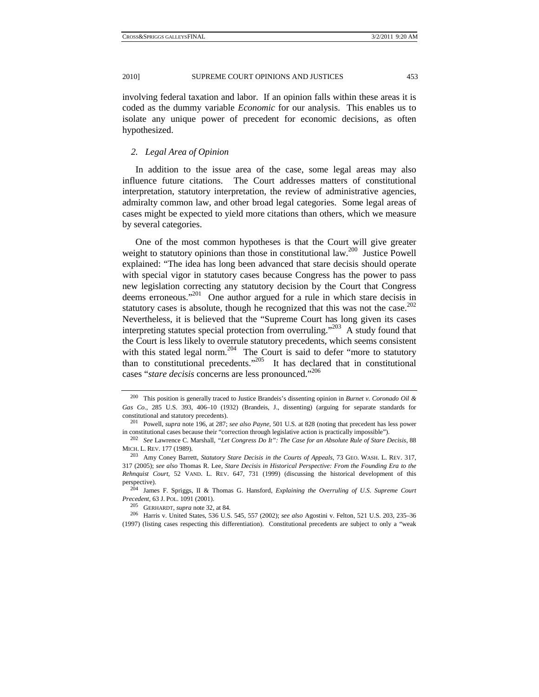involving federal taxation and labor. If an opinion falls within these areas it is coded as the dummy variable *Economic* for our analysis. This enables us to isolate any unique power of precedent for economic decisions, as often hypothesized.

## *2. Legal Area of Opinion*

In addition to the issue area of the case, some legal areas may also influence future citations. The Court addresses matters of constitutional interpretation, statutory interpretation, the review of administrative agencies, admiralty common law, and other broad legal categories. Some legal areas of cases might be expected to yield more citations than others, which we measure by several categories.

One of the most common hypotheses is that the Court will give greater weight to statutory opinions than those in constitutional law.<sup>200</sup> Justice Powell explained: "The idea has long been advanced that stare decisis should operate with special vigor in statutory cases because Congress has the power to pass new legislation correcting any statutory decision by the Court that Congress deems erroneous."<sup>201</sup> One author argued for a rule in which stare decisis in statutory cases is absolute, though he recognized that this was not the case.<sup>202</sup> Nevertheless, it is believed that the "Supreme Court has long given its cases interpreting statutes special protection from overruling."203 A study found that the Court is less likely to overrule statutory precedents, which seems consistent with this stated legal norm.<sup>204</sup> The Court is said to defer "more to statutory than to constitutional precedents."205 It has declared that in constitutional cases "*stare decisis* concerns are less pronounced."206

<sup>200</sup> This position is generally traced to Justice Brandeis's dissenting opinion in *Burnet v. Coronado Oil & Gas Co.*, 285 U.S. 393, 406–10 (1932) (Brandeis, J., dissenting) (arguing for separate standards for constitutional and statutory precedents). 201 Powell, *supra* note 196, at 287; *see also Payne*, 501 U.S. at 828 (noting that precedent has less power

in constitutional cases because their "correction through legislative action is practically impossible").<br><sup>202</sup> See Lawrence C. Marshall, *"Let Congress Do It": The Case for an Absolute Rule of Stare Decisis*, 88<br>MICH. L.

<sup>&</sup>lt;sup>203</sup> Amy Coney Barrett, *Statutory Stare Decisis in the Courts of Appeals*, 73 GEO. WASH. L. REV. 317, 317 (2005); *see also* Thomas R. Lee, *Stare Decisis in Historical Perspective: From the Founding Era to the Rehnquist Court*, 52 VAND. L. REV. 647, 731 (1999) (discussing the historical development of this

perspective). 204 James F. Spriggs, II & Thomas G. Hansford, *Explaining the Overruling of U.S. Supreme Court* 

<sup>&</sup>lt;sup>205</sup> GERHARDT, *supra* note 32, at 84.<br><sup>206</sup> Harris v. United States, 536 U.S. 545, 557 (2002); *see also* Agostini v. Felton, 521 U.S. 203, 235–36 (1997) (listing cases respecting this differentiation). Constitutional precedents are subject to only a "weak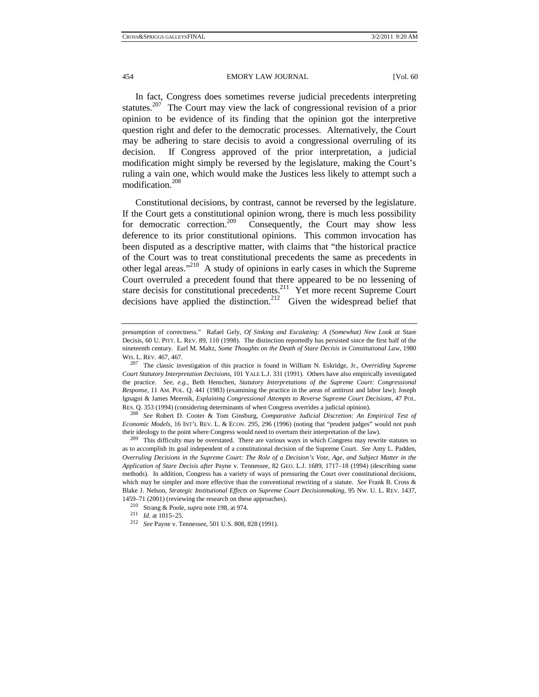In fact, Congress does sometimes reverse judicial precedents interpreting statutes.<sup>207</sup> The Court may view the lack of congressional revision of a prior opinion to be evidence of its finding that the opinion got the interpretive question right and defer to the democratic processes. Alternatively, the Court may be adhering to stare decisis to avoid a congressional overruling of its decision. If Congress approved of the prior interpretation, a judicial modification might simply be reversed by the legislature, making the Court's ruling a vain one, which would make the Justices less likely to attempt such a modification.<sup>208</sup>

Constitutional decisions, by contrast, cannot be reversed by the legislature. If the Court gets a constitutional opinion wrong, there is much less possibility for democratic correction.<sup>209</sup> Consequently, the Court may show less Consequently, the Court may show less deference to its prior constitutional opinions. This common invocation has been disputed as a descriptive matter, with claims that "the historical practice of the Court was to treat constitutional precedents the same as precedents in other legal areas."210 A study of opinions in early cases in which the Supreme Court overruled a precedent found that there appeared to be no lessening of stare decisis for constitutional precedents.<sup>211</sup> Yet more recent Supreme Court decisions have applied the distinction.<sup>212</sup> Given the widespread belief that

*Economic Models*, 16 INT'L REV. L. & ECON. 295, 296 (1996) (noting that "prudent judges" would not push their ideology to the point where Congress would need to overturn their interpretation of the law).<br><sup>209</sup> This difficulty may be overstated. There are various ways in which Congress may rewrite statutes so

as to accomplish its goal independent of a constitutional decision of the Supreme Court. *See* Amy L. Padden, *Overruling Decisions in the Supreme Court: The Role of a Decision's Vote, Age, and Subject Matter in the Application of Stare Decisis after* Payne v. Tennessee, 82 GEO. L.J. 1689, 1717–18 (1994) (describing some methods). In addition, Congress has a variety of ways of pressuring the Court over constitutional decisions, which may be simpler and more effective than the conventional rewriting of a statute. *See* Frank B. Cross & Blake J. Nelson, *Strategic Institutional Effects on Supreme Court Decisionmaking*, 95 NW. U. L. REV. 1437,

presumption of correctness." Rafael Gely, *Of Sinking and Escalating: A (Somewhat) New Look at* Stare Decisis, 60 U. PITT. L. REV. 89, 110 (1998). The distinction reportedly has persisted since the first half of the nineteenth century. Earl M. Maltz, *Some Thoughts on the Death of Stare Decisis in Constitutional Law*, 1980

WIS. L. REV. 467, 467. 207 The classic investigation of this practice is found in William N. Eskridge, Jr., *Overriding Supreme Court Statutory Interpretation Decisions*, 101 YALE L.J. 331 (1991). Others have also empirically investigated the practice. *See, e.g.*, Beth Henschen, *Statutory Interpretations of the Supreme Court: Congressional Response*, 11 AM. POL. Q. 441 (1983) (examining the practice in the areas of antitrust and labor law); Joseph Ignagni & James Meernik, *Explaining Congressional Attempts to Reverse Supreme Court Decisions*, 47 POL. RES. Q. 353 (1994) (considering determinants of when Congress overrides a judicial opinion). 208 *See* Robert D. Cooter & Tom Ginsburg, *Comparative Judicial Discretion: An Empirical Test of* 

<sup>1459–71 (2001) (</sup>reviewing the research on these approaches).<br><sup>210</sup> Strang & Poole, *supra* note 198, at 974.<br><sup>211</sup> *Id.* at 1015–25.<br><sup>212</sup> *See* Payne v. Tennessee, 501 U.S. 808, 828 (1991).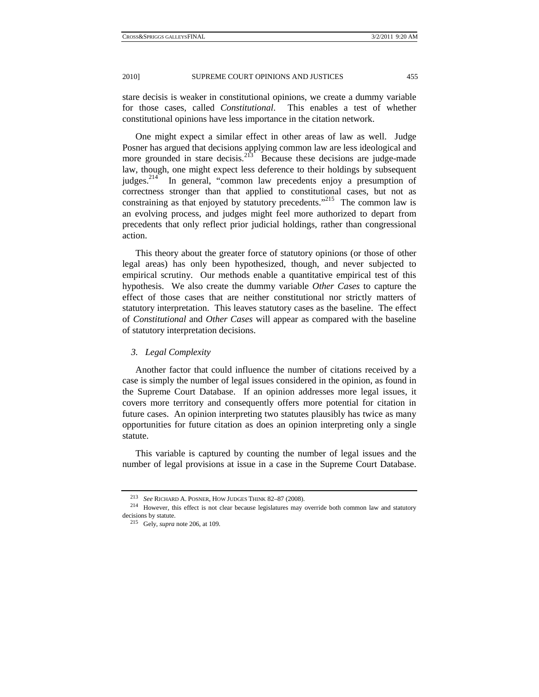stare decisis is weaker in constitutional opinions, we create a dummy variable for those cases, called *Constitutional*. This enables a test of whether constitutional opinions have less importance in the citation network.

One might expect a similar effect in other areas of law as well. Judge Posner has argued that decisions applying common law are less ideological and more grounded in stare decisis.<sup>213</sup> Because these decisions are judge-made law, though, one might expect less deference to their holdings by subsequent judges.<sup>214</sup> In general, "common law precedents enjoy a presumption of correctness stronger than that applied to constitutional cases, but not as constraining as that enjoyed by statutory precedents."<sup>215</sup> The common law is an evolving process, and judges might feel more authorized to depart from precedents that only reflect prior judicial holdings, rather than congressional action.

This theory about the greater force of statutory opinions (or those of other legal areas) has only been hypothesized, though, and never subjected to empirical scrutiny. Our methods enable a quantitative empirical test of this hypothesis. We also create the dummy variable *Other Cases* to capture the effect of those cases that are neither constitutional nor strictly matters of statutory interpretation. This leaves statutory cases as the baseline. The effect of *Constitutional* and *Other Cases* will appear as compared with the baseline of statutory interpretation decisions.

#### *3. Legal Complexity*

Another factor that could influence the number of citations received by a case is simply the number of legal issues considered in the opinion, as found in the Supreme Court Database. If an opinion addresses more legal issues, it covers more territory and consequently offers more potential for citation in future cases. An opinion interpreting two statutes plausibly has twice as many opportunities for future citation as does an opinion interpreting only a single statute.

This variable is captured by counting the number of legal issues and the number of legal provisions at issue in a case in the Supreme Court Database.

<sup>213</sup> *See* RICHARD A. POSNER, HOW JUDGES THINK 82–87 (2008). 214 However, this effect is not clear because legislatures may override both common law and statutory decisions by statute. 215 Gely, *supra* note 206, at 109.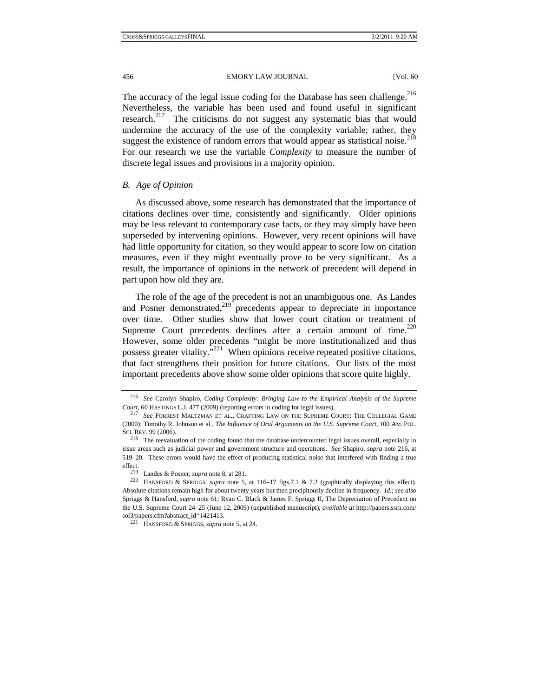The accuracy of the legal issue coding for the Database has seen challenge.<sup>216</sup> Nevertheless, the variable has been used and found useful in significant research.<sup>217</sup> The criticisms do not suggest any systematic bias that would undermine the accuracy of the use of the complexity variable; rather, they suggest the existence of random errors that would appear as statistical noise.<sup>218</sup> For our research we use the variable *Complexity* to measure the number of discrete legal issues and provisions in a majority opinion.

## *B. Age of Opinion*

As discussed above, some research has demonstrated that the importance of citations declines over time, consistently and significantly. Older opinions may be less relevant to contemporary case facts, or they may simply have been superseded by intervening opinions. However, very recent opinions will have had little opportunity for citation, so they would appear to score low on citation measures, even if they might eventually prove to be very significant. As a result, the importance of opinions in the network of precedent will depend in part upon how old they are.

The role of the age of the precedent is not an unambiguous one. As Landes and Posner demonstrated,<sup>219</sup> precedents appear to depreciate in importance over time. Other studies show that lower court citation or treatment of Supreme Court precedents declines after a certain amount of time. $^{220}$ However, some older precedents "might be more institutionalized and thus possess greater vitality. $\frac{1}{2}$ <sup>221</sup> When opinions receive repeated positive citations, that fact strengthens their position for future citations. Our lists of the most important precedents above show some older opinions that score quite highly.

<sup>216</sup> *See* Carolyn Shapiro, *Coding Complexity: Bringing Law to the Empirical Analysis of the Supreme Court*, 60 HASTINGS L.J. 477 (2009) (reporting errors in coding for legal issues). 217 *See* FORREST MALTZMAN ET AL., CRAFTING LAW ON THE SUPREME COURT: THE COLLEGIAL GAME

<sup>(2000);</sup> Timothy R. Johnson et al., *The Influence of Oral Arguments on the U.S. Supreme Court*, 100 AM. POL. SCI. REV. 99 (2006).<br><sup>218</sup> The reevaluation of the coding found that the database undercounted legal issues overall, especially in

issue areas such as judicial power and government structure and operations. *See* Shapiro, *supra* note 216, at 519–20. These errors would have the effect of producing statistical noise that interfered with finding a true

effect.<br><sup>219</sup> Landes & Posner, *supra* note 8, at 281.<br><sup>220</sup> HANSFORD & SPRIGGS, *supra* note 5, at 116–17 figs.7.1 & 7.2 (graphically displaying this effect). Absolute citations remain high for about twenty years but then precipitously decline in frequency. *Id.*; *see also* Spriggs & Hansford, *supra* note 61; Ryan C. Black & James F. Spriggs II, The Depreciation of Precedent on the U.S. Supreme Court 24–25 (June 12, 2009) (unpublished manuscript), *available at* http://papers.ssrn.com/

<sup>&</sup>lt;sup>221</sup> HANSFORD & SPRIGGS, *supra* note 5, at 24.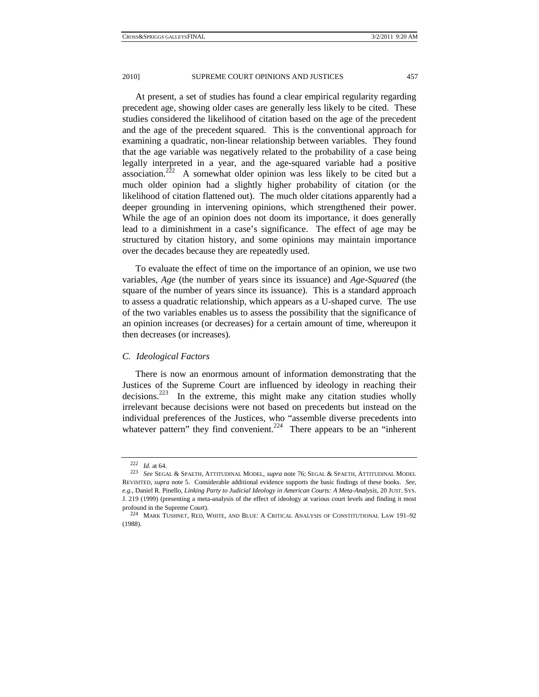At present, a set of studies has found a clear empirical regularity regarding precedent age, showing older cases are generally less likely to be cited. These studies considered the likelihood of citation based on the age of the precedent and the age of the precedent squared. This is the conventional approach for examining a quadratic, non-linear relationship between variables. They found that the age variable was negatively related to the probability of a case being legally interpreted in a year, and the age-squared variable had a positive association.<sup>222</sup> A somewhat older opinion was less likely to be cited but a much older opinion had a slightly higher probability of citation (or the likelihood of citation flattened out). The much older citations apparently had a deeper grounding in intervening opinions, which strengthened their power. While the age of an opinion does not doom its importance, it does generally lead to a diminishment in a case's significance. The effect of age may be structured by citation history, and some opinions may maintain importance over the decades because they are repeatedly used.

To evaluate the effect of time on the importance of an opinion, we use two variables, *Age* (the number of years since its issuance) and *Age-Squared* (the square of the number of years since its issuance). This is a standard approach to assess a quadratic relationship, which appears as a U-shaped curve. The use of the two variables enables us to assess the possibility that the significance of an opinion increases (or decreases) for a certain amount of time, whereupon it then decreases (or increases).

## *C. Ideological Factors*

There is now an enormous amount of information demonstrating that the Justices of the Supreme Court are influenced by ideology in reaching their decisions.223 In the extreme, this might make any citation studies wholly irrelevant because decisions were not based on precedents but instead on the individual preferences of the Justices, who "assemble diverse precedents into whatever pattern" they find convenient.<sup>224</sup> There appears to be an "inherent"

<sup>222</sup> *Id.* at 64. 223 *See* SEGAL & SPAETH, ATTITUDINAL MODEL, *supra* note 76; SEGAL & SPAETH, ATTITUDINAL MODEL REVISITED, *supra* note 5. Considerable additional evidence supports the basic findings of these books. *See, e.g.*, Daniel R. Pinello, *Linking Party to Judicial Ideology in American Courts: A Meta-Analysis*, 20 JUST. SYS. J. 219 (1999) (presenting a meta-analysis of the effect of ideology at various court levels and finding it most profound in the Supreme Court). 224 MARK TUSHNET, RED, WHITE, AND BLUE: <sup>A</sup> CRITICAL ANALYSIS OF CONSTITUTIONAL LAW 191–92

<sup>(1988).</sup>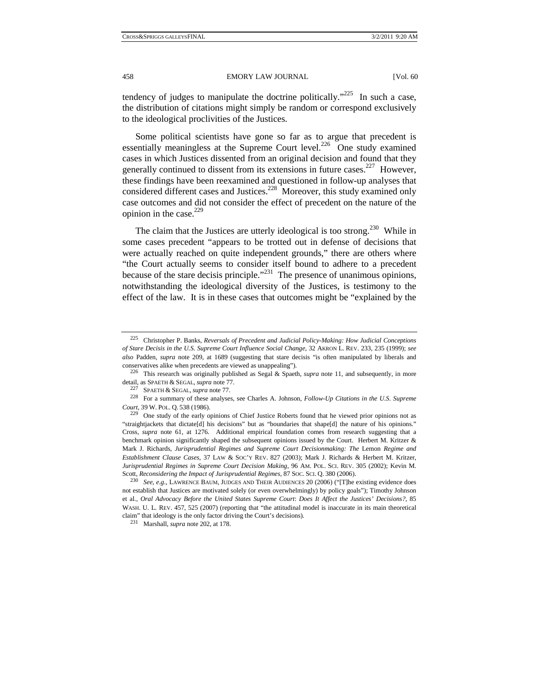tendency of judges to manipulate the doctrine politically."<sup>225</sup> In such a case, the distribution of citations might simply be random or correspond exclusively to the ideological proclivities of the Justices.

Some political scientists have gone so far as to argue that precedent is essentially meaningless at the Supreme Court level.<sup>226</sup> One study examined cases in which Justices dissented from an original decision and found that they generally continued to dissent from its extensions in future cases.<sup>227</sup> However, these findings have been reexamined and questioned in follow-up analyses that considered different cases and Justices.<sup>228</sup> Moreover, this study examined only case outcomes and did not consider the effect of precedent on the nature of the opinion in the case.<sup>229</sup>

The claim that the Justices are utterly ideological is too strong.<sup>230</sup> While in some cases precedent "appears to be trotted out in defense of decisions that were actually reached on quite independent grounds," there are others where "the Court actually seems to consider itself bound to adhere to a precedent because of the stare decisis principle."<sup>231</sup> The presence of unanimous opinions, notwithstanding the ideological diversity of the Justices, is testimony to the effect of the law. It is in these cases that outcomes might be "explained by the

<sup>225</sup> Christopher P. Banks, *Reversals of Precedent and Judicial Policy-Making: How Judicial Conceptions of Stare Decisis in the U.S. Supreme Court Influence Social Change*, 32 AKRON L. REV. 233, 235 (1999); *see also* Padden, *supra* note 209, at 1689 (suggesting that stare decisis "is often manipulated by liberals and conservatives alike when precedents are viewed as unappealing"). 226 This research was originally published as Segal & Spaeth, *supra* note 11, and subsequently, in more

detail, as SPAETH & SEGAL, *supra* note 77.<br><sup>227</sup> SPAETH & SEGAL, *supra* note 77.<br><sup>228</sup> For a summary of these analyses, see Charles A. Johnson, *Follow-Up Citations in the U.S. Supreme* 

*Court*, 39 W. POL. Q. 538 (1986). 229 One study of the early opinions of Chief Justice Roberts found that he viewed prior opinions not as

<sup>&</sup>quot;straightjackets that dictate[d] his decisions" but as "boundaries that shape[d] the nature of his opinions." Cross, *supra* note 61, at 1276. Additional empirical foundation comes from research suggesting that a benchmark opinion significantly shaped the subsequent opinions issued by the Court. Herbert M. Kritzer & Mark J. Richards, *Jurisprudential Regimes and Supreme Court Decisionmaking: The* Lemon *Regime and Establishment Clause Cases*, 37 LAW & SOC'Y REV. 827 (2003); Mark J. Richards & Herbert M. Kritzer, *Jurisprudential Regimes in Supreme Court Decision Making*, 96 AM. POL. SCI. REV. 305 (2002); Kevin M. Scott, *Reconsidering the Impact of Jurisprudential Regimes*, 87 SOC. SCI. Q. 380 (2006). 230 *See, e.g.*, LAWRENCE BAUM, JUDGES AND THEIR AUDIENCES 20 (2006) ("[T]he existing evidence does

not establish that Justices are motivated solely (or even overwhelmingly) by policy goals"); Timothy Johnson et al., *Oral Advocacy Before the United States Supreme Court*: *Does It Affect the Justices' Decisions?*, 85 WASH. U. L. REV. 457, 525 (2007) (reporting that "the attitudinal model is inaccurate in its main theoretical claim" that ideology is the only factor driving the Court's decisions). 231 Marshall, *supra* note 202, at 178.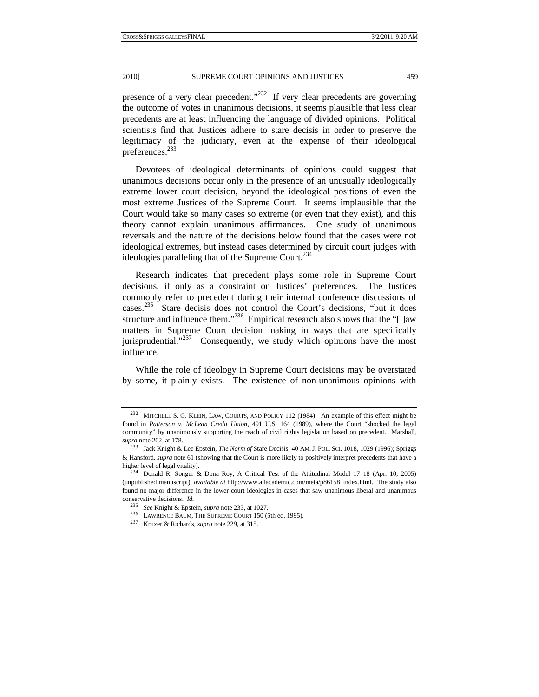presence of a very clear precedent."<sup>232</sup> If very clear precedents are governing the outcome of votes in unanimous decisions, it seems plausible that less clear precedents are at least influencing the language of divided opinions. Political scientists find that Justices adhere to stare decisis in order to preserve the legitimacy of the judiciary, even at the expense of their ideological preferences.<sup>233</sup>

Devotees of ideological determinants of opinions could suggest that unanimous decisions occur only in the presence of an unusually ideologically extreme lower court decision, beyond the ideological positions of even the most extreme Justices of the Supreme Court. It seems implausible that the Court would take so many cases so extreme (or even that they exist), and this theory cannot explain unanimous affirmances. One study of unanimous reversals and the nature of the decisions below found that the cases were not ideological extremes, but instead cases determined by circuit court judges with ideologies paralleling that of the Supreme Court. $^{234}$ 

Research indicates that precedent plays some role in Supreme Court decisions, if only as a constraint on Justices' preferences. The Justices commonly refer to precedent during their internal conference discussions of cases.<sup>235</sup> Stare decisis does not control the Court's decisions, "but it does structure and influence them."<sup>236</sup> Empirical research also shows that the "[l]aw matters in Supreme Court decision making in ways that are specifically jurisprudential. $1^{237}$  Consequently, we study which opinions have the most influence.

While the role of ideology in Supreme Court decisions may be overstated by some, it plainly exists. The existence of non-unanimous opinions with

<sup>232</sup> MITCHELL S. G. KLEIN, LAW, COURTS, AND POLICY 112 (1984). An example of this effect might be found in *Patterson v. McLean Credit Union*, 491 U.S. 164 (1989), where the Court "shocked the legal community" by unanimously supporting the reach of civil rights legislation based on precedent. Marshall, *supra* note 202, at 178. 233 Jack Knight & Lee Epstein, *The Norm of* Stare Decisis, 40 AM.J. POL. SCI. 1018, 1029 (1996); Spriggs

<sup>&</sup>amp; Hansford, *supra* note 61 (showing that the Court is more likely to positively interpret precedents that have a higher level of legal vitality).<br><sup>234</sup> Donald R. Songer & Dona Roy, A Critical Test of the Attitudinal Model 17–18 (Apr. 10, 2005)

<sup>(</sup>unpublished manuscript), *available at* http://www.allacademic.com/meta/p86158\_index.html. The study also found no major difference in the lower court ideologies in cases that saw unanimous liberal and unanimous conservative decisions. *Id.*

<sup>235</sup> *See* Knight & Epstein, *supra* note 233, at 1027. 236 LAWRENCE BAUM, THE SUPREME COURT 150 (5th ed. 1995). 237 Kritzer & Richards, *supra* note 229, at 315.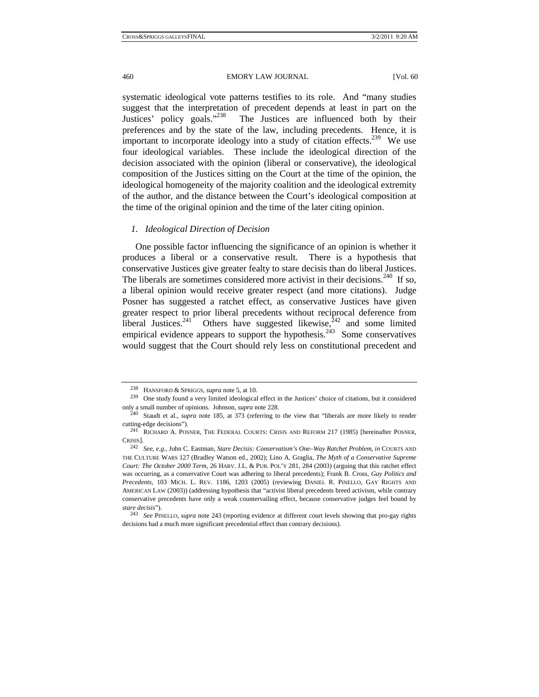systematic ideological vote patterns testifies to its role. And "many studies suggest that the interpretation of precedent depends at least in part on the Justices' policy goals."<sup>238</sup> The Justices are influenced both by their The Justices are influenced both by their preferences and by the state of the law, including precedents. Hence, it is important to incorporate ideology into a study of citation effects.<sup>239</sup> We use four ideological variables. These include the ideological direction of the decision associated with the opinion (liberal or conservative), the ideological composition of the Justices sitting on the Court at the time of the opinion, the ideological homogeneity of the majority coalition and the ideological extremity of the author, and the distance between the Court's ideological composition at the time of the original opinion and the time of the later citing opinion.

## *1. Ideological Direction of Decision*

One possible factor influencing the significance of an opinion is whether it produces a liberal or a conservative result. There is a hypothesis that conservative Justices give greater fealty to stare decisis than do liberal Justices. The liberals are sometimes considered more activist in their decisions.<sup>240</sup> If so, a liberal opinion would receive greater respect (and more citations). Judge Posner has suggested a ratchet effect, as conservative Justices have given greater respect to prior liberal precedents without reciprocal deference from liberal Justices.<sup>241</sup> Others have suggested likewise,<sup> $242$ </sup> and some limited empirical evidence appears to support the hypothesis.<sup>243</sup> Some conservatives would suggest that the Court should rely less on constitutional precedent and

<sup>238</sup> HANSFORD & SPRIGGS, *supra* note 5, at 10. 239 One study found a very limited ideological effect in the Justices' choice of citations, but it considered only a small number of opinions. Johnson, *supra* note 228.<br><sup>240</sup> Staudt et al., *supra* note 185, at 373 (referring to the view that "liberals are more likely to render

cutting-edge decisions"). 241 RICHARD A. POSNER, THE FEDERAL COURTS: CRISIS AND REFORM 217 (1985) [hereinafter POSNER,

CRISIS]. 242 *See, e.g.*, John C. Eastman, *Stare Decisis: Conservatism's One–Way Ratchet Problem*, *in* COURTS AND THE CULTURE WARS 127 (Bradley Watson ed., 2002); Lino A. Graglia, *The Myth of a Conservative Supreme Court: The October 2000 Term*, 26 HARV. J.L. & PUB. POL'Y 281, 284 (2003) (arguing that this ratchet effect was occurring, as a conservative Court was adhering to liberal precedents); Frank B. Cross, *Gay Politics and Precedents*, 103 MICH. L. REV. 1186, 1203 (2005) (reviewing DANIEL R. PINELLO, GAY RIGHTS AND AMERICAN LAW (2003)) (addressing hypothesis that "activist liberal precedents breed activism, while contrary conservative precedents have only a weak countervailing effect, because conservative judges feel bound by *stare decisis*"). 243 *See* PINELLO, *supra* note 243 (reporting evidence at different court levels showing that pro-gay rights

decisions had a much more significant precedential effect than contrary decisions).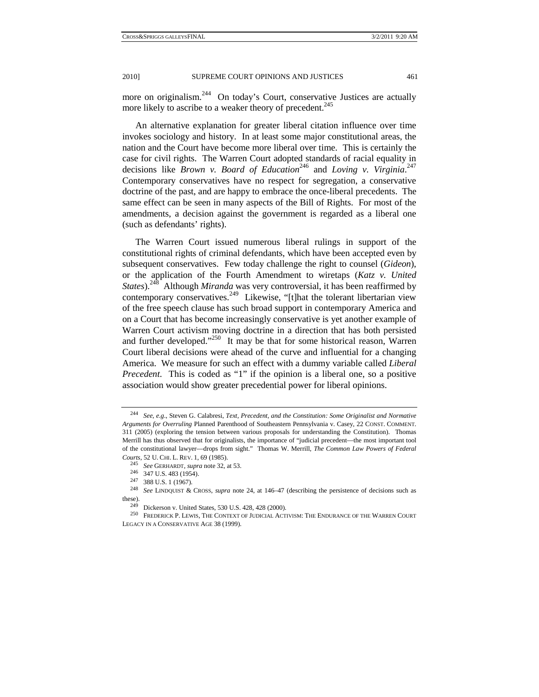more on originalism.<sup>244</sup> On today's Court, conservative Justices are actually more likely to ascribe to a weaker theory of precedent.<sup>245</sup>

An alternative explanation for greater liberal citation influence over time invokes sociology and history. In at least some major constitutional areas, the nation and the Court have become more liberal over time. This is certainly the case for civil rights. The Warren Court adopted standards of racial equality in decisions like *Brown v. Board of Education*<sup>246</sup> and *Loving v. Virginia*.<sup>247</sup> Contemporary conservatives have no respect for segregation, a conservative doctrine of the past, and are happy to embrace the once-liberal precedents. The same effect can be seen in many aspects of the Bill of Rights. For most of the amendments, a decision against the government is regarded as a liberal one (such as defendants' rights).

The Warren Court issued numerous liberal rulings in support of the constitutional rights of criminal defendants, which have been accepted even by subsequent conservatives. Few today challenge the right to counsel (*Gideon*), or the application of the Fourth Amendment to wiretaps (*Katz v. United States*).<sup>248</sup> Although *Miranda* was very controversial, it has been reaffirmed by contemporary conservatives.<sup>249</sup> Likewise, "[t]hat the tolerant libertarian view of the free speech clause has such broad support in contemporary America and on a Court that has become increasingly conservative is yet another example of Warren Court activism moving doctrine in a direction that has both persisted and further developed."<sup>250</sup> It may be that for some historical reason, Warren Court liberal decisions were ahead of the curve and influential for a changing America. We measure for such an effect with a dummy variable called *Liberal Precedent*. This is coded as "1" if the opinion is a liberal one, so a positive association would show greater precedential power for liberal opinions.

<sup>244</sup> *See, e.g.*, Steven G. Calabresi, *Text, Precedent, and the Constitution: Some Originalist and Normative Arguments for Overruling* Planned Parenthood of Southeastern Pennsylvania v. Casey, 22 CONST. COMMENT. 311 (2005) (exploring the tension between various proposals for understanding the Constitution). Thomas Merrill has thus observed that for originalists, the importance of "judicial precedent—the most important tool of the constitutional lawyer—drops from sight." Thomas W. Merrill, *The Common Law Powers of Federal* 

Courts, 52 U. CHI. L. REV. 1, 69 (1985).<br>
<sup>245</sup> See GERHARDT, supra note 32, at 53.<br>
<sup>246</sup> 347 U.S. 483 (1954).<br>
<sup>247</sup> 388 U.S. 1 (1967).<br>
<sup>248</sup> See LINDQUIST & CROSS, *supra* note 24, at 146–47 (describing the persistenc these).<br><sup>249</sup> Dickerson v. United States, 530 U.S. 428, 428 (2000).<br><sup>250</sup> FREDERICK P. LEWIS, THE CONTEXT OF JUDICIAL ACTIVISM: THE ENDURANCE OF THE WARREN COURT

LEGACY IN A CONSERVATIVE AGE 38 (1999).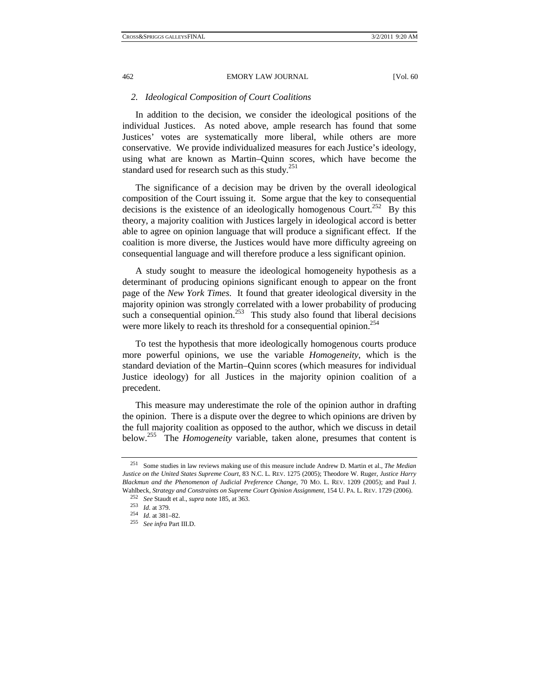#### *2. Ideological Composition of Court Coalitions*

In addition to the decision, we consider the ideological positions of the individual Justices. As noted above, ample research has found that some Justices' votes are systematically more liberal, while others are more conservative. We provide individualized measures for each Justice's ideology, using what are known as Martin–Quinn scores, which have become the standard used for research such as this study.<sup>251</sup>

The significance of a decision may be driven by the overall ideological composition of the Court issuing it. Some argue that the key to consequential decisions is the existence of an ideologically homogenous Court.<sup>252</sup> By this theory, a majority coalition with Justices largely in ideological accord is better able to agree on opinion language that will produce a significant effect. If the coalition is more diverse, the Justices would have more difficulty agreeing on consequential language and will therefore produce a less significant opinion.

A study sought to measure the ideological homogeneity hypothesis as a determinant of producing opinions significant enough to appear on the front page of the *New York Times*. It found that greater ideological diversity in the majority opinion was strongly correlated with a lower probability of producing such a consequential opinion.<sup>253</sup> This study also found that liberal decisions were more likely to reach its threshold for a consequential opinion.<sup>254</sup>

To test the hypothesis that more ideologically homogenous courts produce more powerful opinions, we use the variable *Homogeneity*, which is the standard deviation of the Martin–Quinn scores (which measures for individual Justice ideology) for all Justices in the majority opinion coalition of a precedent.

This measure may underestimate the role of the opinion author in drafting the opinion. There is a dispute over the degree to which opinions are driven by the full majority coalition as opposed to the author, which we discuss in detail below.255 The *Homogeneity* variable, taken alone, presumes that content is

<sup>251</sup> Some studies in law reviews making use of this measure include Andrew D. Martin et al., *The Median Justice on the United States Supreme Court*, 83 N.C. L. REV. 1275 (2005); Theodore W. Ruger, *Justice Harry Blackmun and the Phenomenon of Judicial Preference Change*, 70 MO. L. REV. 1209 (2005); and Paul J. Wahlbeck, *Strategy and Constraints on Supreme Court Opinion Assignment*, 154 U. PA. L. REV. 1729 (2006).<br><sup>252</sup> See Staudt et al., *supra* note 185, at 363.<br><sup>253</sup> Id. at 379.<br><sup>254</sup> Id. at 381–82.<br><sup>255</sup> See infra Part III.D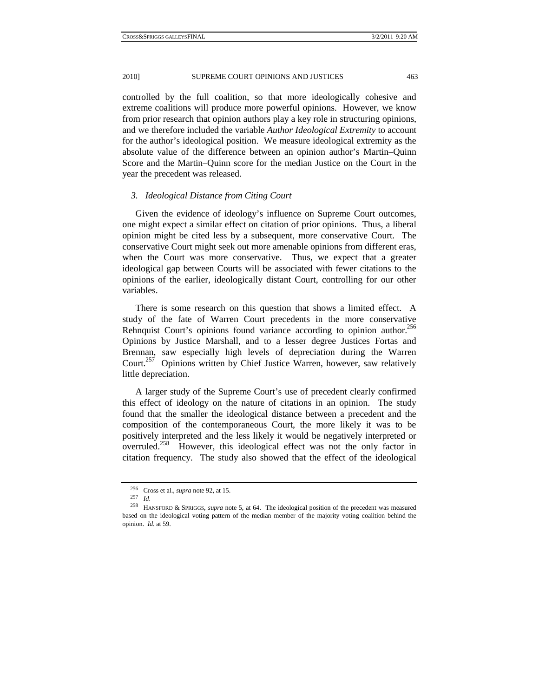controlled by the full coalition, so that more ideologically cohesive and extreme coalitions will produce more powerful opinions. However, we know from prior research that opinion authors play a key role in structuring opinions, and we therefore included the variable *Author Ideological Extremity* to account for the author's ideological position. We measure ideological extremity as the absolute value of the difference between an opinion author's Martin–Quinn Score and the Martin–Quinn score for the median Justice on the Court in the year the precedent was released.

### *3. Ideological Distance from Citing Court*

Given the evidence of ideology's influence on Supreme Court outcomes, one might expect a similar effect on citation of prior opinions. Thus, a liberal opinion might be cited less by a subsequent, more conservative Court. The conservative Court might seek out more amenable opinions from different eras, when the Court was more conservative. Thus, we expect that a greater ideological gap between Courts will be associated with fewer citations to the opinions of the earlier, ideologically distant Court, controlling for our other variables.

There is some research on this question that shows a limited effect. A study of the fate of Warren Court precedents in the more conservative Rehnquist Court's opinions found variance according to opinion author.<sup>256</sup> Opinions by Justice Marshall, and to a lesser degree Justices Fortas and Brennan, saw especially high levels of depreciation during the Warren Court.<sup>257</sup> Opinions written by Chief Justice Warren, however, saw relatively little depreciation.

A larger study of the Supreme Court's use of precedent clearly confirmed this effect of ideology on the nature of citations in an opinion. The study found that the smaller the ideological distance between a precedent and the composition of the contemporaneous Court, the more likely it was to be positively interpreted and the less likely it would be negatively interpreted or overruled.258 However, this ideological effect was not the only factor in citation frequency. The study also showed that the effect of the ideological

<sup>256</sup> Cross et al., *supra* note 92, at 15. 257 *Id.*

<sup>258</sup> HANSFORD & SPRIGGS, *supra* note 5, at 64. The ideological position of the precedent was measured based on the ideological voting pattern of the median member of the majority voting coalition behind the opinion. *Id.* at 59.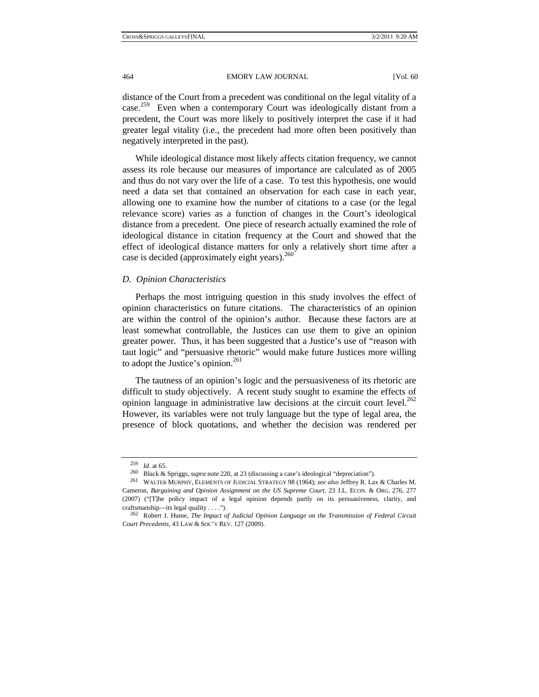distance of the Court from a precedent was conditional on the legal vitality of a case.<sup>259</sup> Even when a contemporary Court was ideologically distant from a precedent, the Court was more likely to positively interpret the case if it had greater legal vitality (i.e., the precedent had more often been positively than negatively interpreted in the past).

While ideological distance most likely affects citation frequency, we cannot assess its role because our measures of importance are calculated as of 2005 and thus do not vary over the life of a case. To test this hypothesis, one would need a data set that contained an observation for each case in each year, allowing one to examine how the number of citations to a case (or the legal relevance score) varies as a function of changes in the Court's ideological distance from a precedent. One piece of research actually examined the role of ideological distance in citation frequency at the Court and showed that the effect of ideological distance matters for only a relatively short time after a case is decided (approximately eight years).<sup>260</sup>

### *D. Opinion Characteristics*

Perhaps the most intriguing question in this study involves the effect of opinion characteristics on future citations. The characteristics of an opinion are within the control of the opinion's author. Because these factors are at least somewhat controllable, the Justices can use them to give an opinion greater power. Thus, it has been suggested that a Justice's use of "reason with taut logic" and "persuasive rhetoric" would make future Justices more willing to adopt the Justice's opinion.<sup>261</sup>

The tautness of an opinion's logic and the persuasiveness of its rhetoric are difficult to study objectively. A recent study sought to examine the effects of opinion language in administrative law decisions at the circuit court level.<sup>262</sup> However, its variables were not truly language but the type of legal area, the presence of block quotations, and whether the decision was rendered per

<sup>&</sup>lt;sup>259</sup> *Id.* at 65.<br><sup>260</sup> Black & Spriggs, *supra* note 220, at 23 (discussing a case's ideological "depreciation").<br><sup>261</sup> WALTER MURPHY, ELEMENTS OF JUDICIAL STRATEGY 98 (1964); *see also* Jeffrey R. Lax & Charles M.

Cameron, *Bargaining and Opinion Assignment on the US Supreme Court*, 23 J.L. ECON. & ORG. 276, 277 (2007) ("[T]he policy impact of a legal opinion depends partly on its persuasiveness, clarity, and craftsmanship—its legal quality . . . ."). 262 Robert J. Hume, *The Impact of Judicial Opinion Language on the Transmission of Federal Circuit* 

*Court Precedents*, 43 LAW & SOC'Y REV. 127 (2009).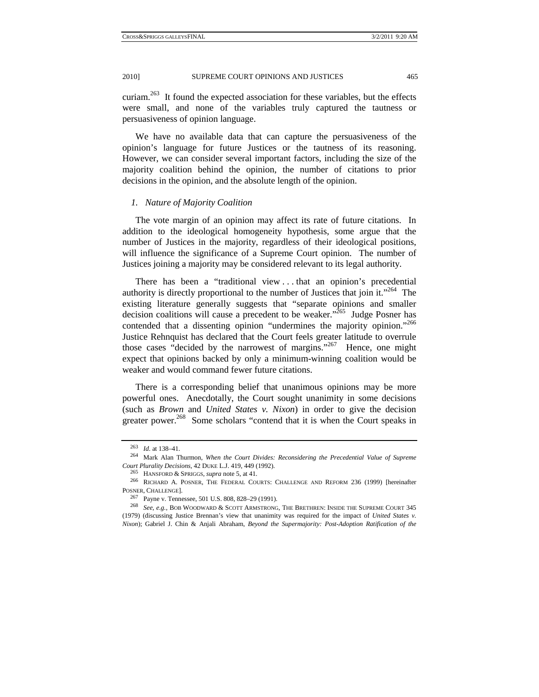curiam.263 It found the expected association for these variables, but the effects were small, and none of the variables truly captured the tautness or persuasiveness of opinion language.

We have no available data that can capture the persuasiveness of the opinion's language for future Justices or the tautness of its reasoning. However, we can consider several important factors, including the size of the majority coalition behind the opinion, the number of citations to prior decisions in the opinion, and the absolute length of the opinion.

## *1. Nature of Majority Coalition*

The vote margin of an opinion may affect its rate of future citations. In addition to the ideological homogeneity hypothesis, some argue that the number of Justices in the majority, regardless of their ideological positions, will influence the significance of a Supreme Court opinion. The number of Justices joining a majority may be considered relevant to its legal authority.

There has been a "traditional view . . . that an opinion's precedential authority is directly proportional to the number of Justices that join it."<sup>264</sup> The existing literature generally suggests that "separate opinions and smaller decision coalitions will cause a precedent to be weaker.<sup> $265$ </sup> Judge Posner has contended that a dissenting opinion "undermines the majority opinion."<sup>266</sup> Justice Rehnquist has declared that the Court feels greater latitude to overrule those cases "decided by the narrowest of margins."<sup>267</sup> Hence, one might expect that opinions backed by only a minimum-winning coalition would be weaker and would command fewer future citations.

There is a corresponding belief that unanimous opinions may be more powerful ones. Anecdotally, the Court sought unanimity in some decisions (such as *Brown* and *United States v. Nixon*) in order to give the decision greater power.<sup>268</sup> Some scholars "contend that it is when the Court speaks in

<sup>263</sup> *Id.* at 138–41. 264 Mark Alan Thurmon, *When the Court Divides: Reconsidering the Precedential Value of Supreme Court Plurality Decisions*, 42 DUKE L.J. 419, 449 (1992).<br><sup>265</sup> HANSFORD & SPRIGGS, *supra* note 5, at 41.<br><sup>266</sup> RICHARD A. POSNER, THE FEDERAL COURTS: CHALLENGE AND REFORM 236 (1999) [hereinafter

POSNER, CHALLENGE]. 267 Payne v. Tennessee, 501 U.S. 808, 828–29 (1991). 268 *See, e.g.*, BOB WOODWARD & SCOTT ARMSTRONG, THE BRETHREN: INSIDE THE SUPREME COURT 345

<sup>(1979) (</sup>discussing Justice Brennan's view that unanimity was required for the impact of *United States v. Nixon*); Gabriel J. Chin & Anjali Abraham, *Beyond the Supermajority: Post-Adoption Ratification of the*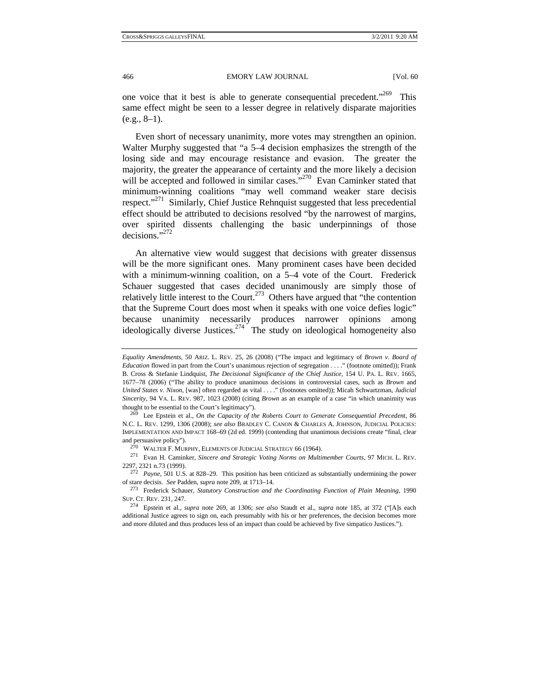one voice that it best is able to generate consequential precedent."<sup>269</sup> This same effect might be seen to a lesser degree in relatively disparate majorities  $(e.g., 8-1)$ .

Even short of necessary unanimity, more votes may strengthen an opinion. Walter Murphy suggested that "a 5–4 decision emphasizes the strength of the losing side and may encourage resistance and evasion. The greater the majority, the greater the appearance of certainty and the more likely a decision will be accepted and followed in similar cases."<sup>270</sup> Evan Caminker stated that minimum-winning coalitions "may well command weaker stare decisis respect."<sup>271</sup> Similarly, Chief Justice Rehnquist suggested that less precedential effect should be attributed to decisions resolved "by the narrowest of margins, over spirited dissents challenging the basic underpinnings of those decisions<sup>",272</sup>

An alternative view would suggest that decisions with greater dissensus will be the more significant ones. Many prominent cases have been decided with a minimum-winning coalition, on a 5–4 vote of the Court. Frederick Schauer suggested that cases decided unanimously are simply those of relatively little interest to the Court.<sup>273</sup> Others have argued that "the contention" that the Supreme Court does most when it speaks with one voice defies logic" because unanimity necessarily produces narrower opinions among ideologically diverse Justices.<sup>274</sup> The study on ideological homogeneity also

*Equality Amendments*, 50 ARIZ. L. REV. 25, 26 (2008) ("The impact and legitimacy of *Brown v. Board of Education* flowed in part from the Court's unanimous rejection of segregation . . . ." (footnote omitted)); Frank B. Cross & Stefanie Lindquist, *The Decisional Significance of the Chief Justice*, 154 U. PA. L. REV. 1665, 1677–78 (2006) ("The ability to produce unanimous decisions in controversial cases, such as *Brown* and *United States v. Nixon*, [was] often regarded as vital . . . ." (footnotes omitted)); Micah Schwartzman, *Judicial Sincerity*, 94 VA. L. REV. 987, 1023 (2008) (citing *Brown* as an example of a case "in which unanimity was thought to be essential to the Court's legitimacy"). 269 Lee Epstein et al., *On the Capacity of the Roberts Court to Generate Consequential Precedent*, 86

N.C. L. REV. 1299, 1306 (2008); *see also* BRADLEY C. CANON & CHARLES A. JOHNSON, JUDICIAL POLICIES: IMPLEMENTATION AND IMPACT 168–69 (2d ed. 1999) (contending that unanimous decisions create "final, clear and persuasive policy"). 270 WALTER F. MURPHY, ELEMENTS OF JUDICIAL STRATEGY 66 (1964). 271 Evan H. Caminker, *Sincere and Strategic Voting Norms on Multimember Courts*, 97 MICH. L. REV.

<sup>2297, 2321</sup> n.73 (1999). 272 *Payne*, 501 U.S. at 828–29. This position has been criticized as substantially undermining the power

of stare decisis. *See* Padden, *supra* note 209, at 1713–14. 273 Frederick Schauer, *Statutory Construction and the Coordinating Function of Plain Meaning*, 1990

SUP. CT. REV. 231, 247. 274 Epstein et al., *supra* note 269, at 1306; *see also* Staudt et al., *supra* note 185, at 372 ("[A]s each additional Justice agrees to sign on, each presumably with his or her preferences, the decision becomes more and more diluted and thus produces less of an impact than could be achieved by five simpatico Justices.").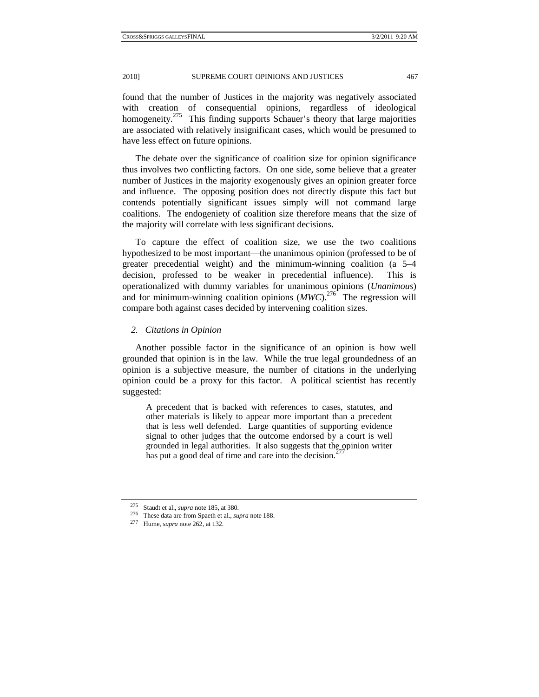found that the number of Justices in the majority was negatively associated with creation of consequential opinions, regardless of ideological homogeneity.<sup>275</sup> This finding supports Schauer's theory that large majorities are associated with relatively insignificant cases, which would be presumed to have less effect on future opinions.

The debate over the significance of coalition size for opinion significance thus involves two conflicting factors. On one side, some believe that a greater number of Justices in the majority exogenously gives an opinion greater force and influence. The opposing position does not directly dispute this fact but contends potentially significant issues simply will not command large coalitions. The endogeniety of coalition size therefore means that the size of the majority will correlate with less significant decisions.

To capture the effect of coalition size, we use the two coalitions hypothesized to be most important—the unanimous opinion (professed to be of greater precedential weight) and the minimum-winning coalition (a 5–4 decision, professed to be weaker in precedential influence). This is operationalized with dummy variables for unanimous opinions (*Unanimous*) and for minimum-winning coalition opinions  $(MWC)^{276}$  The regression will compare both against cases decided by intervening coalition sizes.

#### *2. Citations in Opinion*

Another possible factor in the significance of an opinion is how well grounded that opinion is in the law. While the true legal groundedness of an opinion is a subjective measure, the number of citations in the underlying opinion could be a proxy for this factor. A political scientist has recently suggested:

A precedent that is backed with references to cases, statutes, and other materials is likely to appear more important than a precedent that is less well defended. Large quantities of supporting evidence signal to other judges that the outcome endorsed by a court is well grounded in legal authorities. It also suggests that the opinion writer has put a good deal of time and care into the decision. $277$ 

<sup>275</sup> Staudt et al., *supra* note 185, at 380. 276 These data are from Spaeth et al., *supra* note 188. 277 Hume, *supra* note 262, at 132.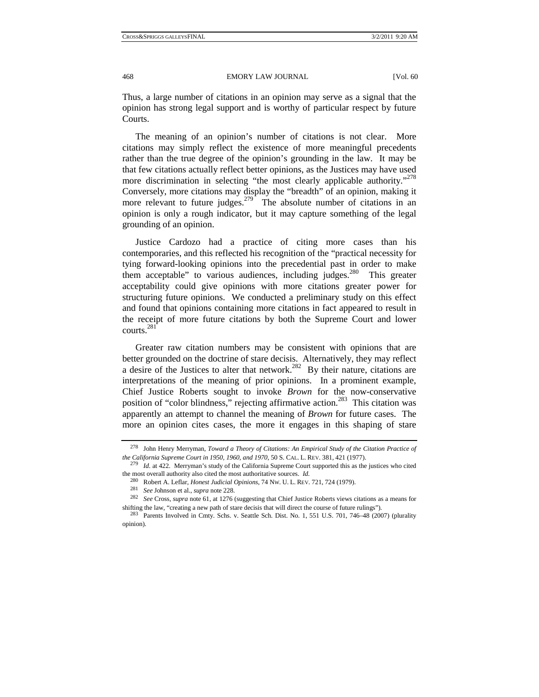Thus, a large number of citations in an opinion may serve as a signal that the opinion has strong legal support and is worthy of particular respect by future Courts.

The meaning of an opinion's number of citations is not clear. More citations may simply reflect the existence of more meaningful precedents rather than the true degree of the opinion's grounding in the law. It may be that few citations actually reflect better opinions, as the Justices may have used more discrimination in selecting "the most clearly applicable authority."<sup>278</sup> Conversely, more citations may display the "breadth" of an opinion, making it more relevant to future judges.<sup>279</sup> The absolute number of citations in an opinion is only a rough indicator, but it may capture something of the legal grounding of an opinion.

Justice Cardozo had a practice of citing more cases than his contemporaries, and this reflected his recognition of the "practical necessity for tying forward-looking opinions into the precedential past in order to make them acceptable" to various audiences, including judges.<sup>280</sup> This greater acceptability could give opinions with more citations greater power for structuring future opinions. We conducted a preliminary study on this effect and found that opinions containing more citations in fact appeared to result in the receipt of more future citations by both the Supreme Court and lower courts.<sup>281</sup>

Greater raw citation numbers may be consistent with opinions that are better grounded on the doctrine of stare decisis. Alternatively, they may reflect a desire of the Justices to alter that network.<sup>282</sup> By their nature, citations are interpretations of the meaning of prior opinions. In a prominent example, Chief Justice Roberts sought to invoke *Brown* for the now-conservative position of "color blindness," rejecting affirmative action.<sup>283</sup> This citation was apparently an attempt to channel the meaning of *Brown* for future cases. The more an opinion cites cases, the more it engages in this shaping of stare

<sup>278</sup> John Henry Merryman, *Toward a Theory of Citations: An Empirical Study of the Citation Practice of the California Supreme Court in 1950, 1960, and 1970*, 50 S. CAL. L. REV. 381, 421 (1977). 279 *Id.* at 422. Merryman's study of the California Supreme Court supported this as the justices who cited

the most overall authority also cited the most authoritative sources. *Id.* <sup>280</sup> Robert A. Leflar, *Honest Judicial Opinions*, 74 Nw. U. L. REV. 721, 724 (1979).

<sup>&</sup>lt;sup>281</sup> See Johnson et al., *supra* note 228.<br><sup>282</sup> See Cross, *supra* note 61, at 1276 (suggesting that Chief Justice Roberts views citations as a means for shifting the law, "creating a new path of stare decisis that will direct the course of future rulings"). <sup>283</sup> Parents Involved in Cmty. Schs. v. Seattle Sch. Dist. No. 1, 551 U.S. 701, 746–48 (2007) (plurality

opinion).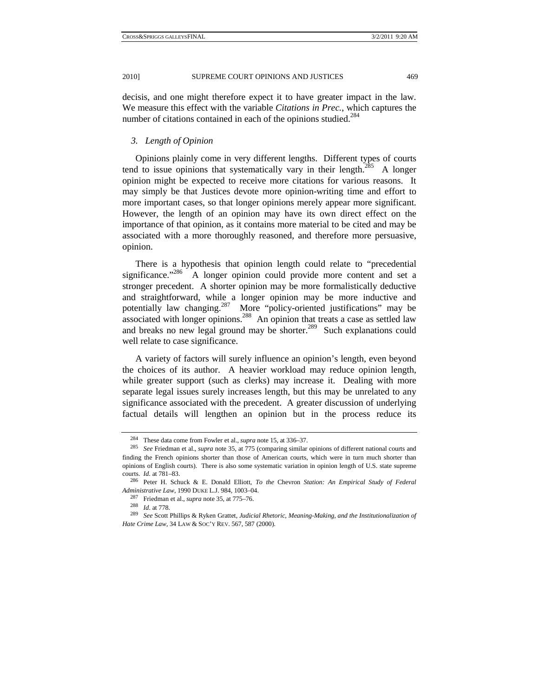decisis, and one might therefore expect it to have greater impact in the law. We measure this effect with the variable *Citations in Prec.*, which captures the number of citations contained in each of the opinions studied.<sup>284</sup>

## *3. Length of Opinion*

Opinions plainly come in very different lengths. Different types of courts tend to issue opinions that systematically vary in their length.<sup>285</sup> A longer opinion might be expected to receive more citations for various reasons. It may simply be that Justices devote more opinion-writing time and effort to more important cases, so that longer opinions merely appear more significant. However, the length of an opinion may have its own direct effect on the importance of that opinion, as it contains more material to be cited and may be associated with a more thoroughly reasoned, and therefore more persuasive, opinion.

There is a hypothesis that opinion length could relate to "precedential significance. $286$  A longer opinion could provide more content and set a stronger precedent. A shorter opinion may be more formalistically deductive and straightforward, while a longer opinion may be more inductive and potentially law changing.287 More "policy-oriented justifications" may be associated with longer opinions.<sup>288</sup> An opinion that treats a case as settled law and breaks no new legal ground may be shorter.<sup>289</sup> Such explanations could well relate to case significance.

A variety of factors will surely influence an opinion's length, even beyond the choices of its author. A heavier workload may reduce opinion length, while greater support (such as clerks) may increase it. Dealing with more separate legal issues surely increases length, but this may be unrelated to any significance associated with the precedent. A greater discussion of underlying factual details will lengthen an opinion but in the process reduce its

<sup>284</sup> These data come from Fowler et al., *supra* note 15, at 336–37. 285 *See* Friedman et al., *supra* note 35, at 775 (comparing similar opinions of different national courts and finding the French opinions shorter than those of American courts, which were in turn much shorter than opinions of English courts). There is also some systematic variation in opinion length of U.S. state supreme courts. *Id.* at 781–83. 286 Peter H. Schuck & E. Donald Elliott, *To the* Chevron *Station: An Empirical Study of Federal* 

*Administrative Law*, 1990 DUKE L.J. 984, 1003–04.<br><sup>287</sup> Friedman et al., *supra* note 35, at 775–76.<br><sup>288</sup> *Id.* at 778.<br><sup>289</sup> *See* Scott Phillips & Ryken Grattet, *Judicial Rhetoric, Meaning-Making, and the Institution Hate Crime Law*, 34 LAW & SOC'Y REV. 567, 587 (2000).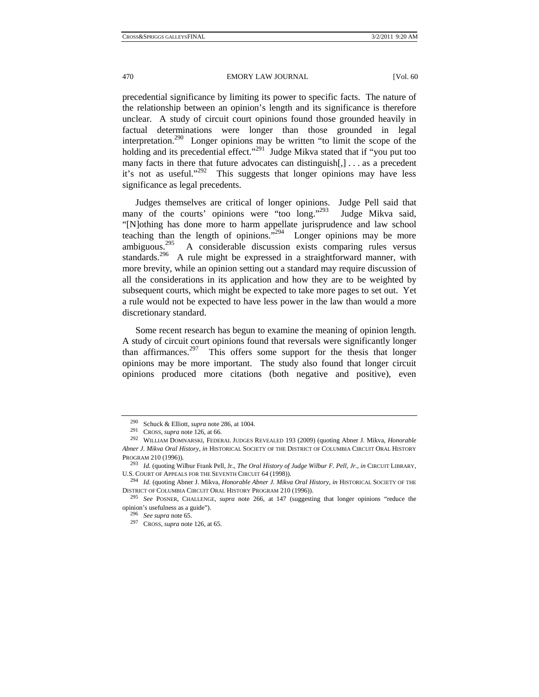470 EMORY LAW JOURNAL [Vol. 60]

precedential significance by limiting its power to specific facts. The nature of the relationship between an opinion's length and its significance is therefore unclear. A study of circuit court opinions found those grounded heavily in factual determinations were longer than those grounded in legal interpretation.<sup>290</sup> Longer opinions may be written "to limit the scope of the holding and its precedential effect."<sup>291</sup> Judge Mikva stated that if "you put too many facts in there that future advocates can distinguish[,] . . . as a precedent it's not as useful."292 This suggests that longer opinions may have less significance as legal precedents.

Judges themselves are critical of longer opinions. Judge Pell said that many of the courts' opinions were "too long."<sup>293</sup> Judge Mikva said, "[N]othing has done more to harm appellate jurisprudence and law school teaching than the length of opinions."294 Longer opinions may be more ambiguous.295 A considerable discussion exists comparing rules versus standards.<sup>296</sup> A rule might be expressed in a straightforward manner, with more brevity, while an opinion setting out a standard may require discussion of all the considerations in its application and how they are to be weighted by subsequent courts, which might be expected to take more pages to set out. Yet a rule would not be expected to have less power in the law than would a more discretionary standard.

Some recent research has begun to examine the meaning of opinion length. A study of circuit court opinions found that reversals were significantly longer than affirmances.<sup>297</sup> This offers some support for the thesis that longer opinions may be more important. The study also found that longer circuit opinions produced more citations (both negative and positive), even

<sup>290</sup> Schuck & Elliott, *supra* note 286, at 1004. 291 CROSS, *supra* note 126, at 66. 292 WILLIAM DOMNARSKI, FEDERAL JUDGES REVEALED 193 (2009) (quoting Abner J. Mikva, *Honorable Abner J. Mikva Oral History*, *in* HISTORICAL SOCIETY OF THE DISTRICT OF COLUMBIA CIRCUIT ORAL HISTORY

PROGRAM 210 (1996)). 293 *Id.* (quoting Wilbur Frank Pell, Jr., *The Oral History of Judge Wilbur F. Pell, Jr.*, *in* CIRCUIT LIBRARY,

<sup>&</sup>lt;sup>294</sup> Id. (quoting Abner J. Mikva, *Honorable Abner J. Mikva Oral History*, *in* HISTORICAL SOCIETY OF THE DISTRICT OF COLUMBIA CIRCUIT ORAL HISTORY PROGRAM 210 (1996)). 295 *See* POSNER, CHALLENGE, *supra* note 266, at 147 (suggesting that longer opinions "reduce the

opinion's usefulness as a guide"). 296 *See supra* note 65. 297 CROSS, *supra* note 126, at 65.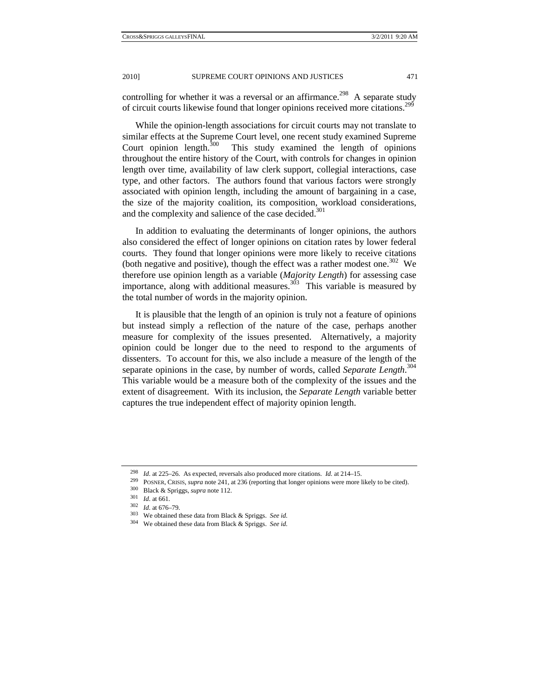controlling for whether it was a reversal or an affirmance.<sup>298</sup> A separate study of circuit courts likewise found that longer opinions received more citations.<sup>299</sup>

While the opinion-length associations for circuit courts may not translate to similar effects at the Supreme Court level, one recent study examined Supreme Court opinion length.<sup>300</sup> This study examined the length of opinions This study examined the length of opinions throughout the entire history of the Court, with controls for changes in opinion length over time, availability of law clerk support, collegial interactions, case type, and other factors. The authors found that various factors were strongly associated with opinion length, including the amount of bargaining in a case, the size of the majority coalition, its composition, workload considerations, and the complexity and salience of the case decided.<sup>301</sup>

In addition to evaluating the determinants of longer opinions, the authors also considered the effect of longer opinions on citation rates by lower federal courts. They found that longer opinions were more likely to receive citations (both negative and positive), though the effect was a rather modest one.<sup>302</sup> We therefore use opinion length as a variable (*Majority Length*) for assessing case importance, along with additional measures. $3^{03}$  This variable is measured by the total number of words in the majority opinion.

It is plausible that the length of an opinion is truly not a feature of opinions but instead simply a reflection of the nature of the case, perhaps another measure for complexity of the issues presented. Alternatively, a majority opinion could be longer due to the need to respond to the arguments of dissenters. To account for this, we also include a measure of the length of the separate opinions in the case, by number of words, called *Separate Length*. 304 This variable would be a measure both of the complexity of the issues and the extent of disagreement. With its inclusion, the *Separate Length* variable better captures the true independent effect of majority opinion length.

<sup>&</sup>lt;sup>298</sup> *Id.* at 225–26. As expected, reversals also produced more citations. *Id.* at 214–15.<br><sup>299</sup> POSNER, CRISIS, *supra* note 241, at 236 (reporting that longer opinions were more likely to be cited).<br><sup>300</sup> Black & Spri

<sup>304</sup> We obtained these data from Black & Spriggs. *See id.*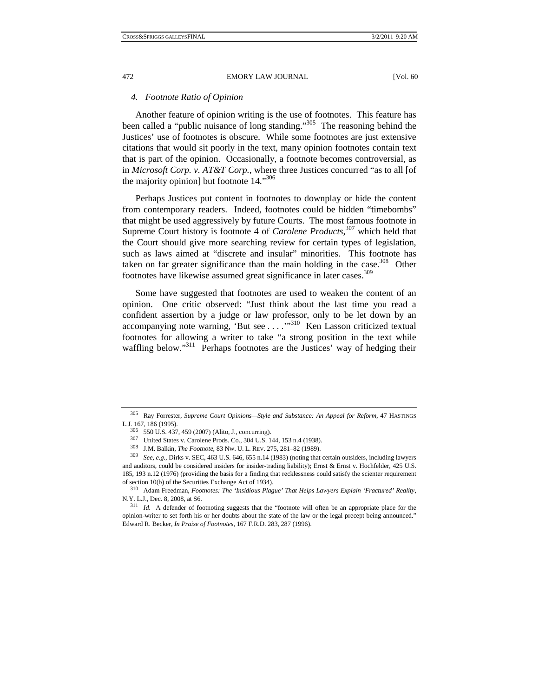#### *4. Footnote Ratio of Opinion*

Another feature of opinion writing is the use of footnotes. This feature has been called a "public nuisance of long standing."<sup>305</sup> The reasoning behind the Justices' use of footnotes is obscure. While some footnotes are just extensive citations that would sit poorly in the text, many opinion footnotes contain text that is part of the opinion. Occasionally, a footnote becomes controversial, as in *Microsoft Corp. v. AT&T Corp.*, where three Justices concurred "as to all [of the majority opinion] but footnote 14."306

Perhaps Justices put content in footnotes to downplay or hide the content from contemporary readers. Indeed, footnotes could be hidden "timebombs" that might be used aggressively by future Courts. The most famous footnote in Supreme Court history is footnote 4 of *Carolene Products*, 307 which held that the Court should give more searching review for certain types of legislation, such as laws aimed at "discrete and insular" minorities. This footnote has taken on far greater significance than the main holding in the case.<sup>308</sup> Other footnotes have likewise assumed great significance in later cases.309

Some have suggested that footnotes are used to weaken the content of an opinion. One critic observed: "Just think about the last time you read a confident assertion by a judge or law professor, only to be let down by an accompanying note warning, 'But see . . . . .<sup>310</sup> Ken Lasson criticized textual footnotes for allowing a writer to take "a strong position in the text while waffling below."<sup>311</sup> Perhaps footnotes are the Justices' way of hedging their

<sup>305</sup> Ray Forrester, *Supreme Court Opinions—Style and Substance: An Appeal for Reform*, 47 HASTINGS

L.J. 167, 186 (1995).<br><sup>306</sup> 550 U.S. 437, 459 (2007) (Alito, J., concurring).<br><sup>307</sup> United States v. Carolene Prods. Co., 304 U.S. 144, 153 n.4 (1938).<br><sup>308</sup> J.M. Balkin, *The Footnote*, 83 Nw. U.L. REV. 275, 281–82 (1989 and auditors, could be considered insiders for insider-trading liability); Ernst & Ernst v. Hochfelder, 425 U.S. 185, 193 n.12 (1976) (providing the basis for a finding that recklessness could satisfy the scienter requirement

of section 10(b) of the Securities Exchange Act of 1934).<br><sup>310</sup> Adam Freedman, *Footnotes: The 'Insidious Plague' That Helps Lawyers Explain 'Fractured' Reality*,<br>N.Y. L.J., Dec. 8, 2008, at S6.

<sup>&</sup>lt;sup>311</sup> Id. A defender of footnoting suggests that the "footnote will often be an appropriate place for the opinion-writer to set forth his or her doubts about the state of the law or the legal precept being announced." Edward R. Becker, *In Praise of Footnotes*, 167 F.R.D. 283, 287 (1996).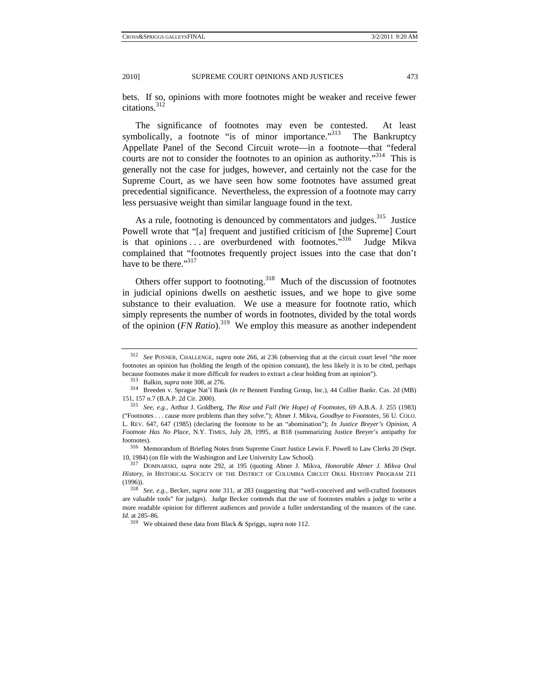bets. If so, opinions with more footnotes might be weaker and receive fewer citations.<sup>312</sup>

The significance of footnotes may even be contested. At least symbolically, a footnote "is of minor importance."<sup>313</sup> The Bankruptcy Appellate Panel of the Second Circuit wrote—in a footnote—that "federal courts are not to consider the footnotes to an opinion as authority."<sup>314</sup> This is generally not the case for judges, however, and certainly not the case for the Supreme Court, as we have seen how some footnotes have assumed great precedential significance. Nevertheless, the expression of a footnote may carry less persuasive weight than similar language found in the text.

As a rule, footnoting is denounced by commentators and judges.<sup>315</sup> Justice Powell wrote that "[a] frequent and justified criticism of [the Supreme] Court is that opinions . . . are overburdened with footnotes."<sup>316</sup> Judge Mikva complained that "footnotes frequently project issues into the case that don't have to be there."<sup>317</sup>

Others offer support to footnoting.<sup>318</sup> Much of the discussion of footnotes in judicial opinions dwells on aesthetic issues, and we hope to give some substance to their evaluation. We use a measure for footnote ratio, which simply represents the number of words in footnotes, divided by the total words of the opinion (*FN Ratio*).<sup>319</sup> We employ this measure as another independent

footnotes). 316 Memorandum of Briefing Notes from Supreme Court Justice Lewis F. Powell to Law Clerks 20 (Sept. 10, 1984) (on file with the Washington and Lee University Law School). 317 DOMNARSKI, *supra* note 292, at 195 (quoting Abner J. Mikva, *Honorable Abner J. Mikva Oral* 

<sup>312</sup> *See* POSNER, CHALLENGE, *supra* note 266, at 236 (observing that at the circuit court level "the more footnotes an opinion has (holding the length of the opinion constant), the less likely it is to be cited, perhaps

because footnotes make it more difficult for readers to extract a clear holding from an opinion").<br><sup>313</sup> Balkin, *supra* note 308, at 276.<br><sup>314</sup> Breeden v. Sprague Nat'l Bank (*In re* Bennett Funding Group, Inc.), 44 Colli 151, 157 n.7 (B.A.P. 2d Cir. 2000). 315 *See, e.g.*, Arthur J. Goldberg, *The Rise and Fall (We Hope) of Footnotes*, 69 A.B.A. J. 255 (1983)

<sup>(&</sup>quot;Footnotes . . . cause more problems than they solve."); Abner J. Mikva, *Goodbye to Footnotes*, 56 U. COLO. L. REV. 647, 647 (1985) (declaring the footnote to be an "abomination"); *In Justice Breyer's Opinion, A Footnote Has No Place*, N.Y. TIMES, July 28, 1995, at B18 (summarizing Justice Breyer's antipathy for

*History*, *in* HISTORICAL SOCIETY OF THE DISTRICT OF COLUMBIA CIRCUIT ORAL HISTORY PROGRAM 211 (1996)). 318 *See, e.g.*, Becker, *supra* note 311, at 283 (suggesting that "well-conceived and well-crafted footnotes

are valuable tools" for judges). Judge Becker contends that the use of footnotes enables a judge to write a more readable opinion for different audiences and provide a fuller understanding of the nuances of the case. *Id.* at 285–86.

<sup>319</sup> We obtained these data from Black & Spriggs, *supra* note 112.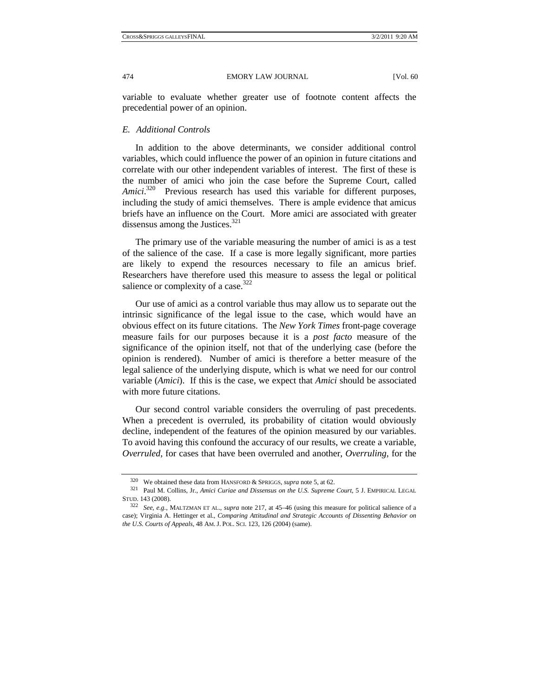variable to evaluate whether greater use of footnote content affects the precedential power of an opinion.

# *E. Additional Controls*

In addition to the above determinants, we consider additional control variables, which could influence the power of an opinion in future citations and correlate with our other independent variables of interest. The first of these is the number of amici who join the case before the Supreme Court, called Amici.<sup>320</sup> Previous research has used this variable for different purposes, including the study of amici themselves. There is ample evidence that amicus briefs have an influence on the Court. More amici are associated with greater dissensus among the Justices. $321$ 

The primary use of the variable measuring the number of amici is as a test of the salience of the case. If a case is more legally significant, more parties are likely to expend the resources necessary to file an amicus brief. Researchers have therefore used this measure to assess the legal or political salience or complexity of a case.<sup>322</sup>

Our use of amici as a control variable thus may allow us to separate out the intrinsic significance of the legal issue to the case, which would have an obvious effect on its future citations. The *New York Times* front-page coverage measure fails for our purposes because it is a *post facto* measure of the significance of the opinion itself, not that of the underlying case (before the opinion is rendered). Number of amici is therefore a better measure of the legal salience of the underlying dispute, which is what we need for our control variable (*Amici*). If this is the case, we expect that *Amici* should be associated with more future citations.

Our second control variable considers the overruling of past precedents. When a precedent is overruled, its probability of citation would obviously decline, independent of the features of the opinion measured by our variables. To avoid having this confound the accuracy of our results, we create a variable, *Overruled*, for cases that have been overruled and another, *Overruling*, for the

<sup>320</sup> We obtained these data from HANSFORD & SPRIGGS, *supra* note 5, at 62. 321 Paul M. Collins, Jr., *Amici Curiae and Dissensus on the U.S. Supreme Court*, 5 J. EMPIRICAL LEGAL STUD. 143 (2008). 322 *See, e.g.*, MALTZMAN ET AL., *supra* note 217, at 45–46 (using this measure for political salience of a

case); Virginia A. Hettinger et al., *Comparing Attitudinal and Strategic Accounts of Dissenting Behavior on the U.S. Courts of Appeals*, 48 AM.J. POL. SCI. 123, 126 (2004) (same).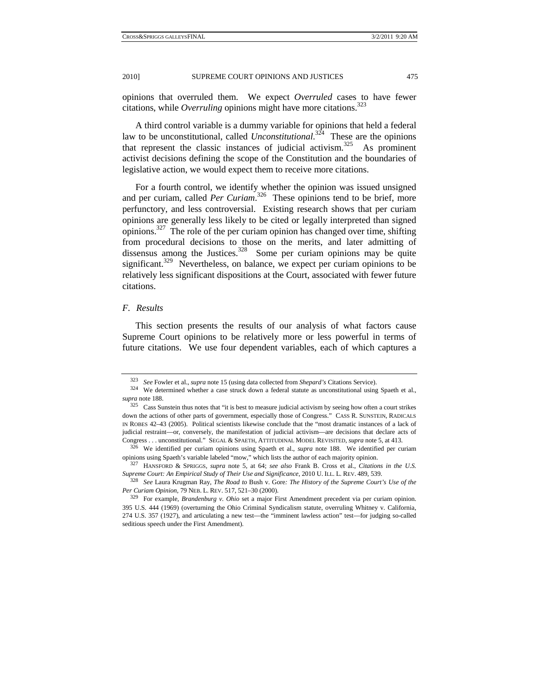opinions that overruled them. We expect *Overruled* cases to have fewer citations, while *Overruling* opinions might have more citations.<sup>323</sup>

A third control variable is a dummy variable for opinions that held a federal law to be unconstitutional, called *Unconstitutional*. 324 These are the opinions that represent the classic instances of judicial activism.<sup>325</sup> As prominent activist decisions defining the scope of the Constitution and the boundaries of legislative action, we would expect them to receive more citations.

For a fourth control, we identify whether the opinion was issued unsigned and per curiam, called *Per Curiam*. 326 These opinions tend to be brief, more perfunctory, and less controversial. Existing research shows that per curiam opinions are generally less likely to be cited or legally interpreted than signed  $\overline{327}$  The role of the per curiam opinion has changed over time, shifting from procedural decisions to those on the merits, and later admitting of dissensus among the Justices. $328$  Some per curiam opinions may be quite significant.<sup>329</sup> Nevertheless, on balance, we expect per curiam opinions to be relatively less significant dispositions at the Court, associated with fewer future citations.

#### *F. Results*

This section presents the results of our analysis of what factors cause Supreme Court opinions to be relatively more or less powerful in terms of future citations. We use four dependent variables, each of which captures a

<sup>323</sup> *See* Fowler et al., *supra* note 15 (using data collected from *Shepard's* Citations Service). 324 We determined whether a case struck down a federal statute as unconstitutional using Spaeth et al., *supra* note 188.<br><sup>325</sup> Cass Sunstein thus notes that "it is best to measure judicial activism by seeing how often a court strikes

down the actions of other parts of government, especially those of Congress." CASS R. SUNSTEIN, RADICALS IN ROBES 42–43 (2005). Political scientists likewise conclude that the "most dramatic instances of a lack of judicial restraint—or, conversely, the manifestation of judicial activism—are decisions that declare acts of Congress . . . unconstitutional." SEGAL & SPAETH, ATTITUDINAL MODEL REVISITED, *supra* note 5, at 413. 326 We identified per curiam opinions using Spaeth et al., *supra* note 188. We identified per curiam

opinions using Spaeth's variable labeled "mow," which lists the author of each majority opinion.<br><sup>327</sup> HANSFORD & SPRIGGS, *supra* note 5, at 64; *see also* Frank B. Cross et al., *Citations in the U.S. Supreme Court: An* 

<sup>328</sup> See Laura Krugman Ray, The Road to Bush v. Gore: The History of the Supreme Court's Use of the *Per Curiam Opinion*, 79 NEB. L. REV. 517, 521–30 (2000).<br><sup>329</sup> For example, *Brandenburg v. Ohio* set a major First Amendment precedent via per curiam opinion.

<sup>395</sup> U.S. 444 (1969) (overturning the Ohio Criminal Syndicalism statute, overruling Whitney v. California, 274 U.S. 357 (1927), and articulating a new test—the "imminent lawless action" test—for judging so-called seditious speech under the First Amendment).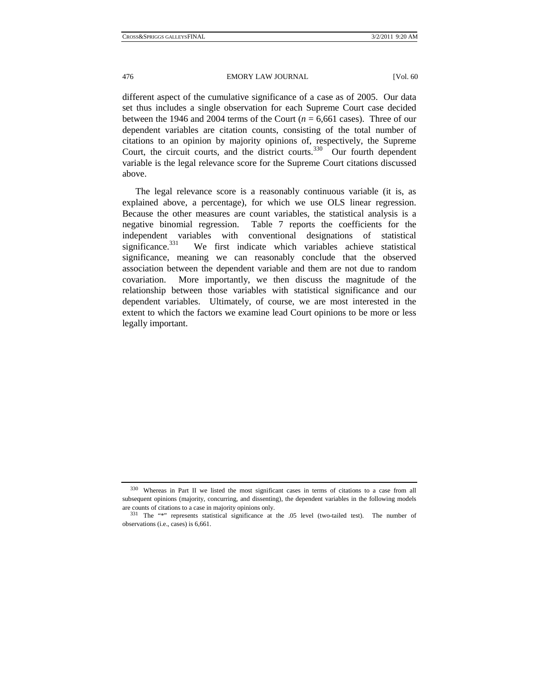different aspect of the cumulative significance of a case as of 2005. Our data set thus includes a single observation for each Supreme Court case decided between the 1946 and 2004 terms of the Court  $(n = 6.661 \text{ cases})$ . Three of our dependent variables are citation counts, consisting of the total number of citations to an opinion by majority opinions of, respectively, the Supreme Court, the circuit courts, and the district courts. $330$  Our fourth dependent variable is the legal relevance score for the Supreme Court citations discussed above.

The legal relevance score is a reasonably continuous variable (it is, as explained above, a percentage), for which we use OLS linear regression. Because the other measures are count variables, the statistical analysis is a negative binomial regression. Table 7 reports the coefficients for the independent variables with conventional designations of statistical significance. $331$  We first indicate which variables achieve statistical significance, meaning we can reasonably conclude that the observed association between the dependent variable and them are not due to random covariation. More importantly, we then discuss the magnitude of the relationship between those variables with statistical significance and our dependent variables. Ultimately, of course, we are most interested in the extent to which the factors we examine lead Court opinions to be more or less legally important.

<sup>330</sup> Whereas in Part II we listed the most significant cases in terms of citations to a case from all subsequent opinions (majority, concurring, and dissenting), the dependent variables in the following models are counts of citations to a case in majority opinions only.<br> $331$  The "\*" represents statistical significance at the .05 level (two-tailed test). The number of

observations (i.e., cases) is 6,661.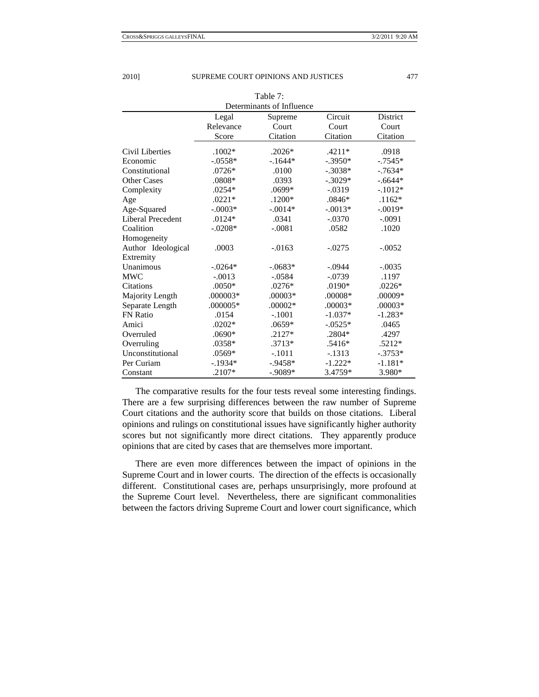Table 7:

| Determinants of Influence |            |            |            |            |  |  |
|---------------------------|------------|------------|------------|------------|--|--|
|                           | Legal      | Supreme    | Circuit    | District   |  |  |
|                           | Relevance  | Court      | Court      | Court      |  |  |
|                           | Score      | Citation   | Citation   | Citation   |  |  |
| Civil Liberties           | $.1002*$   | $.2026*$   | $.4211*$   | .0918      |  |  |
| Economic                  | $-.0558*$  | $-1644*$   | $-.3950*$  | $-0.7545*$ |  |  |
| Constitutional            | $.0726*$   | .0100      | $-.3038*$  | $-7634*$   |  |  |
| <b>Other Cases</b>        | $.0808*$   | .0393      | $-.3029*$  | $-.6644*$  |  |  |
| Complexity                | $.0254*$   | .0699*     | $-0.0319$  | $-.1012*$  |  |  |
| Age                       | $.0221*$   | .1200*     | $.0846*$   | $.1162*$   |  |  |
| Age-Squared               | $-.0003*$  | $-.0014*$  | $-.0013*$  | $-.0019*$  |  |  |
| <b>Liberal Precedent</b>  | $.0124*$   | .0341      | $-.0370$   | $-.0091$   |  |  |
| Coalition                 | $-.0208*$  | $-.0081$   | .0582      | .1020      |  |  |
| Homogeneity               |            |            |            |            |  |  |
| Author Ideological        | .0003      | $-0.0163$  | $-.0275$   | $-.0052$   |  |  |
| Extremity                 |            |            |            |            |  |  |
| Unanimous                 | $-.0264*$  | $-0.0683*$ | $-.0944$   | $-.0035$   |  |  |
| <b>MWC</b>                | $-.0013$   | $-.0584$   | $-.0739$   | .1197      |  |  |
| Citations                 | $.0050*$   | $.0276*$   | .0190*     | $.0226*$   |  |  |
| Majority Length           | .000003*   | $.00003*$  | .00008*    | .00009*    |  |  |
| Separate Length           | $.000005*$ | $.00002*$  | $.00003*$  | $.00003*$  |  |  |
| <b>FN</b> Ratio           | .0154      | $-.1001$   | $-1.037*$  | $-1.283*$  |  |  |
| Amici                     | $.0202*$   | .0659*     | $-0.0525*$ | .0465      |  |  |
| Overruled                 | $.0690*$   | $.2127*$   | .2804*     | .4297      |  |  |
| Overruling                | .0358*     | $.3713*$   | $.5416*$   | $.5212*$   |  |  |
| Unconstitutional          | .0569*     | $-.1011$   | $-1313$    | $-.3753*$  |  |  |
| Per Curiam                | $-.1934*$  | $-.9458*$  | $-1.222*$  | $-1.181*$  |  |  |
| Constant                  | .2107*     | $-.9089*$  | 3.4759*    | 3.980*     |  |  |

The comparative results for the four tests reveal some interesting findings. There are a few surprising differences between the raw number of Supreme Court citations and the authority score that builds on those citations. Liberal opinions and rulings on constitutional issues have significantly higher authority scores but not significantly more direct citations. They apparently produce opinions that are cited by cases that are themselves more important.

There are even more differences between the impact of opinions in the Supreme Court and in lower courts. The direction of the effects is occasionally different. Constitutional cases are, perhaps unsurprisingly, more profound at the Supreme Court level. Nevertheless, there are significant commonalities between the factors driving Supreme Court and lower court significance, which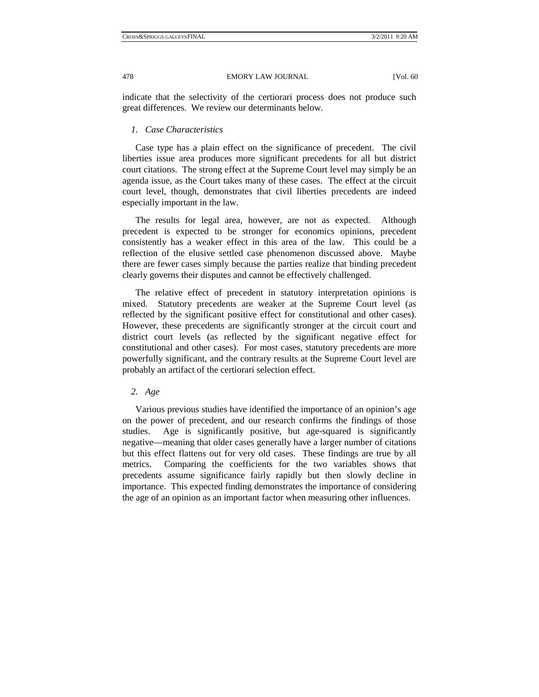indicate that the selectivity of the certiorari process does not produce such great differences. We review our determinants below.

## *1. Case Characteristics*

Case type has a plain effect on the significance of precedent. The civil liberties issue area produces more significant precedents for all but district court citations. The strong effect at the Supreme Court level may simply be an agenda issue, as the Court takes many of these cases. The effect at the circuit court level, though, demonstrates that civil liberties precedents are indeed especially important in the law.

The results for legal area, however, are not as expected. Although precedent is expected to be stronger for economics opinions, precedent consistently has a weaker effect in this area of the law. This could be a reflection of the elusive settled case phenomenon discussed above. Maybe there are fewer cases simply because the parties realize that binding precedent clearly governs their disputes and cannot be effectively challenged.

The relative effect of precedent in statutory interpretation opinions is mixed. Statutory precedents are weaker at the Supreme Court level (as reflected by the significant positive effect for constitutional and other cases). However, these precedents are significantly stronger at the circuit court and district court levels (as reflected by the significant negative effect for constitutional and other cases). For most cases, statutory precedents are more powerfully significant, and the contrary results at the Supreme Court level are probably an artifact of the certiorari selection effect.

## *2. Age*

Various previous studies have identified the importance of an opinion's age on the power of precedent, and our research confirms the findings of those studies. Age is significantly positive, but age-squared is significantly negative—meaning that older cases generally have a larger number of citations but this effect flattens out for very old cases. These findings are true by all metrics. Comparing the coefficients for the two variables shows that precedents assume significance fairly rapidly but then slowly decline in importance. This expected finding demonstrates the importance of considering the age of an opinion as an important factor when measuring other influences.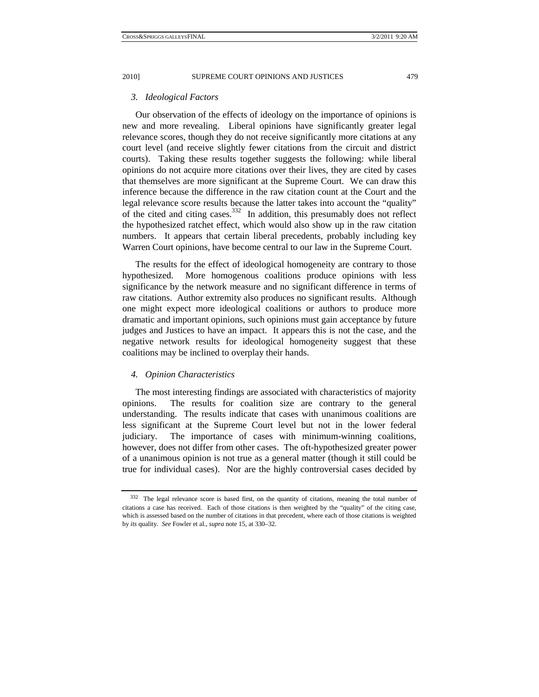#### *3. Ideological Factors*

 Our observation of the effects of ideology on the importance of opinions is new and more revealing. Liberal opinions have significantly greater legal relevance scores, though they do not receive significantly more citations at any court level (and receive slightly fewer citations from the circuit and district courts). Taking these results together suggests the following: while liberal opinions do not acquire more citations over their lives, they are cited by cases that themselves are more significant at the Supreme Court. We can draw this inference because the difference in the raw citation count at the Court and the legal relevance score results because the latter takes into account the "quality" of the cited and citing cases.<sup>332</sup> In addition, this presumably does not reflect the hypothesized ratchet effect, which would also show up in the raw citation numbers. It appears that certain liberal precedents, probably including key Warren Court opinions, have become central to our law in the Supreme Court.

The results for the effect of ideological homogeneity are contrary to those hypothesized. More homogenous coalitions produce opinions with less significance by the network measure and no significant difference in terms of raw citations. Author extremity also produces no significant results. Although one might expect more ideological coalitions or authors to produce more dramatic and important opinions, such opinions must gain acceptance by future judges and Justices to have an impact. It appears this is not the case, and the negative network results for ideological homogeneity suggest that these coalitions may be inclined to overplay their hands.

## *4. Opinion Characteristics*

The most interesting findings are associated with characteristics of majority opinions. The results for coalition size are contrary to the general understanding. The results indicate that cases with unanimous coalitions are less significant at the Supreme Court level but not in the lower federal judiciary. The importance of cases with minimum-winning coalitions, however, does not differ from other cases. The oft-hypothesized greater power of a unanimous opinion is not true as a general matter (though it still could be true for individual cases). Nor are the highly controversial cases decided by

<sup>332</sup> The legal relevance score is based first, on the quantity of citations, meaning the total number of citations a case has received. Each of those citations is then weighted by the "quality" of the citing case, which is assessed based on the number of citations in that precedent, where each of those citations is weighted by *its* quality. *See* Fowler et al., *supra* note 15, at 330–32.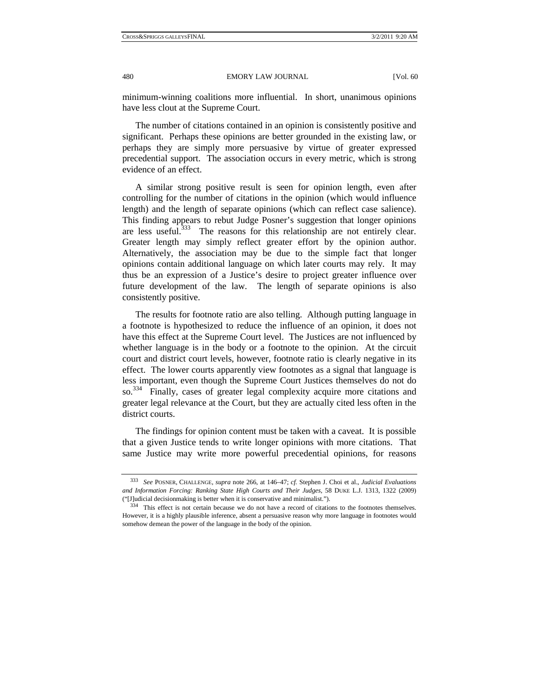minimum-winning coalitions more influential. In short, unanimous opinions have less clout at the Supreme Court.

The number of citations contained in an opinion is consistently positive and significant. Perhaps these opinions are better grounded in the existing law, or perhaps they are simply more persuasive by virtue of greater expressed precedential support. The association occurs in every metric, which is strong evidence of an effect.

A similar strong positive result is seen for opinion length, even after controlling for the number of citations in the opinion (which would influence length) and the length of separate opinions (which can reflect case salience). This finding appears to rebut Judge Posner's suggestion that longer opinions are less useful.<sup>333</sup> The reasons for this relationship are not entirely clear. Greater length may simply reflect greater effort by the opinion author. Alternatively, the association may be due to the simple fact that longer opinions contain additional language on which later courts may rely. It may thus be an expression of a Justice's desire to project greater influence over future development of the law. The length of separate opinions is also consistently positive.

The results for footnote ratio are also telling. Although putting language in a footnote is hypothesized to reduce the influence of an opinion, it does not have this effect at the Supreme Court level. The Justices are not influenced by whether language is in the body or a footnote to the opinion. At the circuit court and district court levels, however, footnote ratio is clearly negative in its effect. The lower courts apparently view footnotes as a signal that language is less important, even though the Supreme Court Justices themselves do not do so.<sup>334</sup> Finally, cases of greater legal complexity acquire more citations and greater legal relevance at the Court, but they are actually cited less often in the district courts.

The findings for opinion content must be taken with a caveat. It is possible that a given Justice tends to write longer opinions with more citations. That same Justice may write more powerful precedential opinions, for reasons

<sup>333</sup> *See* POSNER, CHALLENGE, *supra* note 266, at 146–47; *cf.* Stephen J. Choi et al., *Judicial Evaluations and Information Forcing: Ranking State High Courts and Their Judges*, 58 DUKE L.J. 1313, 1322 (2009) ("[J]udicial decisionmaking is better when it is conservative and minimalist.").<br> $334$  This effect is not certain because we do not have a record of citations to the footnotes themselves.

However, it is a highly plausible inference, absent a persuasive reason why more language in footnotes would somehow demean the power of the language in the body of the opinion.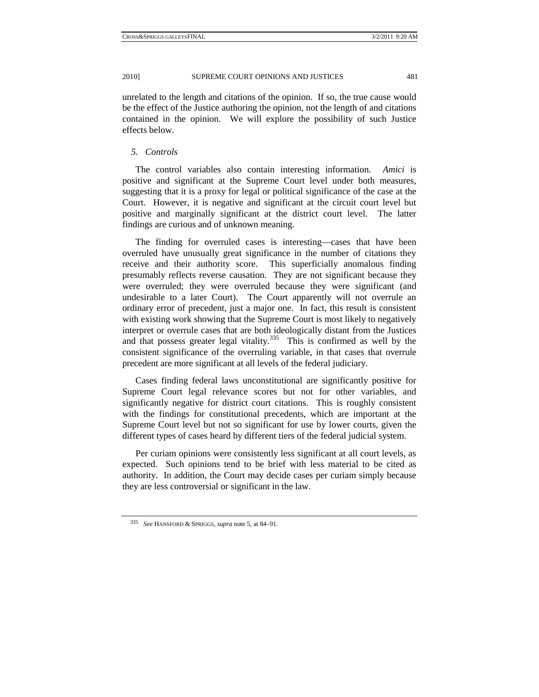unrelated to the length and citations of the opinion. If so, the true cause would be the effect of the Justice authoring the opinion, not the length of and citations contained in the opinion. We will explore the possibility of such Justice effects below.

## *5. Controls*

The control variables also contain interesting information. *Amici* is positive and significant at the Supreme Court level under both measures, suggesting that it is a proxy for legal or political significance of the case at the Court. However, it is negative and significant at the circuit court level but positive and marginally significant at the district court level. The latter findings are curious and of unknown meaning.

The finding for overruled cases is interesting—cases that have been overruled have unusually great significance in the number of citations they receive and their authority score. This superficially anomalous finding presumably reflects reverse causation. They are not significant because they were overruled; they were overruled because they were significant (and undesirable to a later Court). The Court apparently will not overrule an ordinary error of precedent, just a major one. In fact, this result is consistent with existing work showing that the Supreme Court is most likely to negatively interpret or overrule cases that are both ideologically distant from the Justices and that possess greater legal vitality. $335$  This is confirmed as well by the consistent significance of the overruling variable, in that cases that overrule precedent are more significant at all levels of the federal judiciary.

Cases finding federal laws unconstitutional are significantly positive for Supreme Court legal relevance scores but not for other variables, and significantly negative for district court citations. This is roughly consistent with the findings for constitutional precedents, which are important at the Supreme Court level but not so significant for use by lower courts, given the different types of cases heard by different tiers of the federal judicial system.

Per curiam opinions were consistently less significant at all court levels, as expected. Such opinions tend to be brief with less material to be cited as authority. In addition, the Court may decide cases per curiam simply because they are less controversial or significant in the law.

<sup>335</sup> *See* HANSFORD & SPRIGGS, *supra* note 5, at 84–91.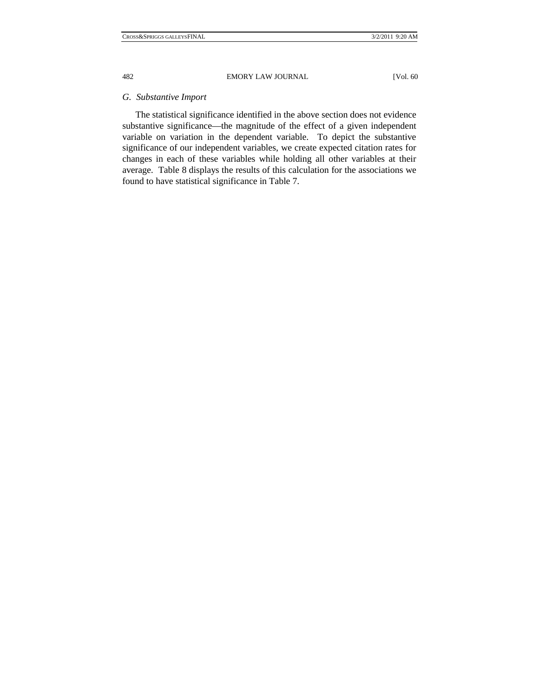## *G. Substantive Import*

The statistical significance identified in the above section does not evidence substantive significance—the magnitude of the effect of a given independent variable on variation in the dependent variable. To depict the substantive significance of our independent variables, we create expected citation rates for changes in each of these variables while holding all other variables at their average. Table 8 displays the results of this calculation for the associations we found to have statistical significance in Table 7.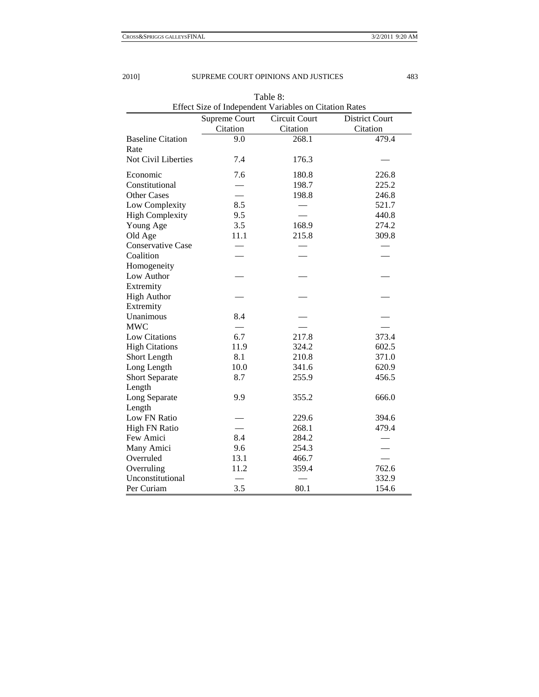| Effect Size of Independent Variables on Citation Rates |                          |               |                       |
|--------------------------------------------------------|--------------------------|---------------|-----------------------|
|                                                        | Supreme Court            | Circuit Court | <b>District Court</b> |
|                                                        | Citation                 | Citation      | Citation              |
| <b>Baseline Citation</b>                               | 9.0                      | 268.1         | 479.4                 |
| Rate                                                   |                          |               |                       |
| Not Civil Liberties                                    | 7.4                      | 176.3         |                       |
| Economic                                               | 7.6                      | 180.8         | 226.8                 |
| Constitutional                                         | $\overline{\phantom{0}}$ | 198.7         | 225.2                 |
| <b>Other Cases</b>                                     |                          | 198.8         | 246.8                 |
| Low Complexity                                         | 8.5                      |               | 521.7                 |
| <b>High Complexity</b>                                 | 9.5                      |               | 440.8                 |
| Young Age                                              | 3.5                      | 168.9         | 274.2                 |
| Old Age                                                | 11.1                     | 215.8         | 309.8                 |
| <b>Conservative Case</b>                               |                          |               |                       |
| Coalition                                              |                          |               |                       |
| Homogeneity                                            |                          |               |                       |
| Low Author                                             |                          |               |                       |
| Extremity                                              |                          |               |                       |
| <b>High Author</b>                                     |                          |               |                       |
| Extremity                                              |                          |               |                       |
| Unanimous                                              | 8.4                      |               |                       |
| <b>MWC</b>                                             |                          |               |                       |
| Low Citations                                          | 6.7                      | 217.8         | 373.4                 |
| <b>High Citations</b>                                  | 11.9                     | 324.2         | 602.5                 |
| Short Length                                           | 8.1                      | 210.8         | 371.0                 |
| Long Length                                            | 10.0                     | 341.6         | 620.9                 |
| <b>Short Separate</b>                                  | 8.7                      | 255.9         | 456.5                 |
| Length                                                 |                          |               |                       |
| Long Separate                                          | 9.9                      | 355.2         | 666.0                 |
| Length                                                 |                          |               |                       |
| Low FN Ratio                                           |                          | 229.6         | 394.6                 |
| <b>High FN Ratio</b>                                   |                          | 268.1         | 479.4                 |
| Few Amici                                              | 8.4                      | 284.2         |                       |
| Many Amici                                             | 9.6                      | 254.3         |                       |
| Overruled                                              | 13.1                     | 466.7         |                       |
| Overruling                                             | 11.2                     | 359.4         | 762.6                 |
| Unconstitutional                                       |                          |               | 332.9                 |
| Per Curiam                                             | 3.5                      | 80.1          | 154.6                 |

Table 8: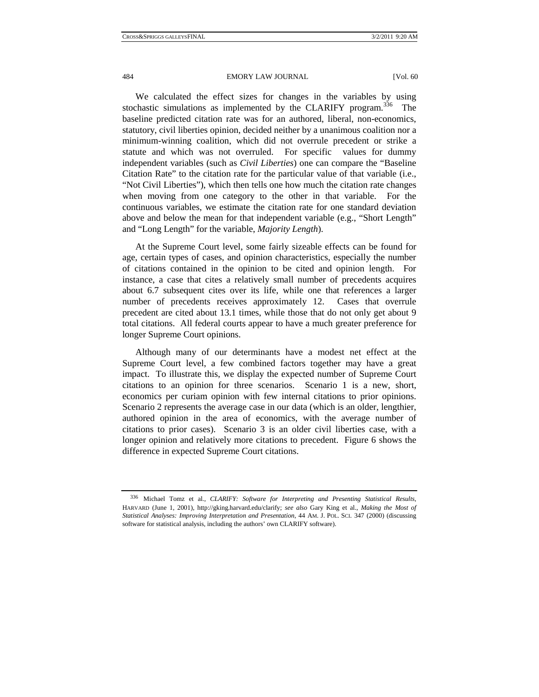We calculated the effect sizes for changes in the variables by using stochastic simulations as implemented by the CLARIFY program.<sup>336</sup> The baseline predicted citation rate was for an authored, liberal, non-economics, statutory, civil liberties opinion, decided neither by a unanimous coalition nor a minimum-winning coalition, which did not overrule precedent or strike a statute and which was not overruled. For specific values for dummy independent variables (such as *Civil Liberties*) one can compare the "Baseline Citation Rate" to the citation rate for the particular value of that variable (i.e., "Not Civil Liberties"), which then tells one how much the citation rate changes when moving from one category to the other in that variable. For the continuous variables, we estimate the citation rate for one standard deviation above and below the mean for that independent variable (e.g., "Short Length" and "Long Length" for the variable, *Majority Length*).

At the Supreme Court level, some fairly sizeable effects can be found for age, certain types of cases, and opinion characteristics, especially the number of citations contained in the opinion to be cited and opinion length. For instance, a case that cites a relatively small number of precedents acquires about 6.7 subsequent cites over its life, while one that references a larger number of precedents receives approximately 12. Cases that overrule precedent are cited about 13.1 times, while those that do not only get about 9 total citations. All federal courts appear to have a much greater preference for longer Supreme Court opinions.

Although many of our determinants have a modest net effect at the Supreme Court level, a few combined factors together may have a great impact. To illustrate this, we display the expected number of Supreme Court citations to an opinion for three scenarios. Scenario 1 is a new, short, economics per curiam opinion with few internal citations to prior opinions. Scenario 2 represents the average case in our data (which is an older, lengthier, authored opinion in the area of economics, with the average number of citations to prior cases). Scenario 3 is an older civil liberties case, with a longer opinion and relatively more citations to precedent. Figure 6 shows the difference in expected Supreme Court citations.

<sup>336</sup> Michael Tomz et al., *CLARIFY: Software for Interpreting and Presenting Statistical Results*, HARVARD (June 1, 2001), http://gking.harvard.edu/clarify; *see also* Gary King et al., *Making the Most of Statistical Analyses: Improving Interpretation and Presentation*, 44 AM. J. POL. SCI. 347 (2000) (discussing software for statistical analysis, including the authors' own CLARIFY software).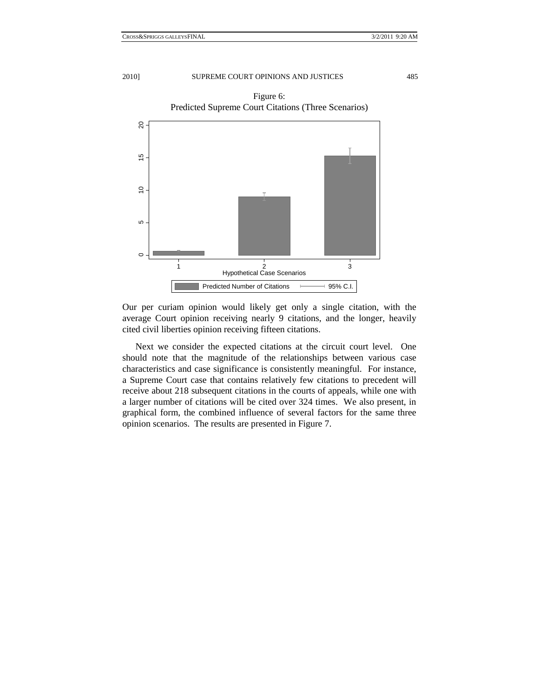



Our per curiam opinion would likely get only a single citation, with the average Court opinion receiving nearly 9 citations, and the longer, heavily cited civil liberties opinion receiving fifteen citations.

Next we consider the expected citations at the circuit court level. One should note that the magnitude of the relationships between various case characteristics and case significance is consistently meaningful. For instance, a Supreme Court case that contains relatively few citations to precedent will receive about 218 subsequent citations in the courts of appeals, while one with a larger number of citations will be cited over 324 times. We also present, in graphical form, the combined influence of several factors for the same three opinion scenarios. The results are presented in Figure 7.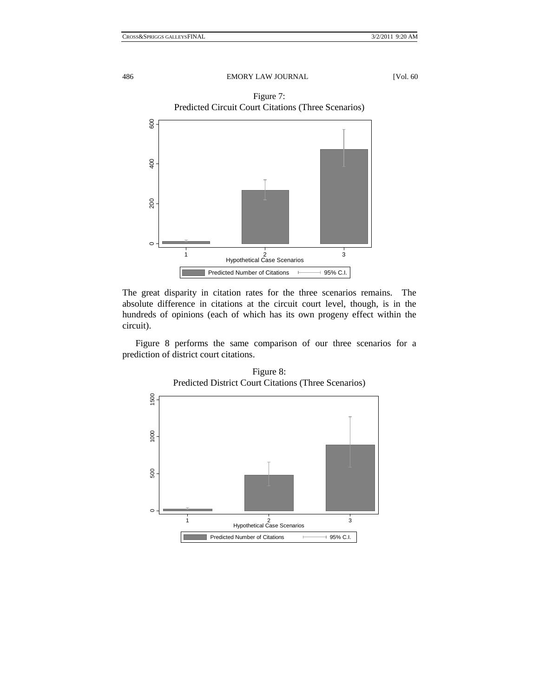

The great disparity in citation rates for the three scenarios remains. The absolute difference in citations at the circuit court level, though, is in the hundreds of opinions (each of which has its own progeny effect within the circuit).

Figure 8 performs the same comparison of our three scenarios for a prediction of district court citations.



Figure 8: Predicted District Court Citations (Three Scenarios)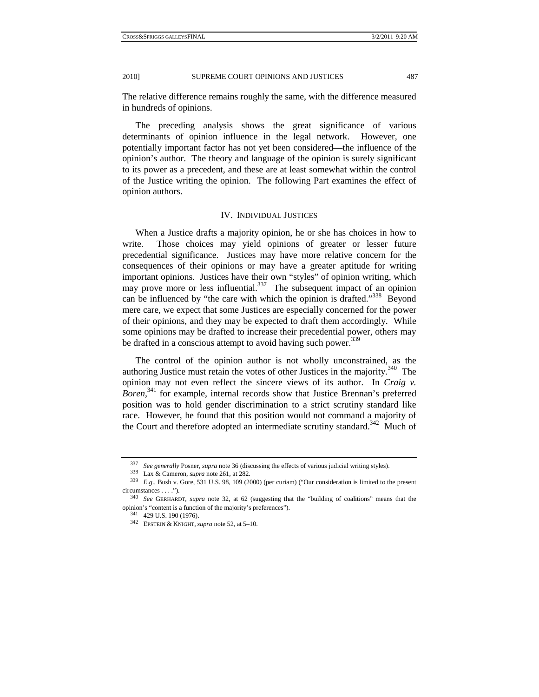The relative difference remains roughly the same, with the difference measured in hundreds of opinions.

The preceding analysis shows the great significance of various determinants of opinion influence in the legal network. However, one potentially important factor has not yet been considered—the influence of the opinion's author. The theory and language of the opinion is surely significant to its power as a precedent, and these are at least somewhat within the control of the Justice writing the opinion. The following Part examines the effect of opinion authors.

#### IV. INDIVIDUAL JUSTICES

When a Justice drafts a majority opinion, he or she has choices in how to write. Those choices may yield opinions of greater or lesser future precedential significance. Justices may have more relative concern for the consequences of their opinions or may have a greater aptitude for writing important opinions. Justices have their own "styles" of opinion writing, which may prove more or less influential.<sup>337</sup> The subsequent impact of an opinion can be influenced by "the care with which the opinion is drafted."<sup>338</sup> Beyond mere care, we expect that some Justices are especially concerned for the power of their opinions, and they may be expected to draft them accordingly. While some opinions may be drafted to increase their precedential power, others may be drafted in a conscious attempt to avoid having such power.<sup>339</sup>

The control of the opinion author is not wholly unconstrained, as the authoring Justice must retain the votes of other Justices in the majority.<sup>340</sup> The opinion may not even reflect the sincere views of its author. In *Craig v. Boren*, 341 for example, internal records show that Justice Brennan's preferred position was to hold gender discrimination to a strict scrutiny standard like race. However, he found that this position would not command a majority of the Court and therefore adopted an intermediate scrutiny standard.<sup>342</sup> Much of

<sup>&</sup>lt;sup>337</sup> See generally Posner, supra note 36 (discussing the effects of various judicial writing styles).<br><sup>338</sup> Lax & Cameron, supra note 261, at 282.<br><sup>339</sup> E.g., Bush v. Gore, 531 U.S. 98, 109 (2000) (per curiam) ("Our cons circumstances . . . ."). 340 *See* GERHARDT, *supra* note 32, at 62 (suggesting that the "building of coalitions" means that the

opinion's "content is a function of the majority's preferences"). 341 429 U.S. 190 (1976). 342 EPSTEIN & KNIGHT,*supra* note 52, at 5–10.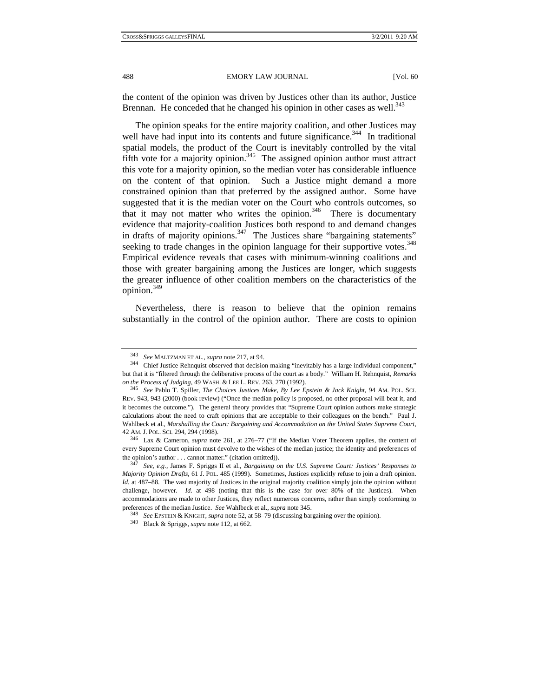the content of the opinion was driven by Justices other than its author, Justice Brennan. He conceded that he changed his opinion in other cases as well.<sup>343</sup>

The opinion speaks for the entire majority coalition, and other Justices may well have had input into its contents and future significance.<sup>344</sup> In traditional spatial models, the product of the Court is inevitably controlled by the vital fifth vote for a majority opinion.<sup>345</sup> The assigned opinion author must attract this vote for a majority opinion, so the median voter has considerable influence on the content of that opinion. Such a Justice might demand a more constrained opinion than that preferred by the assigned author. Some have suggested that it is the median voter on the Court who controls outcomes, so that it may not matter who writes the opinion. $346$  There is documentary evidence that majority-coalition Justices both respond to and demand changes in drafts of majority opinions.<sup>347</sup> The Justices share "bargaining statements" seeking to trade changes in the opinion language for their supportive votes.<sup>348</sup> Empirical evidence reveals that cases with minimum-winning coalitions and those with greater bargaining among the Justices are longer, which suggests the greater influence of other coalition members on the characteristics of the opinion.349

Nevertheless, there is reason to believe that the opinion remains substantially in the control of the opinion author. There are costs to opinion

<sup>343</sup> *See* MALTZMAN ET AL., *supra* note 217, at 94. 344 Chief Justice Rehnquist observed that decision making "inevitably has a large individual component," but that it is "filtered through the deliberative process of the court as a body." William H. Rehnquist, *Remarks* 

*on the Process of Judging*, 49 WASH. & LEE L. REV. 263, 270 (1992). 345 *See* Pablo T. Spiller, *The Choices Justices Make, By Lee Epstein & Jack Knight*, 94 AM. POL. SCI. REV. 943, 943 (2000) (book review) ("Once the median policy is proposed, no other proposal will beat it, and it becomes the outcome."). The general theory provides that "Supreme Court opinion authors make strategic calculations about the need to craft opinions that are acceptable to their colleagues on the bench." Paul J. Wahlbeck et al., *Marshalling the Court: Bargaining and Accommodation on the United States Supreme Court*, 42 AM.J. POL. SCI. 294, 294 (1998). 346 Lax & Cameron, *supra* note 261, at 276–77 ("If the Median Voter Theorem applies, the content of

every Supreme Court opinion must devolve to the wishes of the median justice; the identity and preferences of the opinion's author . . . cannot matter." (citation omitted)). 347 *See, e.g.*, James F. Spriggs II et al., *Bargaining on the U.S. Supreme Court: Justices' Responses to* 

*Majority Opinion Drafts*, 61 J. POL. 485 (1999). Sometimes, Justices explicitly refuse to join a draft opinion. *Id.* at 487–88. The vast majority of Justices in the original majority coalition simply join the opinion without challenge, however. *Id.* at 498 (noting that this is the case for over 80% of the Justices). When accommodations are made to other Justices, they reflect numerous concerns, rather than simply conforming to preferences of the median Justice. See Wahlbeck et al., supra note 345.<br><sup>348</sup> See EPSTEIN & KNIGHT, supra note 52, at 58–79 (discussing bargaining over the opinion).<br><sup>349</sup> Black & Spriggs, *supra* note 112, at 662.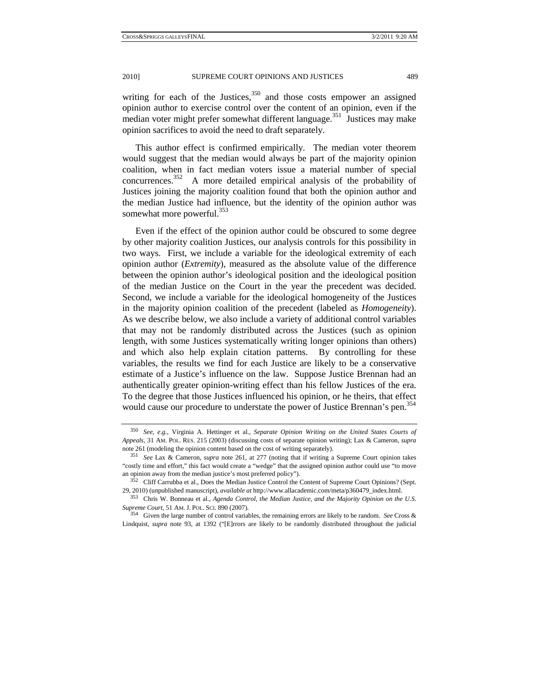writing for each of the Justices,<sup>350</sup> and those costs empower an assigned opinion author to exercise control over the content of an opinion, even if the median voter might prefer somewhat different language.<sup>351</sup> Justices may make opinion sacrifices to avoid the need to draft separately.

This author effect is confirmed empirically. The median voter theorem would suggest that the median would always be part of the majority opinion coalition, when in fact median voters issue a material number of special concurrences. 352 A more detailed empirical analysis of the probability of Justices joining the majority coalition found that both the opinion author and the median Justice had influence, but the identity of the opinion author was somewhat more powerful.<sup>353</sup>

Even if the effect of the opinion author could be obscured to some degree by other majority coalition Justices, our analysis controls for this possibility in two ways. First, we include a variable for the ideological extremity of each opinion author (*Extremity*), measured as the absolute value of the difference between the opinion author's ideological position and the ideological position of the median Justice on the Court in the year the precedent was decided. Second, we include a variable for the ideological homogeneity of the Justices in the majority opinion coalition of the precedent (labeled as *Homogeneity*). As we describe below, we also include a variety of additional control variables that may not be randomly distributed across the Justices (such as opinion length, with some Justices systematically writing longer opinions than others) and which also help explain citation patterns. By controlling for these variables, the results we find for each Justice are likely to be a conservative estimate of a Justice's influence on the law. Suppose Justice Brennan had an authentically greater opinion-writing effect than his fellow Justices of the era. To the degree that those Justices influenced his opinion, or he theirs, that effect would cause our procedure to understate the power of Justice Brennan's pen.<sup>354</sup>

<sup>350</sup> *See, e.g.*, Virginia A. Hettinger et al., *Separate Opinion Writing on the United States Courts of Appeals*, 31 AM. POL. RES. 215 (2003) (discussing costs of separate opinion writing); Lax & Cameron, *supra*  note 261 (modeling the opinion content based on the cost of writing separately).

<sup>351</sup> *See* Lax & Cameron, *supra* note 261, at 277 (noting that if writing a Supreme Court opinion takes "costly time and effort," this fact would create a "wedge" that the assigned opinion author could use "to move an opinion away from the median justice's most preferred policy").<br><sup>352</sup> Cliff Carrubba et al., Does the Median Justice Control the Content of Supreme Court Opinions? (Sept.

<sup>29, 2010) (</sup>unpublished manuscript), *available at* http://www.allacademic.com/meta/p360479\_index.html. 353 Chris W. Bonneau et al., *Agenda Control, the Median Justice, and the Majority Opinion on the U.S.* 

*Supreme Court*, 51 AM.J. POL. SCI. 890 (2007). 354 Given the large number of control variables, the remaining errors are likely to be random. *See* Cross &

Lindquist, *supra* note 93, at 1392 ("[E]rrors are likely to be randomly distributed throughout the judicial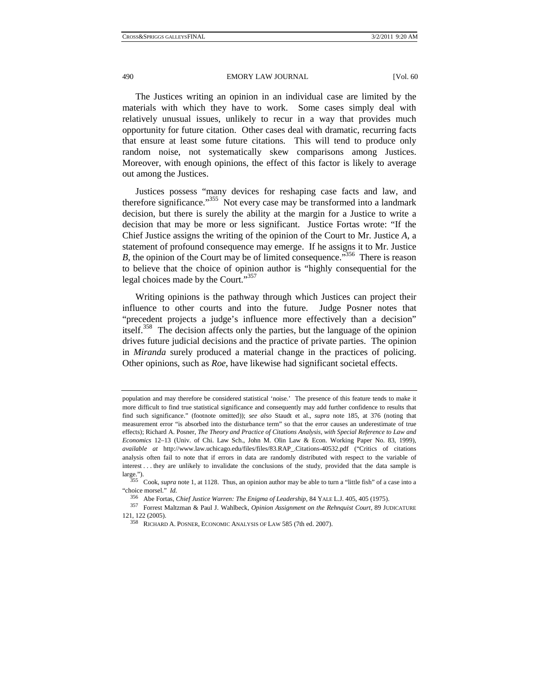The Justices writing an opinion in an individual case are limited by the materials with which they have to work. Some cases simply deal with relatively unusual issues, unlikely to recur in a way that provides much opportunity for future citation. Other cases deal with dramatic, recurring facts that ensure at least some future citations. This will tend to produce only random noise, not systematically skew comparisons among Justices. Moreover, with enough opinions, the effect of this factor is likely to average out among the Justices.

Justices possess "many devices for reshaping case facts and law, and therefore significance."<sup>355</sup> Not every case may be transformed into a landmark decision, but there is surely the ability at the margin for a Justice to write a decision that may be more or less significant. Justice Fortas wrote: "If the Chief Justice assigns the writing of the opinion of the Court to Mr. Justice *A*, a statement of profound consequence may emerge. If he assigns it to Mr. Justice *B*, the opinion of the Court may be of limited consequence.<sup>356</sup> There is reason to believe that the choice of opinion author is "highly consequential for the legal choices made by the Court."<sup>357</sup>

Writing opinions is the pathway through which Justices can project their influence to other courts and into the future. Judge Posner notes that "precedent projects a judge's influence more effectively than a decision" itself.<sup>358</sup> The decision affects only the parties, but the language of the opinion drives future judicial decisions and the practice of private parties. The opinion in *Miranda* surely produced a material change in the practices of policing. Other opinions, such as *Roe*, have likewise had significant societal effects.

population and may therefore be considered statistical 'noise.' The presence of this feature tends to make it more difficult to find true statistical significance and consequently may add further confidence to results that find such significance." (footnote omitted)); *see also* Staudt et al., *supra* note 185, at 376 (noting that measurement error "is absorbed into the disturbance term" so that the error causes an underestimate of true effects); Richard A. Posner, *The Theory and Practice of Citations Analysis, with Special Reference to Law and Economics* 12–13 (Univ. of Chi. Law Sch., John M. Olin Law & Econ. Working Paper No. 83, 1999), *available at* http://www.law.uchicago.edu/files/files/83.RAP\_.Citations-40532.pdf ("Critics of citations analysis often fail to note that if errors in data are randomly distributed with respect to the variable of interest . . . they are unlikely to invalidate the conclusions of the study, provided that the data sample is large."). 355 Cook, *supra* note 1, at 1128. Thus, an opinion author may be able to turn a "little fish" of a case into a

<sup>&</sup>quot;choice morsel." *Id.*

<sup>356</sup> Abe Fortas, *Chief Justice Warren: The Enigma of Leadership*, 84 YALE L.J. 405, 405 (1975). 357 Forrest Maltzman & Paul J. Wahlbeck, *Opinion Assignment on the Rehnquist Court*, 89 JUDICATURE 121, 122 (2005). 358 RICHARD A. POSNER, ECONOMIC ANALYSIS OF LAW 585 (7th ed. 2007).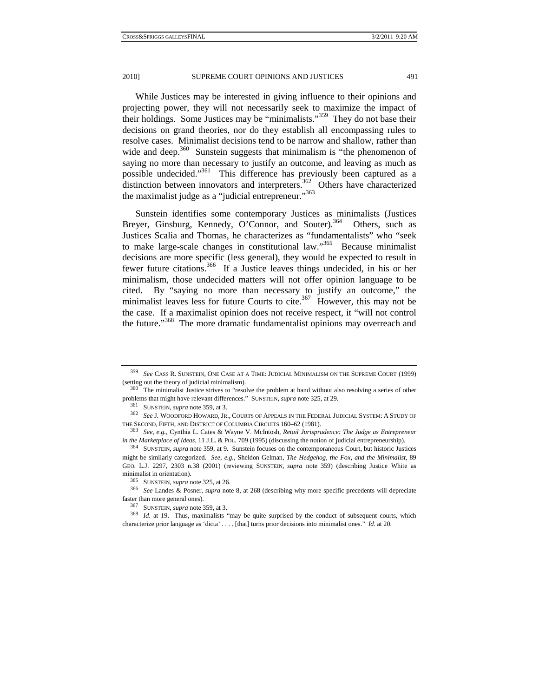While Justices may be interested in giving influence to their opinions and projecting power, they will not necessarily seek to maximize the impact of their holdings. Some Justices may be "minimalists."359 They do not base their decisions on grand theories, nor do they establish all encompassing rules to resolve cases. Minimalist decisions tend to be narrow and shallow, rather than wide and deep. $360$  Sunstein suggests that minimalism is "the phenomenon of saying no more than necessary to justify an outcome, and leaving as much as possible undecided."361 This difference has previously been captured as a distinction between innovators and interpreters.<sup>362</sup> Others have characterized the maximalist judge as a "judicial entrepreneur."<sup>363</sup>

Sunstein identifies some contemporary Justices as minimalists (Justices Brever, Ginsburg, Kennedy, O'Connor, and Souter).<sup>364</sup> Others, such as Justices Scalia and Thomas, he characterizes as "fundamentalists" who "seek to make large-scale changes in constitutional law."<sup>365</sup> Because minimalist decisions are more specific (less general), they would be expected to result in fewer future citations.<sup>366</sup> If a Justice leaves things undecided, in his or her minimalism, those undecided matters will not offer opinion language to be cited. By "saying no more than necessary to justify an outcome," the minimalist leaves less for future Courts to cite.<sup>367</sup> However, this may not be the case. If a maximalist opinion does not receive respect, it "will not control the future."368 The more dramatic fundamentalist opinions may overreach and

<sup>359</sup> *See* CASS R. SUNSTEIN, ONE CASE AT A TIME: JUDICIAL MINIMALISM ON THE SUPREME COURT (1999) (setting out the theory of judicial minimalism).<br><sup>360</sup> The minimalist Justice strives to "resolve the problem at hand without also resolving a series of other

problems that might have relevant differences." SUNSTEIN, *supra* note 325, at 29.<br><sup>361</sup> SUNSTEIN, *supra* note 359, at 3.<br><sup>362</sup> See J. WOODFORD HOWARD, JR., COURTS OF APPEALS IN THE FEDERAL JUDICIAL SYSTEM: A STUDY OF THE SECOND, FIFTH, AND DISTRICT OF COLUMBIA CIRCUITS 160–62 (1981). 363 *See, e.g.*, Cynthia L. Cates & Wayne V. McIntosh, *Retail Jurisprudence: The Judge as Entrepreneur* 

in the Marketplace of Ideas, 11 J.L. & POL. 709 (1995) (discussing the notion of judicial entrepreneurship).<br><sup>364</sup> SUNSTEIN, *supra* note 359, at 9. Sunstein focuses on the contemporaneous Court, but historic Justices

might be similarly categorized. *See, e.g.*, Sheldon Gelman, *The Hedgehog, the Fox, and the Minimalist*, 89 GEO. L.J. 2297, 2303 n.38 (2001) (reviewing SUNSTEIN, *supra* note 359) (describing Justice White as

minimalist in orientation).<br><sup>365</sup> SUNSTEIN, *supra* note 325, at 26.<br><sup>366</sup> See Landes & Posner, *supra* note 8, at 268 (describing why more specific precedents will depreciate faster than more general ones).

faster than more general ones). 367 SUNSTEIN, *supra* note 359, at 3. 368 *Id.* at 19. Thus, maximalists "may be quite surprised by the conduct of subsequent courts, which characterize prior language as 'dicta' . . . . [that] turns prior decisions into minimalist ones." *Id.* at 20.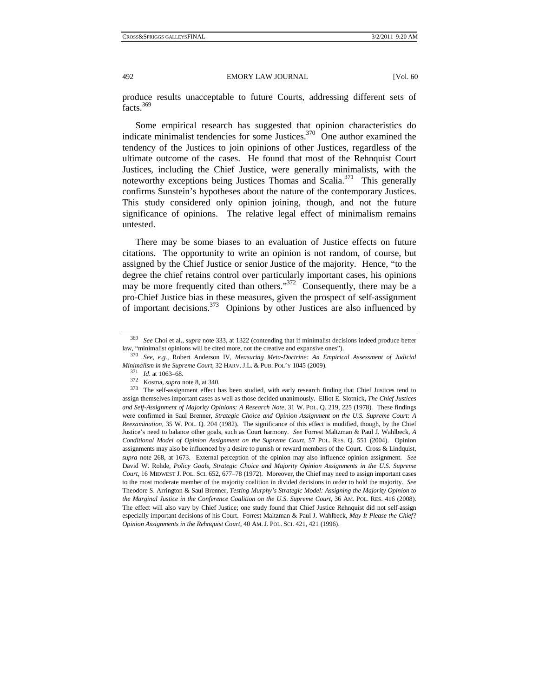produce results unacceptable to future Courts, addressing different sets of facts.<sup>369</sup>

Some empirical research has suggested that opinion characteristics do indicate minimalist tendencies for some Justices.370 One author examined the tendency of the Justices to join opinions of other Justices, regardless of the ultimate outcome of the cases. He found that most of the Rehnquist Court Justices, including the Chief Justice, were generally minimalists, with the noteworthy exceptions being Justices Thomas and Scalia.<sup>371</sup> This generally confirms Sunstein's hypotheses about the nature of the contemporary Justices. This study considered only opinion joining, though, and not the future significance of opinions. The relative legal effect of minimalism remains untested.

There may be some biases to an evaluation of Justice effects on future citations. The opportunity to write an opinion is not random, of course, but assigned by the Chief Justice or senior Justice of the majority. Hence, "to the degree the chief retains control over particularly important cases, his opinions may be more frequently cited than others."<sup>372</sup> Consequently, there may be a pro-Chief Justice bias in these measures, given the prospect of self-assignment of important decisions.<sup>373</sup> Opinions by other Justices are also influenced by

<sup>&</sup>lt;sup>369</sup> See Choi et al., *supra* note 333, at 1322 (contending that if minimalist decisions indeed produce better law, "minimalist opinions will be cited more, not the creative and expansive ones").

<sup>&</sup>lt;sup>370</sup> See, e.g., Robert Anderson IV, Measuring Meta-Doctrine: An Empirical Assessment of Judicial

Minimalism in the Supreme Court, 32 HARV. J.L. & PUB. POL'Y 1045 (2009).<br><sup>371</sup> Id. at 1063–68.<br><sup>372</sup> Kosma, *supra* note 8, at 340.<br><sup>373</sup> The self-assignment effect has been studied, with early research finding that Chief assign themselves important cases as well as those decided unanimously. Elliot E. Slotnick, *The Chief Justices and Self-Assignment of Majority Opinions: A Research Note*, 31 W. POL. Q. 219, 225 (1978). These findings were confirmed in Saul Brenner, *Strategic Choice and Opinion Assignment on the U.S. Supreme Court: A Reexamination*, 35 W. POL. Q. 204 (1982). The significance of this effect is modified, though, by the Chief Justice's need to balance other goals, such as Court harmony. *See* Forrest Maltzman & Paul J. Wahlbeck, *A Conditional Model of Opinion Assignment on the Supreme Court*, 57 POL. RES. Q. 551 (2004). Opinion assignments may also be influenced by a desire to punish or reward members of the Court. Cross & Lindquist, *supra* note 268, at 1673. External perception of the opinion may also influence opinion assignment. *See* David W. Rohde, *Policy Goals, Strategic Choice and Majority Opinion Assignments in the U.S. Supreme Court*, 16 MIDWEST J. POL. SCI. 652, 677–78 (1972). Moreover, the Chief may need to assign important cases to the most moderate member of the majority coalition in divided decisions in order to hold the majority. *See* Theodore S. Arrington & Saul Brenner, *Testing Murphy's Strategic Model: Assigning the Majority Opinion to the Marginal Justice in the Conference Coalition on the U.S. Supreme Court*, 36 AM. POL. RES. 416 (2008). The effect will also vary by Chief Justice; one study found that Chief Justice Rehnquist did not self-assign especially important decisions of his Court. Forrest Maltzman & Paul J. Wahlbeck, *May It Please the Chief? Opinion Assignments in the Rehnquist Court*, 40 AM.J. POL. SCI. 421, 421 (1996).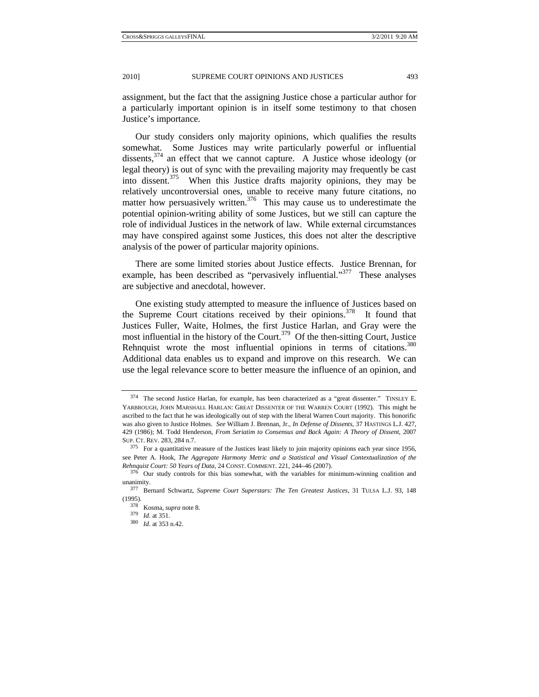assignment, but the fact that the assigning Justice chose a particular author for a particularly important opinion is in itself some testimony to that chosen Justice's importance.

Our study considers only majority opinions, which qualifies the results somewhat. Some Justices may write particularly powerful or influential dissents,  $374$  an effect that we cannot capture. A Justice whose ideology (or legal theory) is out of sync with the prevailing majority may frequently be cast into dissent.<sup>375</sup> When this Justice drafts majority opinions, they may be relatively uncontroversial ones, unable to receive many future citations, no matter how persuasively written. $376$  This may cause us to underestimate the potential opinion-writing ability of some Justices, but we still can capture the role of individual Justices in the network of law. While external circumstances may have conspired against some Justices, this does not alter the descriptive analysis of the power of particular majority opinions.

There are some limited stories about Justice effects. Justice Brennan, for example, has been described as "pervasively influential."<sup>377</sup> These analyses are subjective and anecdotal, however.

One existing study attempted to measure the influence of Justices based on the Supreme Court citations received by their opinions.<sup>378</sup> It found that Justices Fuller, Waite, Holmes, the first Justice Harlan, and Gray were the most influential in the history of the Court.<sup>379</sup> Of the then-sitting Court, Justice Rehnquist wrote the most influential opinions in terms of citations.<sup>380</sup> Additional data enables us to expand and improve on this research. We can use the legal relevance score to better measure the influence of an opinion, and

<sup>374</sup> The second Justice Harlan, for example, has been characterized as a "great dissenter." TINSLEY E. YARBROUGH, JOHN MARSHALL HARLAN: GREAT DISSENTER OF THE WARREN COURT (1992). This might be ascribed to the fact that he was ideologically out of step with the liberal Warren Court majority. This honorific was also given to Justice Holmes. *See* William J. Brennan, Jr., *In Defense of Dissents*, 37 HASTINGS L.J. 427, 429 (1986); M. Todd Henderson, *From Seriatim to Consensus and Back Again: A Theory of Dissent*, 2007 SUP. CT. REV. 283, 284 n.7. 375 For a quantitative measure of the Justices least likely to join majority opinions each year since 1956,

see Peter A. Hook, *The Aggregate Harmony Metric and a Statistical and Visual Contextualization of the Rehnquist Court: 50 Years of Data*, 24 CONST. COMMENT. 221, 244–46 (2007). 376 Our study controls for this bias somewhat, with the variables for minimum-winning coalition and

unanimity. 377 Bernard Schwartz, *Supreme Court Superstars: The Ten Greatest Justices*, 31 TULSA L.J. 93, 148

<sup>(1995). 378</sup> Kosma, *supra* note 8. 379 *Id.* at 351. 380 *Id.* at 353 n.42.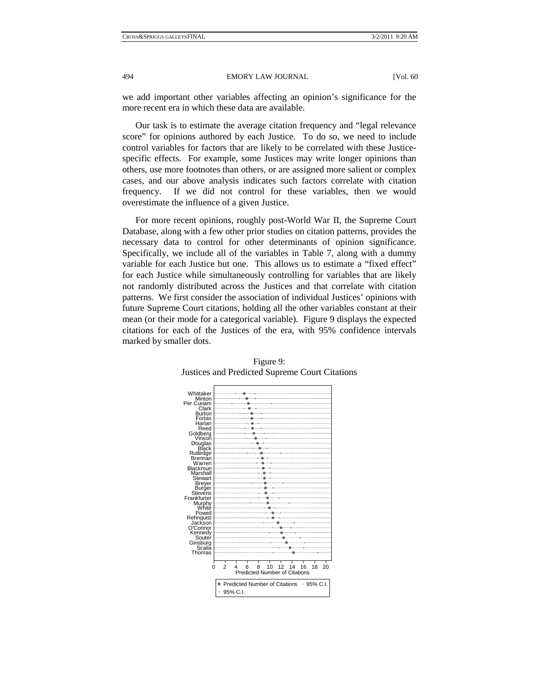we add important other variables affecting an opinion's significance for the more recent era in which these data are available.

Our task is to estimate the average citation frequency and "legal relevance score" for opinions authored by each Justice. To do so, we need to include control variables for factors that are likely to be correlated with these Justicespecific effects. For example, some Justices may write longer opinions than others, use more footnotes than others, or are assigned more salient or complex cases, and our above analysis indicates such factors correlate with citation frequency. If we did not control for these variables, then we would overestimate the influence of a given Justice.

For more recent opinions, roughly post-World War II, the Supreme Court Database, along with a few other prior studies on citation patterns, provides the necessary data to control for other determinants of opinion significance. Specifically, we include all of the variables in Table 7, along with a dummy variable for each Justice but one. This allows us to estimate a "fixed effect" for each Justice while simultaneously controlling for variables that are likely not randomly distributed across the Justices and that correlate with citation patterns. We first consider the association of individual Justices' opinions with future Supreme Court citations, holding all the other variables constant at their mean (or their mode for a categorical variable). Figure 9 displays the expected citations for each of the Justices of the era, with 95% confidence intervals marked by smaller dots.



Figure 9: Justices and Predicted Supreme Court Citations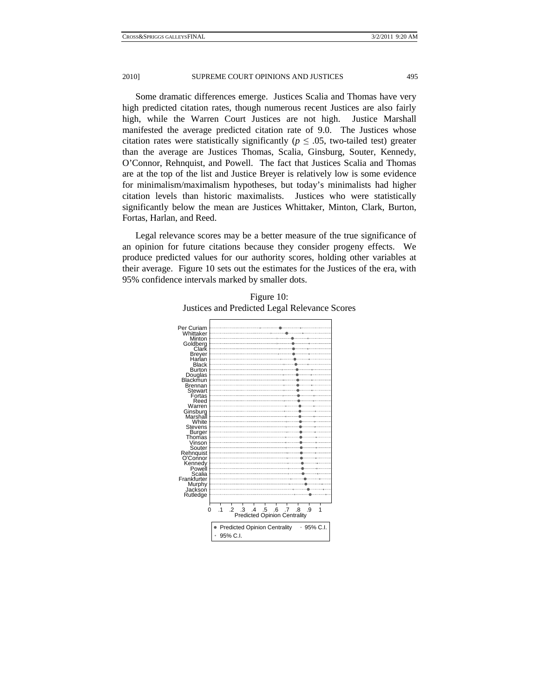Some dramatic differences emerge. Justices Scalia and Thomas have very high predicted citation rates, though numerous recent Justices are also fairly high, while the Warren Court Justices are not high. Justice Marshall manifested the average predicted citation rate of 9.0. The Justices whose citation rates were statistically significantly ( $p \leq .05$ , two-tailed test) greater than the average are Justices Thomas, Scalia, Ginsburg, Souter, Kennedy, O'Connor, Rehnquist, and Powell. The fact that Justices Scalia and Thomas are at the top of the list and Justice Breyer is relatively low is some evidence for minimalism/maximalism hypotheses, but today's minimalists had higher citation levels than historic maximalists. Justices who were statistically significantly below the mean are Justices Whittaker, Minton, Clark, Burton, Fortas, Harlan, and Reed.

Legal relevance scores may be a better measure of the true significance of an opinion for future citations because they consider progeny effects. We produce predicted values for our authority scores, holding other variables at their average. Figure 10 sets out the estimates for the Justices of the era, with 95% confidence intervals marked by smaller dots.

| Per Curiam                          |                                                                           |  |  |
|-------------------------------------|---------------------------------------------------------------------------|--|--|
| Whittaker                           |                                                                           |  |  |
| Minton                              |                                                                           |  |  |
| Goldberg                            |                                                                           |  |  |
| Clark                               |                                                                           |  |  |
| <b>Breyer</b>                       |                                                                           |  |  |
| Harlan                              |                                                                           |  |  |
| <b>Black</b>                        |                                                                           |  |  |
| <b>Burton</b>                       |                                                                           |  |  |
| Douglas<br>Blackmun                 |                                                                           |  |  |
|                                     |                                                                           |  |  |
| Brennan                             |                                                                           |  |  |
| Stewart                             |                                                                           |  |  |
| Fortas                              |                                                                           |  |  |
| Reed                                |                                                                           |  |  |
| Warren                              |                                                                           |  |  |
| Ginsburg                            |                                                                           |  |  |
| Marshall                            |                                                                           |  |  |
| White                               |                                                                           |  |  |
| Stevens                             |                                                                           |  |  |
| <b>Burger</b>                       |                                                                           |  |  |
| Thomas                              |                                                                           |  |  |
| Vinson                              |                                                                           |  |  |
| Souter                              |                                                                           |  |  |
| Rehnquist<br>O'Connor               |                                                                           |  |  |
| Kennedv                             |                                                                           |  |  |
| Powell                              |                                                                           |  |  |
| Scalia                              |                                                                           |  |  |
| Frankfurter                         |                                                                           |  |  |
|                                     |                                                                           |  |  |
| Murphy<br>Jackson                   |                                                                           |  |  |
| Rutledge                            |                                                                           |  |  |
|                                     |                                                                           |  |  |
|                                     |                                                                           |  |  |
|                                     | $.4-.5$<br>.6<br>.3<br>.7<br>.8<br>$\cdot$ 1<br>$\cdot$ 2<br>.9<br>1<br>o |  |  |
| <b>Predicted Opinion Centrality</b> |                                                                           |  |  |
|                                     |                                                                           |  |  |
|                                     | • Predicted Opinion Centrality<br>$95\%$ C.I.                             |  |  |
|                                     |                                                                           |  |  |
|                                     | 95% C.I.                                                                  |  |  |
|                                     |                                                                           |  |  |

Figure 10: Justices and Predicted Legal Relevance Scores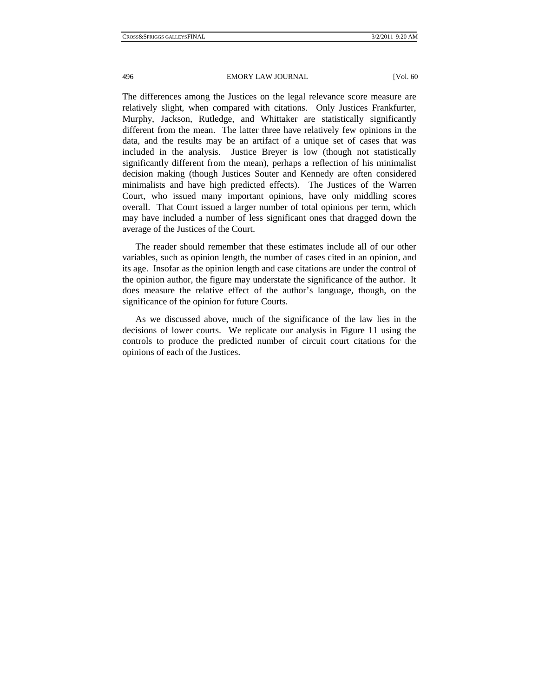The differences among the Justices on the legal relevance score measure are relatively slight, when compared with citations. Only Justices Frankfurter, Murphy, Jackson, Rutledge, and Whittaker are statistically significantly different from the mean. The latter three have relatively few opinions in the data, and the results may be an artifact of a unique set of cases that was included in the analysis. Justice Breyer is low (though not statistically significantly different from the mean), perhaps a reflection of his minimalist decision making (though Justices Souter and Kennedy are often considered minimalists and have high predicted effects). The Justices of the Warren Court, who issued many important opinions, have only middling scores overall. That Court issued a larger number of total opinions per term, which may have included a number of less significant ones that dragged down the average of the Justices of the Court.

The reader should remember that these estimates include all of our other variables, such as opinion length, the number of cases cited in an opinion, and its age. Insofar as the opinion length and case citations are under the control of the opinion author, the figure may understate the significance of the author. It does measure the relative effect of the author's language, though, on the significance of the opinion for future Courts.

As we discussed above, much of the significance of the law lies in the decisions of lower courts. We replicate our analysis in Figure 11 using the controls to produce the predicted number of circuit court citations for the opinions of each of the Justices.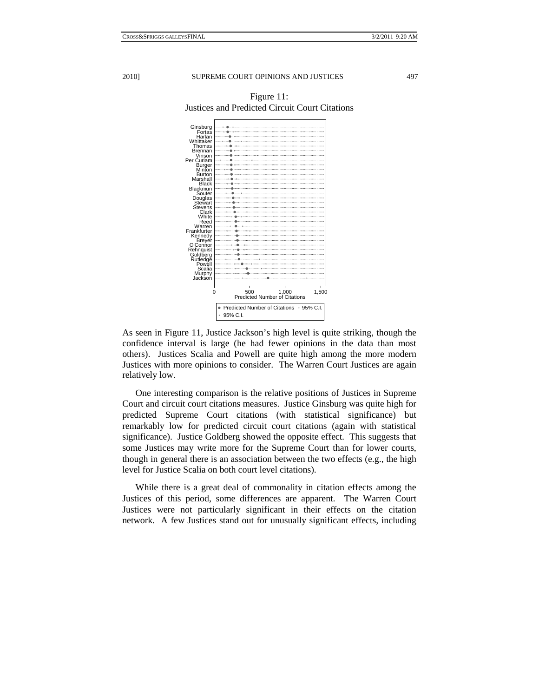

Figure 11: Justices and Predicted Circuit Court Citations

As seen in Figure 11, Justice Jackson's high level is quite striking, though the confidence interval is large (he had fewer opinions in the data than most others). Justices Scalia and Powell are quite high among the more modern Justices with more opinions to consider. The Warren Court Justices are again relatively low.

One interesting comparison is the relative positions of Justices in Supreme Court and circuit court citations measures. Justice Ginsburg was quite high for predicted Supreme Court citations (with statistical significance) but remarkably low for predicted circuit court citations (again with statistical significance). Justice Goldberg showed the opposite effect. This suggests that some Justices may write more for the Supreme Court than for lower courts, though in general there is an association between the two effects (e.g., the high level for Justice Scalia on both court level citations).

While there is a great deal of commonality in citation effects among the Justices of this period, some differences are apparent. The Warren Court Justices were not particularly significant in their effects on the citation network. A few Justices stand out for unusually significant effects, including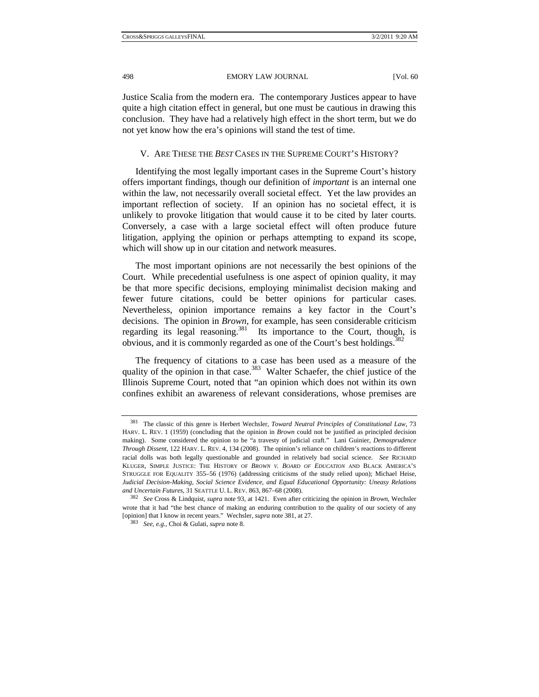Justice Scalia from the modern era. The contemporary Justices appear to have quite a high citation effect in general, but one must be cautious in drawing this conclusion. They have had a relatively high effect in the short term, but we do not yet know how the era's opinions will stand the test of time.

# V. ARE THESE THE *BEST* CASES IN THE SUPREME COURT'S HISTORY?

Identifying the most legally important cases in the Supreme Court's history offers important findings, though our definition of *important* is an internal one within the law, not necessarily overall societal effect. Yet the law provides an important reflection of society. If an opinion has no societal effect, it is unlikely to provoke litigation that would cause it to be cited by later courts. Conversely, a case with a large societal effect will often produce future litigation, applying the opinion or perhaps attempting to expand its scope, which will show up in our citation and network measures.

The most important opinions are not necessarily the best opinions of the Court. While precedential usefulness is one aspect of opinion quality, it may be that more specific decisions, employing minimalist decision making and fewer future citations, could be better opinions for particular cases. Nevertheless, opinion importance remains a key factor in the Court's decisions. The opinion in *Brown*, for example, has seen considerable criticism regarding its legal reasoning.<sup>381</sup> Its importance to the Court, though, is obvious, and it is commonly regarded as one of the Court's best holdings.<sup>3</sup>

The frequency of citations to a case has been used as a measure of the quality of the opinion in that case.<sup>383</sup> Walter Schaefer, the chief justice of the Illinois Supreme Court, noted that "an opinion which does not within its own confines exhibit an awareness of relevant considerations, whose premises are

<sup>381</sup> The classic of this genre is Herbert Wechsler, *Toward Neutral Principles of Constitutional Law*, 73 HARV. L. REV. 1 (1959) (concluding that the opinion in *Brown* could not be justified as principled decision making). Some considered the opinion to be "a travesty of judicial craft." Lani Guinier, *Demosprudence Through Dissent*, 122 HARV. L. REV. 4, 134 (2008). The opinion's reliance on children's reactions to different racial dolls was both legally questionable and grounded in relatively bad social science. *See* RICHARD KLUGER, SIMPLE JUSTICE: THE HISTORY OF *BROWN V. BOARD OF EDUCATION* AND BLACK AMERICA'S STRUGGLE FOR EQUALITY 355–56 (1976) (addressing criticisms of the study relied upon); Michael Heise, *Judicial Decision-Making, Social Science Evidence, and Equal Educational Opportunity: Uneasy Relations and Uncertain Futures*, 31 SEATTLE U. L. REV. 863, 867–68 (2008). 382 *See* Cross & Lindquist, *supra* note 93, at 1421. Even after criticizing the opinion in *Brown*, Wechsler

wrote that it had "the best chance of making an enduring contribution to the quality of our society of any [opinion] that I know in recent years." Wechsler, *supra* note 381, at 27. 383 *See, e.g.*, Choi & Gulati, *supra* note 8.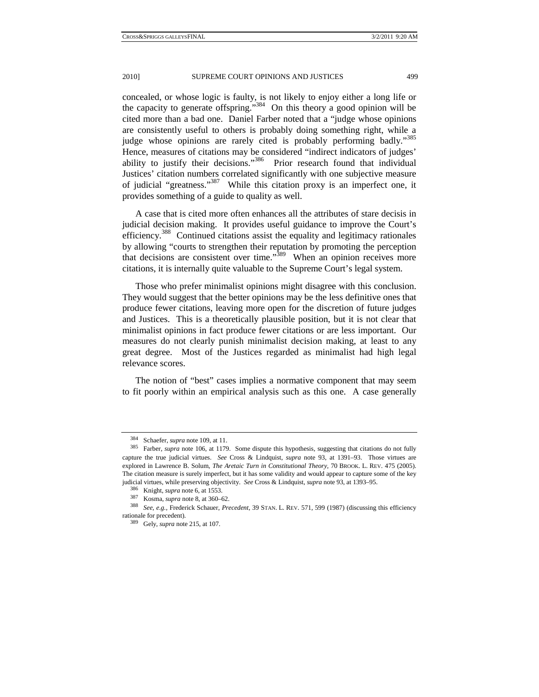concealed, or whose logic is faulty, is not likely to enjoy either a long life or the capacity to generate offspring."384 On this theory a good opinion will be cited more than a bad one. Daniel Farber noted that a "judge whose opinions are consistently useful to others is probably doing something right, while a judge whose opinions are rarely cited is probably performing badly."<sup>385</sup> Hence, measures of citations may be considered "indirect indicators of judges' ability to justify their decisions."<sup>386</sup> Prior research found that individual Justices' citation numbers correlated significantly with one subjective measure of judicial "greatness."387 While this citation proxy is an imperfect one, it provides something of a guide to quality as well.

A case that is cited more often enhances all the attributes of stare decisis in judicial decision making. It provides useful guidance to improve the Court's efficiency.<sup>388</sup> Continued citations assist the equality and legitimacy rationales by allowing "courts to strengthen their reputation by promoting the perception that decisions are consistent over time."389 When an opinion receives more citations, it is internally quite valuable to the Supreme Court's legal system.

Those who prefer minimalist opinions might disagree with this conclusion. They would suggest that the better opinions may be the less definitive ones that produce fewer citations, leaving more open for the discretion of future judges and Justices. This is a theoretically plausible position, but it is not clear that minimalist opinions in fact produce fewer citations or are less important. Our measures do not clearly punish minimalist decision making, at least to any great degree. Most of the Justices regarded as minimalist had high legal relevance scores.

The notion of "best" cases implies a normative component that may seem to fit poorly within an empirical analysis such as this one. A case generally

<sup>384</sup> Schaefer, *supra* note 109, at 11. 385 Farber, *supra* note 106, at 1179. Some dispute this hypothesis, suggesting that citations do not fully capture the true judicial virtues. *See* Cross & Lindquist, *supra* note 93, at 1391–93. Those virtues are explored in Lawrence B. Solum, *The Aretaic Turn in Constitutional Theory*, 70 BROOK. L. REV. 475 (2005). The citation measure is surely imperfect, but it has some validity and would appear to capture some of the key

judicial virtues, while preserving objectivity. See Cross & Lindquist, supra note 93, at 1393–95.<br><sup>386</sup> Knight, supra note 6, at 1553.<br><sup>387</sup> Kosma, supra note 8, at 360–62.<br><sup>387</sup> See, e.g., Frederick Schauer, *Precedent*, rationale for precedent). 389 Gely, *supra* note 215, at 107.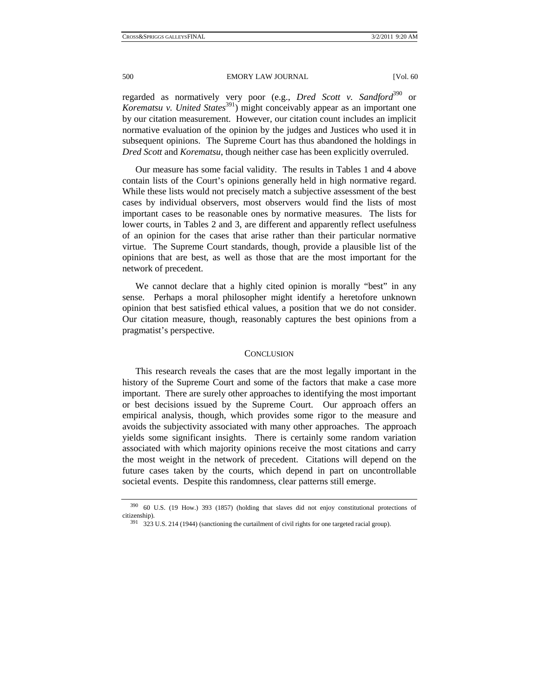regarded as normatively very poor (e.g., *Dred Scott v. Sandford*<sup>390</sup> or *Korematsu v. United States*<sup>391</sup>) might conceivably appear as an important one by our citation measurement. However, our citation count includes an implicit normative evaluation of the opinion by the judges and Justices who used it in subsequent opinions. The Supreme Court has thus abandoned the holdings in *Dred Scott* and *Korematsu*, though neither case has been explicitly overruled.

Our measure has some facial validity. The results in Tables 1 and 4 above contain lists of the Court's opinions generally held in high normative regard. While these lists would not precisely match a subjective assessment of the best cases by individual observers, most observers would find the lists of most important cases to be reasonable ones by normative measures. The lists for lower courts, in Tables 2 and 3, are different and apparently reflect usefulness of an opinion for the cases that arise rather than their particular normative virtue. The Supreme Court standards, though, provide a plausible list of the opinions that are best, as well as those that are the most important for the network of precedent.

We cannot declare that a highly cited opinion is morally "best" in any sense. Perhaps a moral philosopher might identify a heretofore unknown opinion that best satisfied ethical values, a position that we do not consider. Our citation measure, though, reasonably captures the best opinions from a pragmatist's perspective.

#### **CONCLUSION**

This research reveals the cases that are the most legally important in the history of the Supreme Court and some of the factors that make a case more important. There are surely other approaches to identifying the most important or best decisions issued by the Supreme Court. Our approach offers an empirical analysis, though, which provides some rigor to the measure and avoids the subjectivity associated with many other approaches. The approach yields some significant insights. There is certainly some random variation associated with which majority opinions receive the most citations and carry the most weight in the network of precedent. Citations will depend on the future cases taken by the courts, which depend in part on uncontrollable societal events. Despite this randomness, clear patterns still emerge.

<sup>390 60</sup> U.S. (19 How.) 393 (1857) (holding that slaves did not enjoy constitutional protections of citizenship).  $391$  323 U.S. 214 (1944) (sanctioning the curtailment of civil rights for one targeted racial group).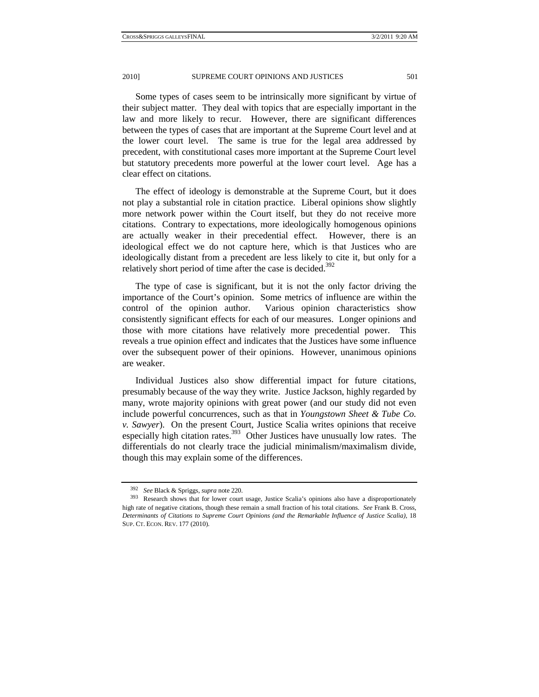Some types of cases seem to be intrinsically more significant by virtue of their subject matter. They deal with topics that are especially important in the law and more likely to recur. However, there are significant differences between the types of cases that are important at the Supreme Court level and at the lower court level. The same is true for the legal area addressed by precedent, with constitutional cases more important at the Supreme Court level but statutory precedents more powerful at the lower court level. Age has a clear effect on citations.

The effect of ideology is demonstrable at the Supreme Court, but it does not play a substantial role in citation practice. Liberal opinions show slightly more network power within the Court itself, but they do not receive more citations. Contrary to expectations, more ideologically homogenous opinions are actually weaker in their precedential effect. However, there is an ideological effect we do not capture here, which is that Justices who are ideologically distant from a precedent are less likely to cite it, but only for a relatively short period of time after the case is decided.<sup>392</sup>

The type of case is significant, but it is not the only factor driving the importance of the Court's opinion. Some metrics of influence are within the control of the opinion author. Various opinion characteristics show consistently significant effects for each of our measures. Longer opinions and those with more citations have relatively more precedential power. This reveals a true opinion effect and indicates that the Justices have some influence over the subsequent power of their opinions. However, unanimous opinions are weaker.

Individual Justices also show differential impact for future citations, presumably because of the way they write. Justice Jackson, highly regarded by many, wrote majority opinions with great power (and our study did not even include powerful concurrences, such as that in *Youngstown Sheet & Tube Co. v. Sawyer*). On the present Court, Justice Scalia writes opinions that receive especially high citation rates.<sup>393</sup> Other Justices have unusually low rates. The differentials do not clearly trace the judicial minimalism/maximalism divide, though this may explain some of the differences.

<sup>&</sup>lt;sup>392</sup> See Black & Spriggs, *supra* note 220.<br><sup>393</sup> Research shows that for lower court usage, Justice Scalia's opinions also have a disproportionately high rate of negative citations, though these remain a small fraction of his total citations. *See* Frank B. Cross, *Determinants of Citations to Supreme Court Opinions (and the Remarkable Influence of Justice Scalia)*, 18 SUP. CT. ECON. REV. 177 (2010).